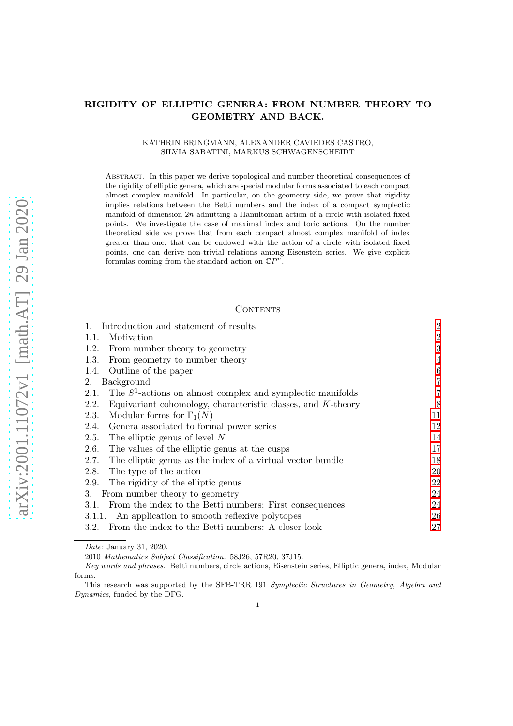# RIGIDITY OF ELLIPTIC GENERA: FROM NUMBER THEORY TO GEOMETRY AND BACK.

#### KATHRIN BRINGMANN, ALEXANDER CAVIEDES CASTRO, SILVIA SABATINI, MARKUS SCHWAGENSCHEIDT

Abstract. In this paper we derive topological and number theoretical consequences of the rigidity of elliptic genera, which are special modular forms associated to each compact almost complex manifold. In particular, on the geometry side, we prove that rigidity implies relations between the Betti numbers and the index of a compact symplectic manifold of dimension  $2n$  admitting a Hamiltonian action of a circle with isolated fixed points. We investigate the case of maximal index and toric actions. On the number theoretical side we prove that from each compact almost complex manifold of index greater than one, that can be endowed with the action of a circle with isolated fixed points, one can derive non-trivial relations among Eisenstein series. We give explicit formulas coming from the standard action on  $\mathbb{C}P^n$ .

#### CONTENTS

| Introduction and statement of results                                   | $\overline{2}$ |  |  |
|-------------------------------------------------------------------------|----------------|--|--|
| Motivation<br>1.1.                                                      | $\overline{2}$ |  |  |
| 1.2.<br>From number theory to geometry                                  | 3              |  |  |
| 1.3.<br>From geometry to number theory                                  | 4              |  |  |
| 1.4. Outline of the paper                                               | 6              |  |  |
| Background<br>2.                                                        | 7              |  |  |
| The $S^1$ -actions on almost complex and symplectic manifolds<br>2.1.   | $\overline{7}$ |  |  |
| Equivariant cohomology, characteristic classes, and $K$ -theory<br>2.2. | 8              |  |  |
| Modular forms for $\Gamma_1(N)$<br>2.3.                                 | 11             |  |  |
| Genera associated to formal power series<br>2.4.                        | 12             |  |  |
| The elliptic genus of level $N$<br>2.5.                                 | 14             |  |  |
| The values of the elliptic genus at the cusps<br>2.6.                   | 17             |  |  |
| The elliptic genus as the index of a virtual vector bundle<br>2.7.      | 18             |  |  |
| The type of the action<br>2.8.                                          | 20             |  |  |
| The rigidity of the elliptic genus<br>2.9.                              | 22             |  |  |
| From number theory to geometry<br>3.                                    | 24             |  |  |
| From the index to the Betti numbers: First consequences<br>3.1.         | 24             |  |  |
| 3.1.1. An application to smooth reflexive polytopes                     |                |  |  |
| 3.2. From the index to the Betti numbers: A closer look                 | 27             |  |  |

Date: January 31, 2020.

<sup>2010</sup> Mathematics Subject Classification. 58J26, 57R20, 37J15.

Key words and phrases. Betti numbers, circle actions, Eisenstein series, Elliptic genera, index, Modular forms.

This research was supported by the SFB-TRR 191 Symplectic Structures in Geometry, Algebra and Dynamics, funded by the DFG.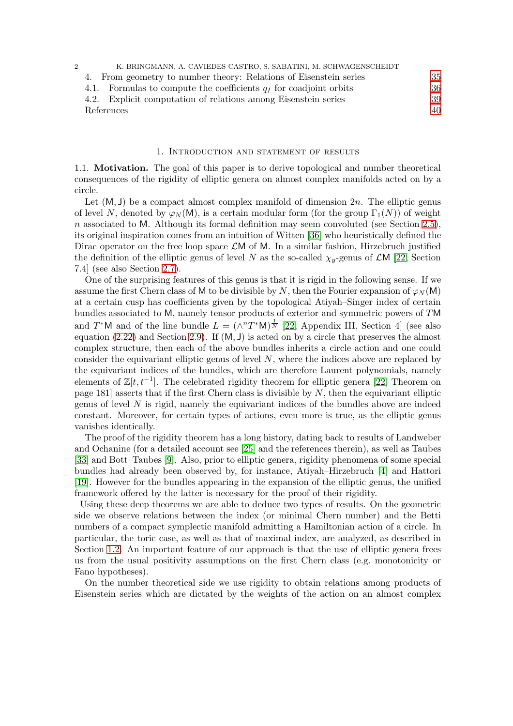| K. BRINGMANN, A. CAVIEDES CASTRO, S. SABATINI, M. SCHWAGENSCHEIDT       |    |  |  |
|-------------------------------------------------------------------------|----|--|--|
| 4. From geometry to number theory: Relations of Eisenstein series       | 35 |  |  |
| Formulas to compute the coefficients $q_I$ for coadjoint orbits<br>4.1. | 36 |  |  |
| 4.2. Explicit computation of relations among Eisenstein series          | 39 |  |  |
| References                                                              | 40 |  |  |

#### 1. Introduction and statement of results

<span id="page-1-1"></span><span id="page-1-0"></span>1.1. Motivation. The goal of this paper is to derive topological and number theoretical consequences of the rigidity of elliptic genera on almost complex manifolds acted on by a circle.

Let  $(M, J)$  be a compact almost complex manifold of dimension  $2n$ . The elliptic genus of level N, denoted by  $\varphi_N(M)$ , is a certain modular form (for the group  $\Gamma_1(N)$ ) of weight n associated to M. Although its formal definition may seem convoluted (see Section [2.5\)](#page-13-0), its original inspiration comes from an intuition of Witten [\[36\]](#page-40-0) who heuristically defined the Dirac operator on the free loop space  $\mathcal{L}M$  of M. In a similar fashion, Hirzebruch justified the definition of the elliptic genus of level N as the so-called  $\chi_y$ -genus of  $\mathcal{L}M$  [\[22,](#page-40-1) Section 7.4] (see also Section [2.7\)](#page-17-0).

One of the surprising features of this genus is that it is rigid in the following sense. If we assume the first Chern class of M to be divisible by N, then the Fourier expansion of  $\varphi_N(M)$ at a certain cusp has coefficients given by the topological Atiyah–Singer index of certain bundles associated to M, namely tensor products of exterior and symmetric powers of TM and T<sup>\*</sup>M and of the line bundle  $L = (\wedge^n T^*M)^{\frac{1}{N}}$  [\[22,](#page-40-1) Appendix III, Section 4] (see also equation [\(2.22\)](#page-18-0) and Section [2.9\)](#page-21-0). If (M, J) is acted on by a circle that preserves the almost complex structure, then each of the above bundles inherits a circle action and one could consider the equivariant elliptic genus of level N, where the indices above are replaced by the equivariant indices of the bundles, which are therefore Laurent polynomials, namely elements of  $\mathbb{Z}[t, t^{-1}]$ . The celebrated rigidity theorem for elliptic genera [\[22,](#page-40-1) Theorem on page 181] asserts that if the first Chern class is divisible by  $N$ , then the equivariant elliptic genus of level  $N$  is rigid, namely the equivariant indices of the bundles above are indeed constant. Moreover, for certain types of actions, even more is true, as the elliptic genus vanishes identically.

The proof of the rigidity theorem has a long history, dating back to results of Landweber and Ochanine (for a detailed account see [\[25\]](#page-40-2) and the references therein), as well as Taubes [\[33\]](#page-40-3) and Bott–Taubes [\[9\]](#page-39-1). Also, prior to elliptic genera, rigidity phenomena of some special bundles had already been observed by, for instance, Atiyah–Hirzebruch [\[4\]](#page-39-2) and Hattori [\[19\]](#page-40-4). However for the bundles appearing in the expansion of the elliptic genus, the unified framework offered by the latter is necessary for the proof of their rigidity.

Using these deep theorems we are able to deduce two types of results. On the geometric side we observe relations between the index (or minimal Chern number) and the Betti numbers of a compact symplectic manifold admitting a Hamiltonian action of a circle. In particular, the toric case, as well as that of maximal index, are analyzed, as described in Section [1.2.](#page-2-0) An important feature of our approach is that the use of elliptic genera frees us from the usual positivity assumptions on the first Chern class (e.g. monotonicity or Fano hypotheses).

On the number theoretical side we use rigidity to obtain relations among products of Eisenstein series which are dictated by the weights of the action on an almost complex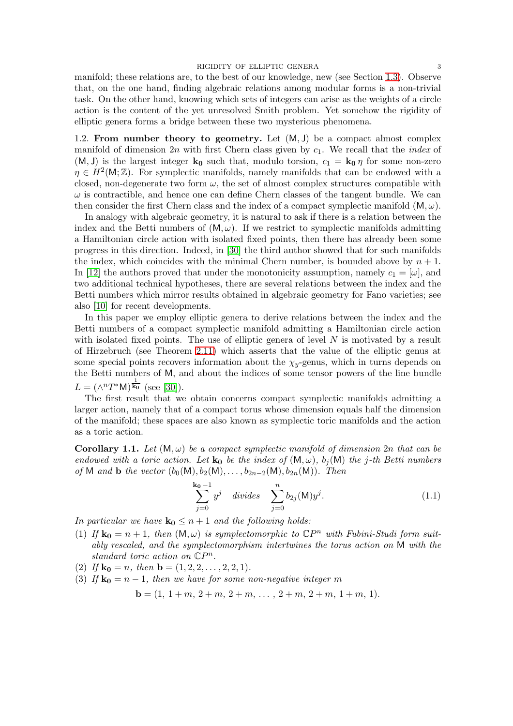manifold; these relations are, to the best of our knowledge, new (see Section [1.3\)](#page-3-0). Observe that, on the one hand, finding algebraic relations among modular forms is a non-trivial task. On the other hand, knowing which sets of integers can arise as the weights of a circle action is the content of the yet unresolved Smith problem. Yet somehow the rigidity of elliptic genera forms a bridge between these two mysterious phenomena.

<span id="page-2-0"></span>1.2. From number theory to geometry. Let  $(M, J)$  be a compact almost complex manifold of dimension 2n with first Chern class given by  $c_1$ . We recall that the *index* of  $(M, J)$  is the largest integer  $k_0$  such that, modulo torsion,  $c_1 = k_0 \eta$  for some non-zero  $\eta \in H^2(\mathsf{M}; \mathbb{Z})$ . For symplectic manifolds, namely manifolds that can be endowed with a closed, non-degenerate two form  $\omega$ , the set of almost complex structures compatible with  $\omega$  is contractible, and hence one can define Chern classes of the tangent bundle. We can then consider the first Chern class and the index of a compact symplectic manifold  $(M, \omega)$ .

In analogy with algebraic geometry, it is natural to ask if there is a relation between the index and the Betti numbers of  $(M, \omega)$ . If we restrict to symplectic manifolds admitting a Hamiltonian circle action with isolated fixed points, then there has already been some progress in this direction. Indeed, in [\[30\]](#page-40-5) the third author showed that for such manifolds the index, which coincides with the minimal Chern number, is bounded above by  $n + 1$ . In [\[12\]](#page-39-3) the authors proved that under the monotonicity assumption, namely  $c_1 = [\omega]$ , and two additional technical hypotheses, there are several relations between the index and the Betti numbers which mirror results obtained in algebraic geometry for Fano varieties; see also [\[10\]](#page-39-4) for recent developments.

In this paper we employ elliptic genera to derive relations between the index and the Betti numbers of a compact symplectic manifold admitting a Hamiltonian circle action with isolated fixed points. The use of elliptic genera of level N is motivated by a result of Hirzebruch (see Theorem [2.11\)](#page-17-1) which asserts that the value of the elliptic genus at some special points recovers information about the  $\chi_y$ -genus, which in turns depends on the Betti numbers of M, and about the indices of some tensor powers of the line bundle  $L = (\wedge^n T^* M)^{\frac{1}{k_0}}$  (see [\[30\]](#page-40-5)).

The first result that we obtain concerns compact symplectic manifolds admitting a larger action, namely that of a compact torus whose dimension equals half the dimension of the manifold; these spaces are also known as symplectic toric manifolds and the action as a toric action.

<span id="page-2-2"></span>**Corollary 1.1.** Let  $(M, \omega)$  be a compact symplectic manifold of dimension 2n that can be endowed with a toric action. Let  $k_0$  be the index of  $(M, \omega)$ ,  $b_i(M)$  the j-th Betti numbers of M and **b** the vector  $(b_0(M), b_2(M), \ldots, b_{2n-2}(M), b_{2n}(M))$ . Then

<span id="page-2-1"></span>
$$
\sum_{j=0}^{\mathbf{k_0}-1} y^j \quad divides \quad \sum_{j=0}^n b_{2j}(\mathsf{M}) y^j. \tag{1.1}
$$

In particular we have  $\mathbf{k_0} \leq n+1$  and the following holds:

- (1) If  $\mathbf{k_0} = n + 1$ , then  $(M, \omega)$  is symplectomorphic to  $\mathbb{C}P^n$  with Fubini-Studi form suitably rescaled, and the symplectomorphism intertwines the torus action on M with the standard toric action on  $\mathbb{C}P^n$ .
- (2) If  $\mathbf{k_0} = n$ , then  $\mathbf{b} = (1, 2, 2, \dots, 2, 2, 1)$ .
- (3) If  $\mathbf{k_0} = n 1$ , then we have for some non-negative integer m

$$
\mathbf{b} = (1, 1 + m, 2 + m, 2 + m, \dots, 2 + m, 2 + m, 1 + m, 1).
$$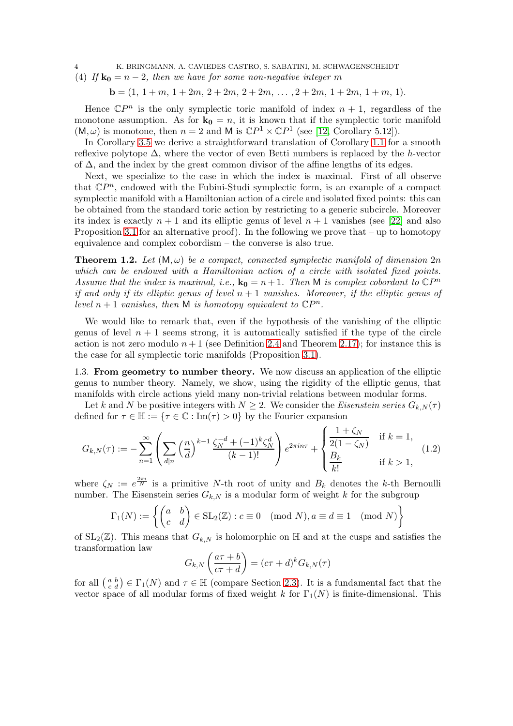4 K. BRINGMANN, A. CAVIEDES CASTRO, S. SABATINI, M. SCHWAGENSCHEIDT

(4) If  $\mathbf{k_0} = n - 2$ , then we have for some non-negative integer m

 $\mathbf{b} = (1, 1 + m, 1 + 2m, 2 + 2m, 2 + 2m, \dots, 2 + 2m, 1 + 2m, 1 + m, 1).$ 

Hence  $\mathbb{C}P^n$  is the only symplectic toric manifold of index  $n + 1$ , regardless of the monotone assumption. As for  $\mathbf{k_0} = n$ , it is known that if the symplectic toric manifold  $(M, \omega)$  is monotone, then  $n = 2$  and M is  $\mathbb{C}P^1 \times \mathbb{C}P^1$  (see [\[12,](#page-39-3) Corollary 5.12]).

In Corollary [3.5](#page-26-1) we derive a straightforward translation of Corollary [1.1](#page-2-1) for a smooth reflexive polytope  $\Delta$ , where the vector of even Betti numbers is replaced by the h-vector of  $\Delta$ , and the index by the great common divisor of the affine lengths of its edges.

Next, we specialize to the case in which the index is maximal. First of all observe that  $\mathbb{C}P^n$ , endowed with the Fubini-Studi symplectic form, is an example of a compact symplectic manifold with a Hamiltonian action of a circle and isolated fixed points: this can be obtained from the standard toric action by restricting to a generic subcircle. Moreover its index is exactly  $n + 1$  and its elliptic genus of level  $n + 1$  vanishes (see [\[22\]](#page-40-1) and also Proposition [3.1](#page-23-2) for an alternative proof). In the following we prove that – up to homotopy equivalence and complex cobordism – the converse is also true.

<span id="page-3-1"></span>**Theorem 1.2.** Let  $(M, \omega)$  be a compact, connected symplectic manifold of dimension  $2n$ which can be endowed with a Hamiltonian action of a circle with isolated fixed points. Assume that the index is maximal, i.e.,  $\mathbf{k}_0 = n + 1$ . Then M is complex cobordant to  $\mathbb{C}P^n$ if and only if its elliptic genus of level  $n + 1$  vanishes. Moreover, if the elliptic genus of level  $n+1$  vanishes, then M is homotopy equivalent to  $\mathbb{C}P^n$ .

We would like to remark that, even if the hypothesis of the vanishing of the elliptic genus of level  $n + 1$  seems strong, it is automatically satisfied if the type of the circle action is not zero modulo  $n+1$  (see Definition [2.4](#page-19-1) and Theorem [2.17\)](#page-22-0); for instance this is the case for all symplectic toric manifolds (Proposition [3.1\)](#page-23-2).

<span id="page-3-0"></span>1.3. From geometry to number theory. We now discuss an application of the elliptic genus to number theory. Namely, we show, using the rigidity of the elliptic genus, that manifolds with circle actions yield many non-trivial relations between modular forms.

Let k and N be positive integers with  $N \geq 2$ . We consider the Eisenstein series  $G_{k,N}(\tau)$ defined for  $\tau \in \mathbb{H} := {\tau \in \mathbb{C} : \text{Im}(\tau) > 0}$  by the Fourier expansion

$$
G_{k,N}(\tau) := -\sum_{n=1}^{\infty} \left( \sum_{d|n} \left( \frac{n}{d} \right)^{k-1} \frac{\zeta_N^{-d} + (-1)^k \zeta_N^d}{(k-1)!} \right) e^{2\pi i n \tau} + \begin{cases} \frac{1+\zeta_N}{2(1-\zeta_N)} & \text{if } k=1, \\ \frac{B_k}{k!} & \text{if } k>1, \end{cases}
$$
(1.2)

where  $\zeta_N := e^{\frac{2\pi i}{N}}$  is a primitive N-th root of unity and  $B_k$  denotes the k-th Bernoulli number. The Eisenstein series  $G_{k,N}$  is a modular form of weight k for the subgroup

$$
\Gamma_1(N) := \left\{ \begin{pmatrix} a & b \\ c & d \end{pmatrix} \in SL_2(\mathbb{Z}) : c \equiv 0 \pmod{N}, a \equiv d \equiv 1 \pmod{N} \right\}
$$

of  $SL_2(\mathbb{Z})$ . This means that  $G_{k,N}$  is holomorphic on H and at the cusps and satisfies the transformation law

<span id="page-3-2"></span>
$$
G_{k,N}\left(\frac{a\tau+b}{c\tau+d}\right)=(c\tau+d)^k G_{k,N}(\tau)
$$

for all  $\binom{a}{c} b \in \Gamma_1(N)$  and  $\tau \in \mathbb{H}$  (compare Section [2.3\)](#page-10-0). It is a fundamental fact that the vector space of all modular forms of fixed weight k for  $\Gamma_1(N)$  is finite-dimensional. This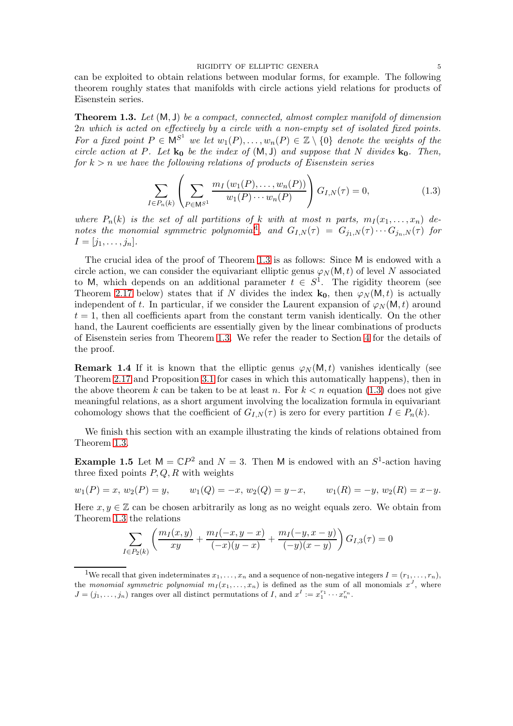can be exploited to obtain relations between modular forms, for example. The following theorem roughly states that manifolds with circle actions yield relations for products of Eisenstein series.

<span id="page-4-1"></span>**Theorem 1.3.** Let  $(M, J)$  be a compact, connected, almost complex manifold of dimension 2n which is acted on effectively by a circle with a non-empty set of isolated fixed points. For a fixed point  $P \in \mathsf{M}^{S^1}$  we let  $w_1(P), \ldots, w_n(P) \in \mathbb{Z} \setminus \{0\}$  denote the weights of the circle action at P. Let  $\mathbf{k}_0$  be the index of  $(M, J)$  and suppose that N divides  $\mathbf{k}_0$ . Then, for  $k > n$  we have the following relations of products of Eisenstein series

<span id="page-4-2"></span>
$$
\sum_{I \in P_n(k)} \left( \sum_{P \in \mathbb{M}^{S^1}} \frac{m_I(w_1(P), \dots, w_n(P))}{w_1(P) \cdots w_n(P)} \right) G_{I,N}(\tau) = 0, \tag{1.3}
$$

where  $P_n(k)$  is the set of all partitions of k with at most n parts,  $m_1(x_1, \ldots, x_n)$  de-notes the monomial symmetric polynomial<sup>[1](#page-4-0)</sup>, and  $G_{I,N}(\tau) = G_{j_1,N}(\tau) \cdots G_{j_n,N}(\tau)$  for  $I = [j_1, \ldots, j_n].$ 

The crucial idea of the proof of Theorem [1.3](#page-4-1) is as follows: Since M is endowed with a circle action, we can consider the equivariant elliptic genus  $\varphi_N(M, t)$  of level N associated to M, which depends on an additional parameter  $t \in S^1$ . The rigidity theorem (see Theorem [2.17](#page-22-0) below) states that if N divides the index  $\mathbf{k_0}$ , then  $\varphi_N(\mathsf{M},t)$  is actually independent of t. In particular, if we consider the Laurent expansion of  $\varphi_N(\mathsf{M}, t)$  around  $t = 1$ , then all coefficients apart from the constant term vanish identically. On the other hand, the Laurent coefficients are essentially given by the linear combinations of products of Eisenstein series from Theorem [1.3.](#page-4-1) We refer the reader to Section [4](#page-34-0) for the details of the proof.

**Remark 1.4** If it is known that the elliptic genus  $\varphi_N(M, t)$  vanishes identically (see Theorem [2.17](#page-22-0) and Proposition [3.1](#page-23-2) for cases in which this automatically happens), then in the above theorem k can be taken to be at least n. For  $k < n$  equation [\(1.3\)](#page-4-2) does not give meaningful relations, as a short argument involving the localization formula in equivariant cohomology shows that the coefficient of  $G_{LN}(\tau)$  is zero for every partition  $I \in P_n(k)$ .

We finish this section with an example illustrating the kinds of relations obtained from Theorem [1.3.](#page-4-1)

**Example 1.5** Let  $M = \mathbb{C}P^2$  and  $N = 3$ . Then M is endowed with an  $S^1$ -action having three fixed points  $P, Q, R$  with weights

$$
w_1(P) = x, w_2(P) = y, \qquad w_1(Q) = -x, w_2(Q) = y - x, \qquad w_1(R) = -y, w_2(R) = x - y.
$$

Here  $x, y \in \mathbb{Z}$  can be chosen arbitrarily as long as no weight equals zero. We obtain from Theorem [1.3](#page-4-1) the relations

$$
\sum_{I \in P_2(k)} \left( \frac{m_I(x, y)}{xy} + \frac{m_I(-x, y - x)}{(-x)(y - x)} + \frac{m_I(-y, x - y)}{(-y)(x - y)} \right) G_{I,3}(\tau) = 0
$$

<span id="page-4-0"></span><sup>&</sup>lt;sup>1</sup>We recall that given indeterminates  $x_1, \ldots, x_n$  and a sequence of non-negative integers  $I = (r_1, \ldots, r_n)$ , the monomial symmetric polynomial  $m_I(x_1, \ldots, x_n)$  is defined as the sum of all monomials  $x^J$ , where  $J = (j_1, \ldots, j_n)$  ranges over all distinct permutations of I, and  $x^I := x_1^{r_1} \cdots x_n^{r_n}$ .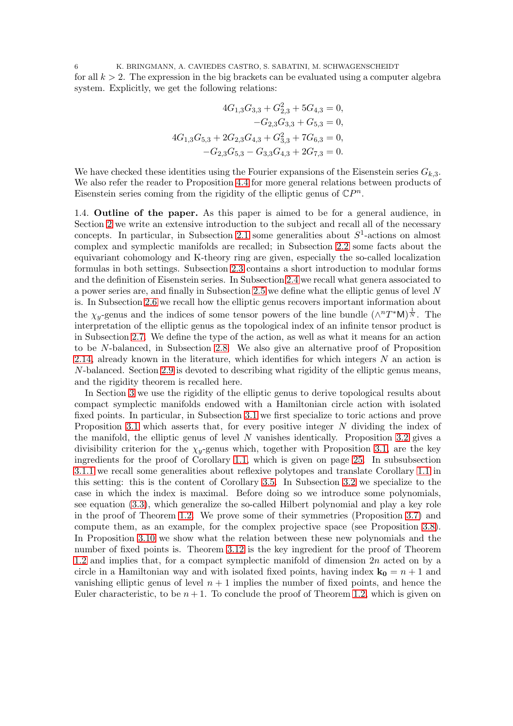6 K. BRINGMANN, A. CAVIEDES CASTRO, S. SABATINI, M. SCHWAGENSCHEIDT for all  $k > 2$ . The expression in the big brackets can be evaluated using a computer algebra system. Explicitly, we get the following relations:

$$
4G_{1,3}G_{3,3} + G_{2,3}^2 + 5G_{4,3} = 0,
$$
  
\n
$$
-G_{2,3}G_{3,3} + G_{5,3} = 0,
$$
  
\n
$$
4G_{1,3}G_{5,3} + 2G_{2,3}G_{4,3} + G_{3,3}^2 + 7G_{6,3} = 0,
$$
  
\n
$$
-G_{2,3}G_{5,3} - G_{3,3}G_{4,3} + 2G_{7,3} = 0.
$$

We have checked these identities using the Fourier expansions of the Eisenstein series  $G_{k,3}$ . We also refer the reader to Proposition [4.4](#page-38-1) for more general relations between products of Eisenstein series coming from the rigidity of the elliptic genus of  $\mathbb{C}P^n$ .

<span id="page-5-0"></span>1.4. Outline of the paper. As this paper is aimed to be for a general audience, in Section [2](#page-6-0) we write an extensive introduction to the subject and recall all of the necessary concepts. In particular, in Subsection [2.1](#page-6-1) some generalities about  $S^1$ -actions on almost complex and symplectic manifolds are recalled; in Subsection [2.2](#page-7-0) some facts about the equivariant cohomology and K-theory ring are given, especially the so-called localization formulas in both settings. Subsection [2.3](#page-10-0) contains a short introduction to modular forms and the definition of Eisenstein series. In Subsection [2.4](#page-11-0) we recall what genera associated to a power series are, and finally in Subsection [2.5](#page-13-0) we define what the elliptic genus of level N is. In Subsection [2.6](#page-16-0) we recall how the elliptic genus recovers important information about the  $\chi_y$ -genus and the indices of some tensor powers of the line bundle  $(\wedge^n T^*M)^{\frac{1}{N}}$ . The interpretation of the elliptic genus as the topological index of an infinite tensor product is in Subsection [2.7.](#page-17-0) We define the type of the action, as well as what it means for an action to be N-balanced, in Subsection [2.8.](#page-19-0) We also give an alternative proof of Proposition [2.14,](#page-20-0) already known in the literature, which identifies for which integers  $N$  an action is N-balanced. Section [2.9](#page-21-0) is devoted to describing what rigidity of the elliptic genus means, and the rigidity theorem is recalled here.

In Section [3](#page-23-0) we use the rigidity of the elliptic genus to derive topological results about compact symplectic manifolds endowed with a Hamiltonian circle action with isolated fixed points. In particular, in Subsection [3.1](#page-23-1) we first specialize to toric actions and prove Proposition [3.1](#page-23-2) which asserts that, for every positive integer N dividing the index of the manifold, the elliptic genus of level  $N$  vanishes identically. Proposition [3.2](#page-23-3) gives a divisibility criterion for the  $\chi_y$ -genus which, together with Proposition [3.1,](#page-23-2) are the key ingredients for the proof of Corollary [1.1,](#page-2-2) which is given on page [25.](#page-23-3) In subsubsection [3.1.1](#page-25-0) we recall some generalities about reflexive polytopes and translate Corollary [1.1](#page-2-2) in this setting: this is the content of Corollary [3.5.](#page-26-1) In Subsection [3.2](#page-26-0) we specialize to the case in which the index is maximal. Before doing so we introduce some polynomials, see equation [\(3.3\)](#page-26-2), which generalize the so-called Hilbert polynomial and play a key role in the proof of Theorem [1.2.](#page-3-1) We prove some of their symmetries (Proposition [3.7\)](#page-27-0) and compute them, as an example, for the complex projective space (see Proposition [3.8\)](#page-28-0). In Proposition [3.10](#page-31-0) we show what the relation between these new polynomials and the number of fixed points is. Theorem [3.12](#page-32-0) is the key ingredient for the proof of Theorem [1.2](#page-3-1) and implies that, for a compact symplectic manifold of dimension 2n acted on by a circle in a Hamiltonian way and with isolated fixed points, having index  $\mathbf{k}_0 = n + 1$  and vanishing elliptic genus of level  $n + 1$  implies the number of fixed points, and hence the Euler characteristic, to be  $n + 1$ . To conclude the proof of Theorem [1.2,](#page-3-1) which is given on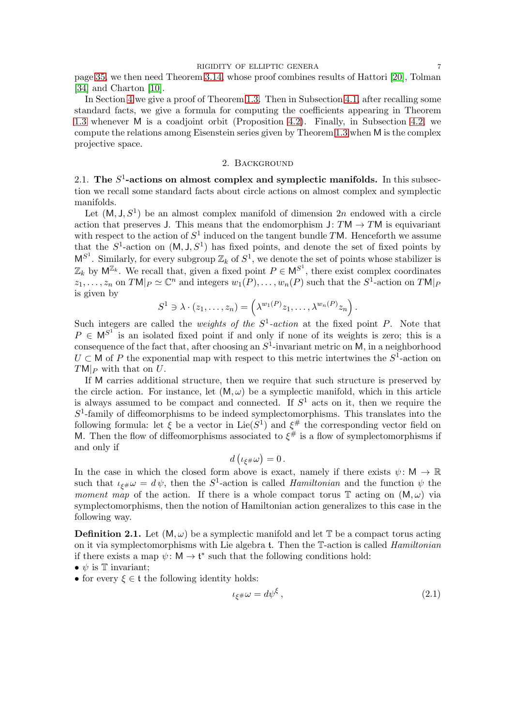page [35,](#page-33-0) we then need Theorem [3.14,](#page-33-0) whose proof combines results of Hattori [\[20\]](#page-40-6), Tolman [\[34\]](#page-40-7) and Charton [\[10\]](#page-39-4).

In Section [4](#page-34-0) we give a proof of Theorem [1.3.](#page-4-1) Then in Subsection [4.1,](#page-35-0) after recalling some standard facts, we give a formula for computing the coefficients appearing in Theorem [1.3](#page-4-1) whenever M is a coadjoint orbit (Proposition [4.2\)](#page-36-0). Finally, in Subsection [4.2,](#page-38-0) we compute the relations among Eisenstein series given by Theorem [1.3](#page-4-1) when M is the complex projective space.

#### 2. Background

<span id="page-6-1"></span><span id="page-6-0"></span>2.1. The  $S^1$ -actions on almost complex and symplectic manifolds. In this subsection we recall some standard facts about circle actions on almost complex and symplectic manifolds.

Let  $(M, J, S^1)$  be an almost complex manifold of dimension 2n endowed with a circle action that preserves J. This means that the endomorphism  $J: TM \rightarrow TM$  is equivariant with respect to the action of  $S^1$  induced on the tangent bundle TM. Henceforth we assume that the  $S^1$ -action on  $(M, J, S^1)$  has fixed points, and denote the set of fixed points by  $M^{S^1}$ . Similarly, for every subgroup  $\mathbb{Z}_k$  of  $S^1$ , we denote the set of points whose stabilizer is  $\mathbb{Z}_k$  by  $\mathsf{M}^{\mathbb{Z}_k}$ . We recall that, given a fixed point  $P \in \mathsf{M}^{S^1}$ , there exist complex coordinates  $z_1, \ldots, z_n$  on  $TM|_P \simeq \mathbb{C}^n$  and integers  $w_1(P), \ldots, w_n(P)$  such that the  $S^1$ -action on  $TM|_P$ is given by

$$
S^1 \ni \lambda \cdot (z_1, \ldots, z_n) = \left(\lambda^{w_1(P)} z_1, \ldots, \lambda^{w_n(P)} z_n\right).
$$

Such integers are called the *weights of the*  $S^1$ -*action* at the fixed point P. Note that  $P \in M^{S^1}$  is an isolated fixed point if and only if none of its weights is zero; this is a consequence of the fact that, after choosing an  $S^1$ -invariant metric on M, in a neighborhood  $U \subset M$  of P the exponential map with respect to this metric intertwines the  $S<sup>T</sup>$ -action on  $T M|_P$  with that on U.

If M carries additional structure, then we require that such structure is preserved by the circle action. For instance, let  $(M, \omega)$  be a symplectic manifold, which in this article is always assumed to be compact and connected. If  $S<sup>1</sup>$  acts on it, then we require the  $S<sup>1</sup>$ -family of diffeomorphisms to be indeed symplectomorphisms. This translates into the following formula: let  $\xi$  be a vector in Lie(S<sup>1</sup>) and  $\xi^{\#}$  the corresponding vector field on M. Then the flow of diffeomorphisms associated to  $\xi^{\#}$  is a flow of symplectomorphisms if and only if

$$
d\left(\iota_{\xi^{\#}}\omega\right)=0\,.
$$

In the case in which the closed form above is exact, namely if there exists  $\psi \colon M \to \mathbb{R}$ such that  $\iota_{\xi^{\#}}\omega = d\psi$ , then the S<sup>1</sup>-action is called *Hamiltonian* and the function  $\psi$  the moment map of the action. If there is a whole compact torus  $\mathbb T$  acting on  $(M, \omega)$  via symplectomorphisms, then the notion of Hamiltonian action generalizes to this case in the following way.

<span id="page-6-3"></span>**Definition 2.1.** Let  $(M, \omega)$  be a symplectic manifold and let  $\mathbb{T}$  be a compact torus acting on it via symplectomorphisms with Lie algebra t. Then the T-action is called Hamiltonian if there exists a map  $\psi: M \to \mathfrak{t}^*$  such that the following conditions hold:

•  $\psi$  is T invariant;

• for every  $\xi \in \mathfrak{t}$  the following identity holds:

<span id="page-6-2"></span>
$$
\iota_{\xi} \# \omega = d\psi^{\xi} \,, \tag{2.1}
$$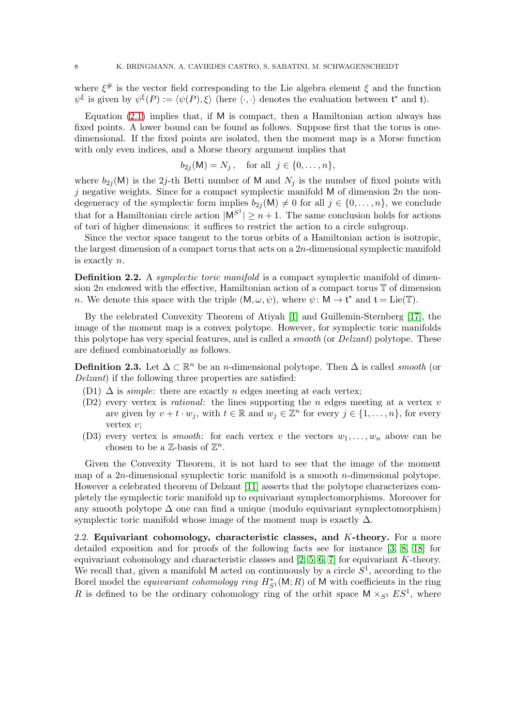where  $\xi^{\#}$  is the vector field corresponding to the Lie algebra element  $\xi$  and the function  $\psi^{\xi}$  is given by  $\psi^{\xi}(P) := \langle \psi(P), \xi \rangle$  (here  $\langle \cdot, \cdot \rangle$  denotes the evaluation between  $\mathfrak{t}^*$  and  $\mathfrak{t}$ ).

Equation  $(2.1)$  implies that, if M is compact, then a Hamiltonian action always has fixed points. A lower bound can be found as follows. Suppose first that the torus is onedimensional. If the fixed points are isolated, then the moment map is a Morse function with only even indices, and a Morse theory argument implies that

$$
b_{2j}(\mathsf{M})=N_j\,,\quad\text{for all}\;\;j\in\{0,\ldots,n\},
$$

where  $b_{2j}(\mathsf{M})$  is the 2j-th Betti number of M and  $N_j$  is the number of fixed points with j negative weights. Since for a compact symplectic manifold  $M$  of dimension  $2n$  the nondegeneracy of the symplectic form implies  $b_{2j}(\mathsf{M})\neq 0$  for all  $j\in\{0,\ldots,n\}$ , we conclude that for a Hamiltonian circle action  $|M^{S^1}| \geq n+1$ . The same conclusion holds for actions of tori of higher dimensions: it suffices to restrict the action to a circle subgroup.

Since the vector space tangent to the torus orbits of a Hamiltonian action is isotropic, the largest dimension of a compact torus that acts on a 2n-dimensional symplectic manifold is exactly n.

Definition 2.2. A *symplectic toric manifold* is a compact symplectic manifold of dimension  $2n$  endowed with the effective, Hamiltonian action of a compact torus  $\mathbb T$  of dimension *n*. We denote this space with the triple  $(M, \omega, \psi)$ , where  $\psi \colon M \to \mathfrak{t}^*$  and  $\mathfrak{t} = \text{Lie}(\mathbb{T})$ .

By the celebrated Convexity Theorem of Atiyah [\[1\]](#page-39-5) and Guillemin-Sternberg [\[17\]](#page-40-8), the image of the moment map is a convex polytope. However, for symplectic toric manifolds this polytope has very special features, and is called a *smooth* (or *Delzant*) polytope. These are defined combinatorially as follows.

<span id="page-7-1"></span>**Definition 2.3.** Let  $\Delta \subset \mathbb{R}^n$  be an *n*-dimensional polytope. Then  $\Delta$  is called *smooth* (or Delzant) if the following three properties are satisfied:

- (D1)  $\Delta$  is *simple*: there are exactly *n* edges meeting at each vertex;
- $(D2)$  every vertex is *rational*: the lines supporting the *n* edges meeting at a vertex *v* are given by  $v + t \cdot w_j$ , with  $t \in \mathbb{R}$  and  $w_j \in \mathbb{Z}^n$  for every  $j \in \{1, \ldots, n\}$ , for every vertex  $v$ ;
- (D3) every vertex is *smooth*: for each vertex v the vectors  $w_1, \ldots, w_n$  above can be chosen to be a  $\mathbb{Z}$ -basis of  $\mathbb{Z}^n$ .

Given the Convexity Theorem, it is not hard to see that the image of the moment map of a  $2n$ -dimensional symplectic toric manifold is a smooth *n*-dimensional polytope. However a celebrated theorem of Delzant [\[11\]](#page-39-6) asserts that the polytope characterizes completely the symplectic toric manifold up to equivariant symplectomorphisms. Moreover for any smooth polytope  $\Delta$  one can find a unique (modulo equivariant symplectomorphism) symplectic toric manifold whose image of the moment map is exactly  $\Delta$ .

<span id="page-7-0"></span>2.2. Equivariant cohomology, characteristic classes, and  $K$ -theory. For a more detailed exposition and for proofs of the following facts see for instance [\[3,](#page-39-7) [8,](#page-39-8) [18\]](#page-40-9) for equivariant cohomology and characteristic classes and  $[2, 5, 6, 7]$  $[2, 5, 6, 7]$  $[2, 5, 6, 7]$  $[2, 5, 6, 7]$  for equivariant K-theory. We recall that, given a manifold M acted on continuously by a circle  $S^1$ , according to the Borel model the *equivariant cohomology ring*  $H_{S^1}^*(M; R)$  of M with coefficients in the ring R is defined to be the ordinary cohomology ring of the orbit space  $M \times_{S^1} ES^1$ , where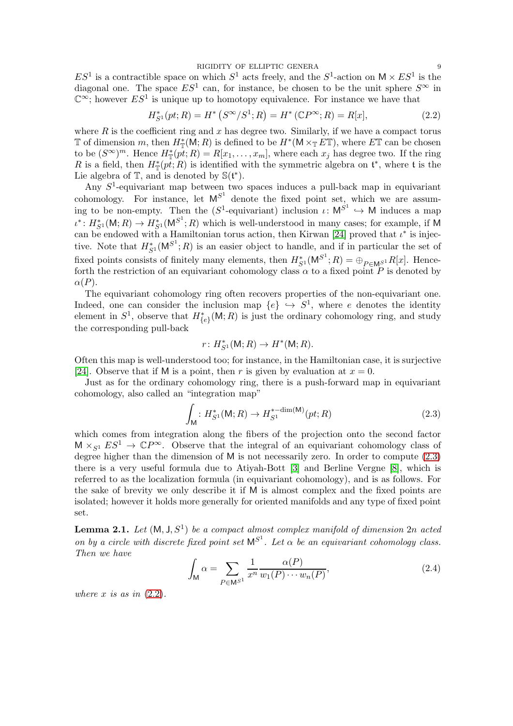RIGIDITY OF ELLIPTIC GENERA

 $ES<sup>1</sup>$  is a contractible space on which  $S<sup>1</sup>$  acts freely, and the  $S<sup>1</sup>$ -action on  $M \times ES<sup>1</sup>$  is the diagonal one. The space  $ES^1$  can, for instance, be chosen to be the unit sphere  $S^{\infty}$  in  $\mathbb{C}^{\infty}$ ; however  $ES^{1}$  is unique up to homotopy equivalence. For instance we have that

<span id="page-8-1"></span>
$$
H_{S^1}^*(pt;R) = H^*\left(S^\infty/S^1;R\right) = H^*\left(\mathbb{C}P^\infty;R\right) = R[x],\tag{2.2}
$$

where  $R$  is the coefficient ring and  $x$  has degree two. Similarly, if we have a compact torus T of dimension m, then  $H^*_{\mathbb{T}}(\mathsf{M};R)$  is defined to be  $H^*(\mathsf{M}\times_{\mathbb{T}} E\mathbb{T})$ , where  $E\mathbb{T}$  can be chosen to be  $(S^{\infty})^m$ . Hence  $H^*_{\mathbb{T}}(p\tilde{t};R) = R[x_1,\ldots,x_m]$ , where each  $x_j$  has degree two. If the ring R is a field, then  $H^*_{\mathbb{T}}(pt;R)$  is identified with the symmetric algebra on  $\mathfrak{t}^*$ , where  $\mathfrak{t}$  is the Lie algebra of  $\mathbb{T}$ , and is denoted by  $\mathbb{S}(\mathfrak{t}^*)$ .

Any  $S<sup>1</sup>$ -equivariant map between two spaces induces a pull-back map in equivariant cohomology. For instance, let  $M^{S^1}$  denote the fixed point set, which we are assuming to be non-empty. Then the  $(S^1$ -equivariant) inclusion  $\iota: \mathsf{M}^{S^1} \hookrightarrow \mathsf{M}$  induces a map  $\iota^*: H^*_{S^1}(\mathsf{M};R) \to H^*_{S^1}(\mathsf{M}^{S^1};R)$  which is well-understood in many cases; for example, if M can be endowed with a Hamiltonian torus action, then Kirwan [\[24\]](#page-40-10) proved that  $\iota^*$  is injective. Note that  $H_{S^1}^*(M^{S^1};R)$  is an easier object to handle, and if in particular the set of fixed points consists of finitely many elements, then  $H_{S^1}^*(M^{S^1}; R) = \bigoplus_{P \in M^{S^1}} R[x]$ . Henceforth the restriction of an equivariant cohomology class  $\alpha$  to a fixed point P is denoted by  $\alpha(P)$ .

The equivariant cohomology ring often recovers properties of the non-equivariant one. Indeed, one can consider the inclusion map  $\{e\} \hookrightarrow S^1$ , where e denotes the identity element in  $S^1$ , observe that  $H^*_{\{e\}}(\mathsf{M};R)$  is just the ordinary cohomology ring, and study the corresponding pull-back

$$
r\colon H^*_{S^1}(\mathsf{M};R)\to H^*(\mathsf{M};R).
$$

Often this map is well-understood too; for instance, in the Hamiltonian case, it is surjective [\[24\]](#page-40-10). Observe that if M is a point, then r is given by evaluation at  $x = 0$ .

Just as for the ordinary cohomology ring, there is a push-forward map in equivariant cohomology, also called an "integration map"

<span id="page-8-0"></span>
$$
\int_{\mathsf{M}} : H_{S^1}^{*}(\mathsf{M}; R) \to H_{S^1}^{*-\dim(\mathsf{M})}(pt; R)
$$
\n(2.3)

which comes from integration along the fibers of the projection onto the second factor  $M \times_{S^1} ES^1 \to \mathbb{C}P^\infty$ . Observe that the integral of an equivariant cohomology class of degree higher than the dimension of M is not necessarily zero. In order to compute [\(2.3\)](#page-8-0) there is a very useful formula due to Atiyah-Bott [\[3\]](#page-39-7) and Berline Vergne [\[8\]](#page-39-8), which is referred to as the localization formula (in equivariant cohomology), and is as follows. For the sake of brevity we only describe it if M is almost complex and the fixed points are isolated; however it holds more generally for oriented manifolds and any type of fixed point set.

**Lemma 2.1.** Let  $(M, J, S^1)$  be a compact almost complex manifold of dimension  $2n$  acted on by a circle with discrete fixed point set  $M^{S^1}$ . Let  $\alpha$  be an equivariant cohomology class. Then we have

<span id="page-8-2"></span>
$$
\int_{\mathsf{M}} \alpha = \sum_{P \in \mathsf{M}^{S^1}} \frac{1}{x^n} \frac{\alpha(P)}{w_1(P) \cdots w_n(P)},\tag{2.4}
$$

where x is as in  $(2.2)$ .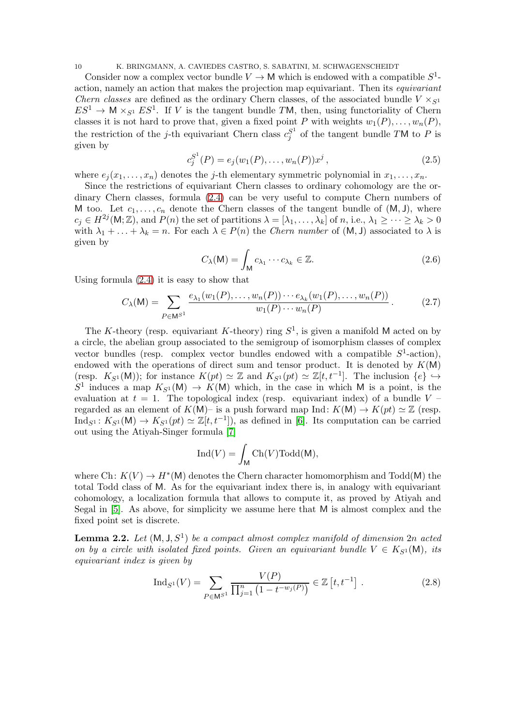10 K. BRINGMANN, A. CAVIEDES CASTRO, S. SABATINI, M. SCHWAGENSCHEIDT

Consider now a complex vector bundle  $V \to M$  which is endowed with a compatible  $S^1$ action, namely an action that makes the projection map equivariant. Then its equivariant *Chern classes* are defined as the ordinary Chern classes, of the associated bundle  $V \times_{S^1}$  $ES^1 \to \mathsf{M} \times_{S^1} ES^1$ . If V is the tangent bundle TM, then, using functoriality of Chern classes it is not hard to prove that, given a fixed point P with weights  $w_1(P), \ldots, w_n(P)$ , the restriction of the *j*-th equivariant Chern class  $c_j^{S^1}$  $S_j^1$  of the tangent bundle TM to P is given by

<span id="page-9-3"></span>
$$
c_j^{S^1}(P) = e_j(w_1(P), \dots, w_n(P))x^j, \qquad (2.5)
$$

where  $e_i(x_1, \ldots, x_n)$  denotes the *j*-th elementary symmetric polynomial in  $x_1, \ldots, x_n$ .

Since the restrictions of equivariant Chern classes to ordinary cohomology are the ordinary Chern classes, formula [\(2.4\)](#page-8-2) can be very useful to compute Chern numbers of M too. Let  $c_1, \ldots, c_n$  denote the Chern classes of the tangent bundle of  $(M, J)$ , where  $c_j \in H^{2j}(\mathsf{M}; \mathbb{Z})$ , and  $P(n)$  the set of partitions  $\lambda = [\lambda_1, \ldots, \lambda_k]$  of  $n, \text{i.e., } \lambda_1 \geq \cdots \geq \lambda_k > 0$ with  $\lambda_1 + \ldots + \lambda_k = n$ . For each  $\lambda \in P(n)$  the *Chern number* of  $(M, J)$  associated to  $\lambda$  is given by

<span id="page-9-1"></span>
$$
C_{\lambda}(\mathsf{M}) = \int_{\mathsf{M}} c_{\lambda_1} \cdots c_{\lambda_k} \in \mathbb{Z}.
$$
 (2.6)

Using formula [\(2.4\)](#page-8-2) it is easy to show that

<span id="page-9-2"></span>
$$
C_{\lambda}(M) = \sum_{P \in M^{S^1}} \frac{e_{\lambda_1}(w_1(P), \dots, w_n(P)) \cdots e_{\lambda_k}(w_1(P), \dots, w_n(P))}{w_1(P) \cdots w_n(P)}.
$$
 (2.7)

The K-theory (resp. equivariant K-theory) ring  $S^1$ , is given a manifold M acted on by a circle, the abelian group associated to the semigroup of isomorphism classes of complex vector bundles (resp. complex vector bundles endowed with a compatible  $S^1$ -action), endowed with the operations of direct sum and tensor product. It is denoted by  $K(M)$ (resp.  $K_{S^1}(\mathsf{M}))$ ; for instance  $K(pt) \simeq \mathbb{Z}$  and  $K_{S^1}(pt) \simeq \mathbb{Z}[t, t^{-1}]$ . The inclusion  $\{e\} \hookrightarrow$  $S^1$  induces a map  $K_{S^1}(M) \to K(M)$  which, in the case in which M is a point, is the evaluation at  $t = 1$ . The topological index (resp. equivariant index) of a bundle V – regarded as an element of  $K(M)$ – is a push forward map Ind:  $K(M) \to K(pt) \simeq \mathbb{Z}$  (resp.  $\text{Ind}_{S^1}: K_{S^1}(\mathsf{M}) \to K_{S^1}(pt) \simeq \mathbb{Z}[t, t^{-1}]),$  as defined in [\[6\]](#page-39-11). Its computation can be carried out using the Atiyah-Singer formula [\[7\]](#page-39-12)

$$
\mathrm{Ind}(V)=\int_{\mathsf{M}}\mathrm{Ch}(V)\mathrm{Todd}(\mathsf{M}),
$$

where Ch:  $K(V) \to H^*(M)$  denotes the Chern character homomorphism and Todd(M) the total Todd class of M. As for the equivariant index there is, in analogy with equivariant cohomology, a localization formula that allows to compute it, as proved by Atiyah and Segal in [\[5\]](#page-39-10). As above, for simplicity we assume here that M is almost complex and the fixed point set is discrete.

**Lemma 2.2.** Let  $(M, J, S^1)$  be a compact almost complex manifold of dimension 2n acted on by a circle with isolated fixed points. Given an equivariant bundle  $V \in K_{S^1}(\mathsf{M})$ , its equivariant index is given by

<span id="page-9-0"></span>
$$
\mathrm{Ind}_{S^{1}}(V) = \sum_{P \in \mathsf{M}^{S^{1}}} \frac{V(P)}{\prod_{j=1}^{n} (1 - t^{-w_{j}(P)})} \in \mathbb{Z}[t, t^{-1}].
$$
 (2.8)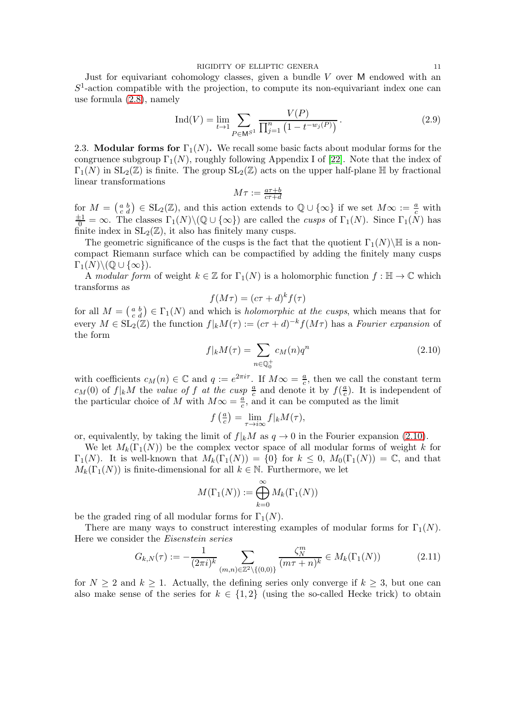Just for equivariant cohomology classes, given a bundle  $V$  over  $M$  endowed with an  $S<sup>1</sup>$ -action compatible with the projection, to compute its non-equivariant index one can use formula [\(2.8\)](#page-9-0), namely

<span id="page-10-3"></span>
$$
\operatorname{Ind}(V) = \lim_{t \to 1} \sum_{P \in \mathbb{M}^{S^1}} \frac{V(P)}{\prod_{j=1}^n (1 - t^{-w_j(P)})}.
$$
 (2.9)

<span id="page-10-0"></span>2.3. Modular forms for  $\Gamma_1(N)$ . We recall some basic facts about modular forms for the congruence subgroup  $\Gamma_1(N)$ , roughly following Appendix I of [\[22\]](#page-40-1). Note that the index of  $\Gamma_1(N)$  in  $SL_2(\mathbb{Z})$  is finite. The group  $SL_2(\mathbb{Z})$  acts on the upper half-plane  $\mathbb H$  by fractional linear transformations

$$
M\tau := \tfrac{a\tau + b}{c\tau + d}
$$

for  $M = \begin{pmatrix} a & b \\ c & d \end{pmatrix} \in SL_2(\mathbb{Z})$ , and this action extends to  $\mathbb{Q} \cup \{\infty\}$  if we set  $M \infty := \frac{a}{c}$  with  $\frac{\pm 1}{0} = \infty$ . The classes  $\Gamma_1(N) \setminus (\mathbb{Q} \cup {\infty})$  are called the *cusps* of  $\Gamma_1(N)$ . Since  $\Gamma_1(N)$  has finite index in  $SL_2(\mathbb{Z})$ , it also has finitely many cusps.

The geometric significance of the cusps is the fact that the quotient  $\Gamma_1(N)\backslash\mathbb{H}$  is a noncompact Riemann surface which can be compactified by adding the finitely many cusps  $\Gamma_1(N)\backslash (\mathbb{Q}\cup\{\infty\}).$ 

A modular form of weight  $k \in \mathbb{Z}$  for  $\Gamma_1(N)$  is a holomorphic function  $f : \mathbb{H} \to \mathbb{C}$  which transforms as

$$
f(M\tau) = (c\tau + d)^k f(\tau)
$$

for all  $M = \begin{pmatrix} a & b \\ c & d \end{pmatrix} \in \Gamma_1(N)$  and which is *holomorphic at the cusps*, which means that for every  $M \in SL_2(\mathbb{Z})$  the function  $f|_kM(\tau) := (c\tau + d)^{-k} f(M\tau)$  has a Fourier expansion of the form

<span id="page-10-1"></span>
$$
f|_k M(\tau) = \sum_{n \in \mathbb{Q}_0^+} c_M(n) q^n \tag{2.10}
$$

with coefficients  $c_M(n) \in \mathbb{C}$  and  $q := e^{2\pi i \tau}$ . If  $M \infty = \frac{a}{c}$  $\frac{a}{c}$ , then we call the constant term  $c_M(0)$  of  $f|_k M$  the value of f at the cusp  $\frac{a}{c}$  and denote it by  $f(\frac{a}{c})$  $\frac{a}{c}$ ). It is independent of the particular choice of M with  $M\infty = \frac{a}{c}$ , and it can be computed as the limit

$$
f\left(\frac{a}{c}\right) = \lim_{\tau \to i\infty} f|_k M(\tau),
$$

or, equivalently, by taking the limit of  $f|_kM$  as  $q \to 0$  in the Fourier expansion [\(2.10\)](#page-10-1).

We let  $M_k(\Gamma_1(N))$  be the complex vector space of all modular forms of weight k for  $\Gamma_1(N)$ . It is well-known that  $M_k(\Gamma_1(N)) = \{0\}$  for  $k \leq 0$ ,  $M_0(\Gamma_1(N)) = \mathbb{C}$ , and that  $M_k(\Gamma_1(N))$  is finite-dimensional for all  $k \in \mathbb{N}$ . Furthermore, we let

<span id="page-10-2"></span>
$$
M(\Gamma_1(N)) := \bigoplus_{k=0}^{\infty} M_k(\Gamma_1(N))
$$

be the graded ring of all modular forms for  $\Gamma_1(N)$ .

There are many ways to construct interesting examples of modular forms for  $\Gamma_1(N)$ . Here we consider the Eisenstein series

$$
G_{k,N}(\tau) := -\frac{1}{(2\pi i)^k} \sum_{(m,n)\in\mathbb{Z}^2\backslash\{(0,0)\}} \frac{\zeta_N^m}{(m\tau+n)^k} \in M_k(\Gamma_1(N))
$$
 (2.11)

for  $N \geq 2$  and  $k \geq 1$ . Actually, the defining series only converge if  $k \geq 3$ , but one can also make sense of the series for  $k \in \{1,2\}$  (using the so-called Hecke trick) to obtain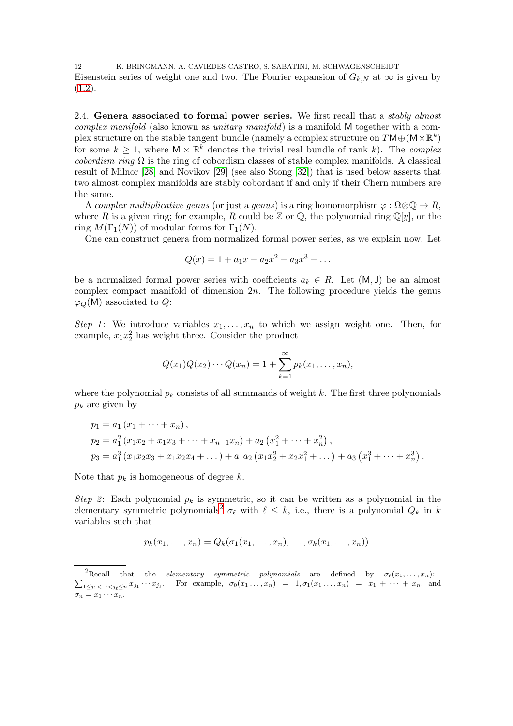12 K. BRINGMANN, A. CAVIEDES CASTRO, S. SABATINI, M. SCHWAGENSCHEIDT Eisenstein series of weight one and two. The Fourier expansion of  $G_{k,N}$  at  $\infty$  is given by  $(1.2).$  $(1.2).$ 

<span id="page-11-0"></span>2.4. Genera associated to formal power series. We first recall that a *stably almost* complex manifold (also known as unitary manifold) is a manifold M together with a complex structure on the stable tangent bundle (namely a complex structure on  $T\mathsf{M}\oplus(\mathsf{M}\times\mathbb{R}^k)$ for some  $k \geq 1$ , where  $M \times \mathbb{R}^k$  denotes the trivial real bundle of rank k). The complex cobordism ring  $\Omega$  is the ring of cobordism classes of stable complex manifolds. A classical result of Milnor [\[28\]](#page-40-11) and Novikov [\[29\]](#page-40-12) (see also Stong [\[32\]](#page-40-13)) that is used below asserts that two almost complex manifolds are stably cobordant if and only if their Chern numbers are the same.

A complex multiplicative genus (or just a genus) is a ring homomorphism  $\varphi : \Omega \otimes \mathbb{Q} \to R$ , where R is a given ring; for example, R could be  $\mathbb Z$  or  $\mathbb Q$ , the polynomial ring  $\mathbb Q[y]$ , or the ring  $M(\Gamma_1(N))$  of modular forms for  $\Gamma_1(N)$ .

One can construct genera from normalized formal power series, as we explain now. Let

$$
Q(x) = 1 + a_1 x + a_2 x^2 + a_3 x^3 + \dots
$$

be a normalized formal power series with coefficients  $a_k \in R$ . Let  $(M, J)$  be an almost complex compact manifold of dimension  $2n$ . The following procedure yields the genus  $\varphi_O(M)$  associated to Q:

Step 1: We introduce variables  $x_1, \ldots, x_n$  to which we assign weight one. Then, for example,  $x_1x_2^2$  has weight three. Consider the product

$$
Q(x_1)Q(x_2)\cdots Q(x_n) = 1 + \sum_{k=1}^{\infty} p_k(x_1,\ldots,x_n),
$$

where the polynomial  $p_k$  consists of all summands of weight k. The first three polynomials  $p_k$  are given by

$$
p_1 = a_1 (x_1 + \dots + x_n),
$$
  
\n
$$
p_2 = a_1^2 (x_1 x_2 + x_1 x_3 + \dots + x_{n-1} x_n) + a_2 (x_1^2 + \dots + x_n^2),
$$
  
\n
$$
p_3 = a_1^3 (x_1 x_2 x_3 + x_1 x_2 x_4 + \dots) + a_1 a_2 (x_1 x_2^2 + x_2 x_1^2 + \dots) + a_3 (x_1^3 + \dots + x_n^3).
$$

Note that  $p_k$  is homogeneous of degree k.

Step 2: Each polynomial  $p_k$  is symmetric, so it can be written as a polynomial in the elementary symmetric polynomials<sup>[2](#page-11-1)</sup>  $\sigma_{\ell}$  with  $\ell \leq k$ , i.e., there is a polynomial  $Q_k$  in k variables such that

$$
p_k(x_1,\ldots,x_n)=Q_k(\sigma_1(x_1,\ldots,x_n),\ldots,\sigma_k(x_1,\ldots,x_n)).
$$

<span id="page-11-1"></span>Procall that the *elementary symmetric polynomials* are defined by  $\sigma_{\ell}(x_1,\ldots,x_n)$ :=  $\sum_{1 \leq j_1 < \dots < j_\ell \leq n} x_{j_1} \cdots x_{j_\ell}$ . For example,  $\sigma_0(x_1 \dots, x_n) = 1, \sigma_1(x_1 \dots, x_n) = x_1 + \dots + x_n$ , and  $\sigma_n = x_1 \cdots x_n.$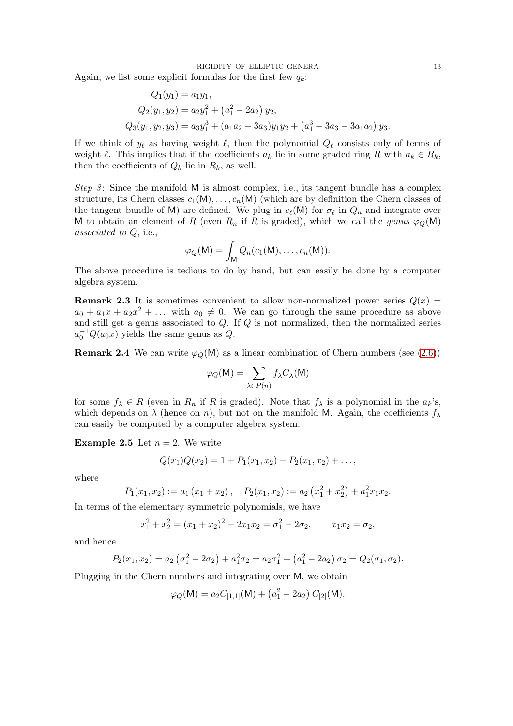RIGIDITY OF ELLIPTIC GENERA 13

Again, we list some explicit formulas for the first few  $q_k$ :

$$
Q_1(y_1) = a_1y_1,
$$
  
\n
$$
Q_2(y_1, y_2) = a_2y_1^2 + (a_1^2 - 2a_2) y_2,
$$
  
\n
$$
Q_3(y_1, y_2, y_3) = a_3y_1^3 + (a_1a_2 - 3a_3)y_1y_2 + (a_1^3 + 3a_3 - 3a_1a_2) y_3.
$$

If we think of  $y_\ell$  as having weight  $\ell$ , then the polynomial  $Q_\ell$  consists only of terms of weight  $\ell$ . This implies that if the coefficients  $a_k$  lie in some graded ring R with  $a_k \in R_k$ , then the coefficients of  $Q_k$  lie in  $R_k$ , as well.

Step 3: Since the manifold M is almost complex, i.e., its tangent bundle has a complex structure, its Chern classes  $c_1(M), \ldots, c_n(M)$  (which are by definition the Chern classes of the tangent bundle of M) are defined. We plug in  $c_{\ell}(\mathsf{M})$  for  $\sigma_{\ell}$  in  $Q_n$  and integrate over M to obtain an element of R (even  $R_n$  if R is graded), which we call the genus  $\varphi_O(M)$ associated to Q, i.e.,

$$
\varphi_Q(\mathsf{M}) = \int_{\mathsf{M}} Q_n(c_1(\mathsf{M}), \ldots, c_n(\mathsf{M})).
$$

The above procedure is tedious to do by hand, but can easily be done by a computer algebra system.

**Remark 2.3** It is sometimes convenient to allow non-normalized power series  $Q(x)$  =  $a_0 + a_1x + a_2x^2 + \dots$  with  $a_0 \neq 0$ . We can go through the same procedure as above and still get a genus associated to Q. If Q is not normalized, then the normalized series  $a_0^{-1}Q(a_0x)$  yields the same genus as Q.

**Remark 2.4** We can write  $\varphi_O(M)$  as a linear combination of Chern numbers (see [\(2.6\)](#page-9-1))

$$
\varphi_Q(\mathsf{M}) = \sum_{\lambda \in P(n)} f_{\lambda} C_{\lambda}(\mathsf{M})
$$

for some  $f_{\lambda} \in R$  (even in  $R_n$  if R is graded). Note that  $f_{\lambda}$  is a polynomial in the  $a_k$ 's, which depends on  $\lambda$  (hence on n), but not on the manifold M. Again, the coefficients  $f_{\lambda}$ can easily be computed by a computer algebra system.

**Example 2.5** Let  $n = 2$ . We write

$$
Q(x_1)Q(x_2) = 1 + P_1(x_1, x_2) + P_2(x_1, x_2) + \dots,
$$

where

$$
P_1(x_1, x_2) := a_1(x_1 + x_2), \quad P_2(x_1, x_2) := a_2(x_1^2 + x_2^2) + a_1^2 x_1 x_2.
$$

In terms of the elementary symmetric polynomials, we have

$$
x_1^2 + x_2^2 = (x_1 + x_2)^2 - 2x_1x_2 = \sigma_1^2 - 2\sigma_2, \qquad x_1x_2 = \sigma_2,
$$

and hence

$$
P_2(x_1, x_2) = a_2 \left(\sigma_1^2 - 2\sigma_2\right) + a_1^2 \sigma_2 = a_2 \sigma_1^2 + \left(a_1^2 - 2a_2\right) \sigma_2 = Q_2(\sigma_1, \sigma_2).
$$

Plugging in the Chern numbers and integrating over M, we obtain

$$
\varphi_Q(\mathsf{M}) = a_2 C_{[1,1]}(\mathsf{M}) + (a_1^2 - 2a_2) C_{[2]}(\mathsf{M}).
$$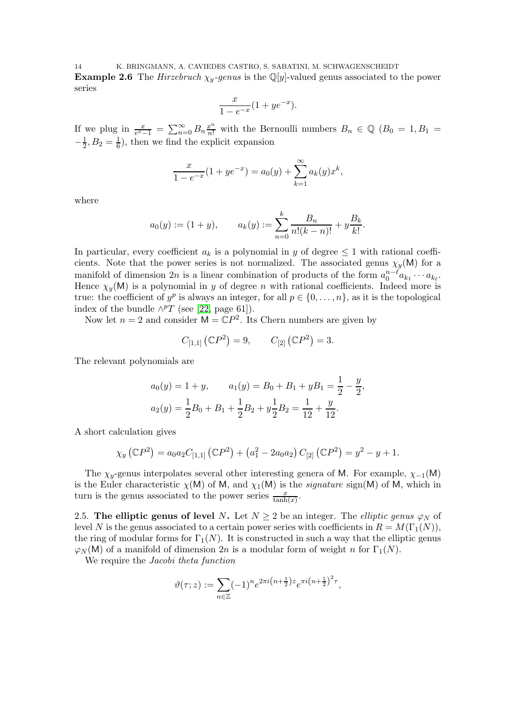14 K. BRINGMANN, A. CAVIEDES CASTRO, S. SABATINI, M. SCHWAGENSCHEIDT **Example 2.6** The Hirzebruch  $\chi_y$ -genus is the Q[y]-valued genus associated to the power series

$$
\frac{x}{1 - e^{-x}}(1 + ye^{-x}).
$$

If we plug in  $\frac{x}{e^x-1} = \sum_{n=0}^{\infty} B_n \frac{x^n}{n!}$  with the Bernoulli numbers  $B_n \in \mathbb{Q}$   $(B_0 = 1, B_1 =$  $-\frac{1}{2}, B_2 = \frac{1}{6}$ , then we find the explicit expansion

$$
\frac{x}{1 - e^{-x}}(1 + ye^{-x}) = a_0(y) + \sum_{k=1}^{\infty} a_k(y)x^k,
$$

where

$$
a_0(y) := (1 + y),
$$
  $a_k(y) := \sum_{n=0}^k \frac{B_n}{n!(k-n)!} + y\frac{B_k}{k!}.$ 

In particular, every coefficient  $a_k$  is a polynomial in y of degree  $\leq 1$  with rational coefficients. Note that the power series is not normalized. The associated genus  $\chi_y(\mathsf{M})$  for a manifold of dimension 2n is a linear combination of products of the form  $a_0^{n-\ell}a_{k_1}\cdots a_{k_\ell}$ . Hence  $\chi_y(\mathsf{M})$  is a polynomial in y of degree n with rational coefficients. Indeed more is true: the coefficient of  $y^p$  is always an integer, for all  $p \in \{0, \ldots, n\}$ , as it is the topological index of the bundle  $\wedge^p T$  (see [\[22,](#page-40-1) page 61]).

Now let  $n = 2$  and consider  $M = \mathbb{C}P^2$ . Its Chern numbers are given by

$$
C_{[1,1]}(\mathbb{C}P^2) = 9,
$$
  $C_{[2]}(\mathbb{C}P^2) = 3.$ 

The relevant polynomials are

$$
a_0(y) = 1 + y, \qquad a_1(y) = B_0 + B_1 + yB_1 = \frac{1}{2} - \frac{y}{2},
$$
  

$$
a_2(y) = \frac{1}{2}B_0 + B_1 + \frac{1}{2}B_2 + y\frac{1}{2}B_2 = \frac{1}{12} + \frac{y}{12}.
$$

A short calculation gives

$$
\chi_y\left(\mathbb{C}P^2\right) = a_0 a_2 C_{[1,1]}\left(\mathbb{C}P^2\right) + \left(a_1^2 - 2a_0 a_2\right) C_{[2]}\left(\mathbb{C}P^2\right) = y^2 - y + 1.
$$

The  $\chi_v$ -genus interpolates several other interesting genera of M. For example,  $\chi_{-1}(M)$ is the Euler characteristic  $\chi(M)$  of M, and  $\chi_1(M)$  is the *signature* sign(M) of M, which in turn is the genus associated to the power series  $\frac{x}{\tanh(x)}$ .

<span id="page-13-0"></span>2.5. The elliptic genus of level N. Let  $N \geq 2$  be an integer. The *elliptic genus*  $\varphi_N$  of level N is the genus associated to a certain power series with coefficients in  $R = M(\Gamma_1(N)),$ the ring of modular forms for  $\Gamma_1(N)$ . It is constructed in such a way that the elliptic genus  $\varphi_N(M)$  of a manifold of dimension  $2n$  is a modular form of weight n for  $\Gamma_1(N)$ .

We require the *Jacobi* theta function

$$
\vartheta(\tau;z) := \sum_{n \in \mathbb{Z}} (-1)^n e^{2\pi i \left(n + \frac{1}{2}\right)z} e^{\pi i \left(n + \frac{1}{2}\right)^2 \tau},
$$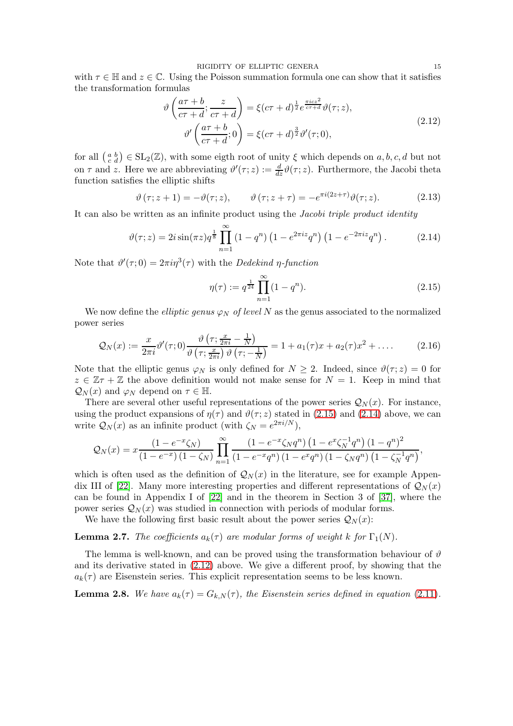RIGIDITY OF ELLIPTIC GENERA 15

with  $\tau \in \mathbb{H}$  and  $z \in \mathbb{C}$ . Using the Poisson summation formula one can show that it satisfies the transformation formulas

$$
\vartheta\left(\frac{a\tau+b}{c\tau+d};\frac{z}{c\tau+d}\right) = \xi(c\tau+d)^{\frac{1}{2}}e^{\frac{\pi icz^2}{c\tau+d}}\vartheta(\tau;z),
$$
\n
$$
\vartheta'\left(\frac{a\tau+b}{c\tau+d};0\right) = \xi(c\tau+d)^{\frac{3}{2}}\vartheta'(\tau;0),
$$
\n(2.12)

for all  $\left(\begin{smallmatrix} a & b \\ c & d \end{smallmatrix}\right) \in SL_2(\mathbb{Z})$ , with some eigth root of unity  $\xi$  which depends on  $a, b, c, d$  but not on  $\tau$  and z. Here we are abbreviating  $\vartheta'(\tau;z) := \frac{d}{dz}\vartheta(\tau;z)$ . Furthermore, the Jacobi theta function satisfies the elliptic shifts

$$
\vartheta(\tau; z+1) = -\vartheta(\tau; z), \qquad \vartheta(\tau; z+\tau) = -e^{\pi i (2z+\tau)} \vartheta(\tau; z). \tag{2.13}
$$

It can also be written as an infinite product using the Jacobi triple product identity

$$
\vartheta(\tau;z) = 2i\sin(\pi z)q^{\frac{1}{8}}\prod_{n=1}^{\infty} (1-q^n)\left(1-e^{2\pi iz}q^n\right)\left(1-e^{-2\pi iz}q^n\right). \tag{2.14}
$$

Note that  $\vartheta'(\tau;0) = 2\pi i \eta^3(\tau)$  with the *Dedekind*  $\eta$ -function

<span id="page-14-4"></span><span id="page-14-0"></span>
$$
\eta(\tau) := q^{\frac{1}{24}} \prod_{n=1}^{\infty} (1 - q^n). \tag{2.15}
$$

We now define the *elliptic genus*  $\varphi_N$  of level N as the genus associated to the normalized power series

$$
\mathcal{Q}_N(x) := \frac{x}{2\pi i} \vartheta'(\tau; 0) \frac{\vartheta\left(\tau; \frac{x}{2\pi i} - \frac{1}{N}\right)}{\vartheta\left(\tau; \frac{x}{2\pi i}\right) \vartheta\left(\tau; -\frac{1}{N}\right)} = 1 + a_1(\tau)x + a_2(\tau)x^2 + \dots
$$
\n(2.16)

Note that the elliptic genus  $\varphi_N$  is only defined for  $N \geq 2$ . Indeed, since  $\vartheta(\tau; z) = 0$  for  $z \in \mathbb{Z}\tau + \mathbb{Z}$  the above definition would not make sense for  $N = 1$ . Keep in mind that  $\mathcal{Q}_N(x)$  and  $\varphi_N$  depend on  $\tau \in \mathbb{H}$ .

There are several other useful representations of the power series  $\mathcal{Q}_N(x)$ . For instance, using the product expansions of  $\eta(\tau)$  and  $\vartheta(\tau;z)$  stated in [\(2.15\)](#page-14-0) and [\(2.14\)](#page-14-1) above, we can write  $\mathcal{Q}_N(x)$  as an infinite product (with  $\zeta_N = e^{2\pi i/N}$ ),

$$
Q_N(x) = x \frac{(1 - e^{-x} \zeta_N)}{(1 - e^{-x})(1 - \zeta_N)} \prod_{n=1}^{\infty} \frac{(1 - e^{-x} \zeta_N q^n) (1 - e^{-x} \zeta_N^{-1} q^n) (1 - q^n)^2}{(1 - e^{-x} q^n)(1 - e^{-x} q^n) (1 - \zeta_N q^n) (1 - \zeta_N^{-1} q^n)},
$$

which is often used as the definition of  $\mathcal{Q}_N(x)$  in the literature, see for example Appen-dix III of [\[22\]](#page-40-1). Many more interesting properties and different representations of  $\mathcal{Q}_N(x)$ can be found in Appendix I of [\[22\]](#page-40-1) and in the theorem in Section 3 of [\[37\]](#page-40-14), where the power series  $Q_N(x)$  was studied in connection with periods of modular forms.

We have the following first basic result about the power series  $\mathcal{Q}_N(x)$ :

**Lemma 2.7.** The coefficients  $a_k(\tau)$  are modular forms of weight k for  $\Gamma_1(N)$ .

The lemma is well-known, and can be proved using the transformation behaviour of  $\vartheta$ and its derivative stated in [\(2.12\)](#page-14-2) above. We give a different proof, by showing that the  $a_k(\tau)$  are Eisenstein series. This explicit representation seems to be less known.

<span id="page-14-5"></span>**Lemma 2.8.** We have  $a_k(\tau) = G_{k,N}(\tau)$ , the Eisenstein series defined in equation [\(2.11\)](#page-10-2).

<span id="page-14-3"></span><span id="page-14-2"></span><span id="page-14-1"></span>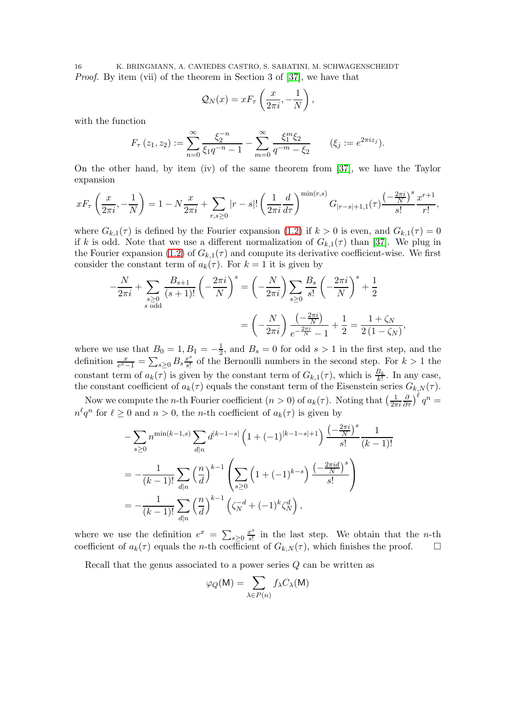16 K. BRINGMANN, A. CAVIEDES CASTRO, S. SABATINI, M. SCHWAGENSCHEIDT Proof. By item (vii) of the theorem in Section 3 of [\[37\]](#page-40-14), we have that

$$
Q_N(x) = xF_\tau \left(\frac{x}{2\pi i}, -\frac{1}{N}\right),\,
$$

with the function

$$
F_{\tau}(z_1, z_2) := \sum_{n=0}^{\infty} \frac{\xi_2^{-n}}{\xi_1 q^{-n} - 1} - \sum_{m=0}^{\infty} \frac{\xi_1^m \xi_2}{q^{-m} - \xi_2} \qquad (\xi_j := e^{2\pi i z_j}).
$$

On the other hand, by item (iv) of the same theorem from [\[37\]](#page-40-14), we have the Taylor expansion

$$
xF_{\tau}\left(\frac{x}{2\pi i}, -\frac{1}{N}\right) = 1 - N\frac{x}{2\pi i} + \sum_{r,s \ge 0} |r-s|! \left(\frac{1}{2\pi i} \frac{d}{d\tau}\right)^{\min(r,s)} G_{|r-s|+1,1}(\tau) \frac{\left(-\frac{2\pi i}{N}\right)^s}{s!} \frac{x^{r+1}}{r!},
$$

where  $G_{k,1}(\tau)$  is defined by the Fourier expansion [\(1.2\)](#page-3-2) if  $k > 0$  is even, and  $G_{k,1}(\tau) = 0$ if k is odd. Note that we use a different normalization of  $G_{k,1}(\tau)$  than [\[37\]](#page-40-14). We plug in the Fourier expansion [\(1.2\)](#page-3-2) of  $G_{k,1}(\tau)$  and compute its derivative coefficient-wise. We first consider the constant term of  $a_k(\tau)$ . For  $k = 1$  it is given by

$$
-\frac{N}{2\pi i} + \sum_{\substack{s\geq 0\\s \text{ odd}}} \frac{B_{s+1}}{(s+1)!} \left(-\frac{2\pi i}{N}\right)^s = \left(-\frac{N}{2\pi i}\right) \sum_{s\geq 0} \frac{B_s}{s!} \left(-\frac{2\pi i}{N}\right)^s + \frac{1}{2}
$$

$$
= \left(-\frac{N}{2\pi i}\right) \frac{\left(-\frac{2\pi i}{N}\right)}{e^{-\frac{2\pi i}{N}} - 1} + \frac{1}{2} = \frac{1 + \zeta_N}{2\left(1 - \zeta_N\right)},
$$

where we use that  $B_0 = 1, B_1 = -\frac{1}{2}$  $\frac{1}{2}$ , and  $B_s = 0$  for odd  $s > 1$  in the first step, and the definition  $\frac{x}{e^x-1} = \sum_{s\geq 0} B_s \frac{x^s}{s!}$  $\frac{v^s}{s!}$  of the Bernoulli numbers in the second step. For  $k > 1$  the constant term of  $a_k(\tau)$  is given by the constant term of  $G_{k,1}(\tau)$ , which is  $\frac{B_k}{k!}$ . In any case, the constant coefficient of  $a_k(\tau)$  equals the constant term of the Eisenstein series  $G_{k,N}(\tau)$ .

Now we compute the *n*-th Fourier coefficient  $(n > 0)$  of  $a_k(\tau)$ . Noting that  $\left(\frac{1}{2\pi}\right)$  $2\pi i$  $\frac{\partial}{\partial \tau}$  $\Big)$ <sup> $\ell$ </sup>  $q^n =$  $n^{\ell}q^n$  for  $\ell \geq 0$  and  $n > 0$ , the *n*-th coefficient of  $a_k(\tau)$  is given by

$$
-\sum_{s\geq 0} n^{\min(k-1,s)} \sum_{d|n} d^{|k-1-s|} \left( 1 + (-1)^{|k-1-s|+1} \right) \frac{\left(-\frac{2\pi i}{N}\right)^s}{s!} \frac{1}{(k-1)!}
$$

$$
= -\frac{1}{(k-1)!} \sum_{d|n} \left(\frac{n}{d}\right)^{k-1} \left( \sum_{s\geq 0} \left( 1 + (-1)^{k-s} \right) \frac{\left(-\frac{2\pi id}{N}\right)^s}{s!} \right)
$$

$$
= -\frac{1}{(k-1)!} \sum_{d|n} \left(\frac{n}{d}\right)^{k-1} \left( \zeta_N^{-d} + (-1)^k \zeta_N^d \right),
$$

where we use the definition  $e^x = \sum_{s\geq 0} \frac{x^s}{s!}$  $\frac{x^3}{s!}$  in the last step. We obtain that the *n*-th coefficient of  $a_k(\tau)$  equals the n-th coefficient of  $G_{k,N}(\tau)$ , which finishes the proof.  $\square$ 

Recall that the genus associated to a power series  $Q$  can be written as

$$
\varphi_Q(\mathsf{M})=\sum_{\lambda\in P(n)}f_{\lambda}C_{\lambda}(\mathsf{M})
$$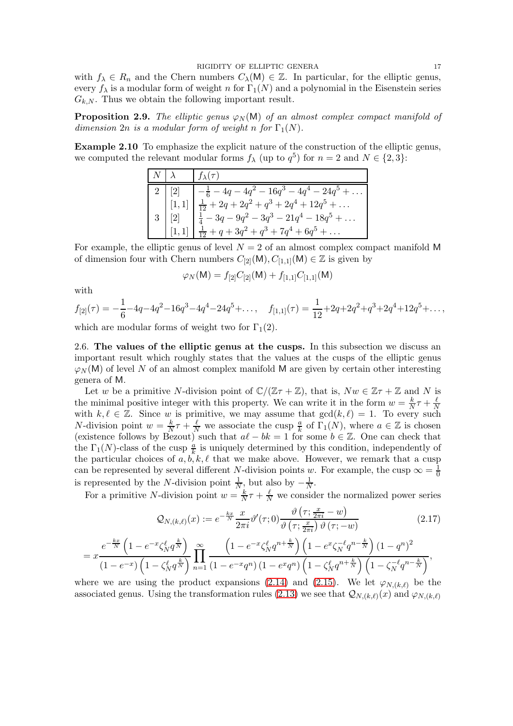with  $f_{\lambda} \in R_n$  and the Chern numbers  $C_{\lambda}(\mathsf{M}) \in \mathbb{Z}$ . In particular, for the elliptic genus, every  $f_{\lambda}$  is a modular form of weight n for  $\Gamma_1(N)$  and a polynomial in the Eisenstein series  $G_{k,N}$ . Thus we obtain the following important result.

**Proposition 2.9.** The elliptic genus  $\varphi_N(M)$  of an almost complex compact manifold of dimension  $2n$  is a modular form of weight n for  $\Gamma_1(N)$ .

Example 2.10 To emphasize the explicit nature of the construction of the elliptic genus, we computed the relevant modular forms  $f_{\lambda}$  (up to  $q^5$ ) for  $n=2$  and  $N \in \{2,3\}$ :

| $N \mid \lambda$ | $f_{\lambda}(\tau)$                                                                                                                                                                                                                                             |
|------------------|-----------------------------------------------------------------------------------------------------------------------------------------------------------------------------------------------------------------------------------------------------------------|
|                  |                                                                                                                                                                                                                                                                 |
|                  |                                                                                                                                                                                                                                                                 |
|                  |                                                                                                                                                                                                                                                                 |
|                  | $\begin{array}{ c c } \hline 2&[2] & -\frac{1}{6}-4q-4q^2-16q^3-4q^4-24q^5+\dots\\ [1,1] & \frac{1}{12}+2q+2q^2+q^3+2q^4+12q^5+\dots\\ [2] & \frac{1}{4}-3q-9q^2-3q^3-21q^4-18q^5+\dots\\ [1,1] & \frac{1}{12}+q+3q^2+q^3+7q^4+6q^5+\dots \\\hline \end{array}$ |

For example, the elliptic genus of level  $N = 2$  of an almost complex compact manifold M of dimension four with Chern numbers  $C_{[2]}(\mathsf{M}), C_{[1,1]}(\mathsf{M}) \in \mathbb{Z}$  is given by

$$
\varphi_N(\mathsf{M}) = f_{[2]}C_{[2]}(\mathsf{M}) + f_{[1,1]}C_{[1,1]}(\mathsf{M})
$$

with

$$
f_{[2]}(\tau) = -\frac{1}{6} - 4q - 4q^2 - 16q^3 - 4q^4 - 24q^5 + \dots, \quad f_{[1,1]}(\tau) = \frac{1}{12} + 2q + 2q^2 + q^3 + 2q^4 + 12q^5 + \dots,
$$

<span id="page-16-0"></span>which are modular forms of weight two for  $\Gamma_1(2)$ .

2.6. The values of the elliptic genus at the cusps. In this subsection we discuss an important result which roughly states that the values at the cusps of the elliptic genus  $\varphi_N(M)$  of level N of an almost complex manifold M are given by certain other interesting genera of M.

Let w be a primitive N-division point of  $\mathbb{C}/(\mathbb{Z}\tau+\mathbb{Z})$ , that is,  $Nw \in \mathbb{Z}\tau+\mathbb{Z}$  and N is the minimal positive integer with this property. We can write it in the form  $w = \frac{k}{\lambda}$  $\frac{k}{N}\tau+\frac{\ell}{N}$ N with  $k, \ell \in \mathbb{Z}$ . Since w is primitive, we may assume that  $gcd(k, \ell) = 1$ . To every such *N*-division point  $w = \frac{k}{N}$  $\frac{k}{N}\tau + \frac{\ell}{N}$  we associate the cusp  $\frac{a}{k}$  of  $\Gamma_1(N)$ , where  $a \in \mathbb{Z}$  is chosen (existence follows by Bezout) such that  $a\ell - bk = 1$  for some  $b \in \mathbb{Z}$ . One can check that the  $\Gamma_1(N)$ -class of the cusp  $\frac{a}{k}$  is uniquely determined by this condition, independently of the particular choices of  $a, b, k, \ell$  that we make above. However, we remark that a cusp can be represented by several different N-division points w. For example, the cusp  $\infty = \frac{1}{0}$ 0 is represented by the N-division point  $\frac{1}{N}$ , but also by  $-\frac{1}{N}$  $\frac{1}{N}$ .

For a primitive N-division point  $w = \frac{k}{N}$  $\frac{k}{N}\tau + \frac{\ell}{N}$  we consider the normalized power series

<span id="page-16-1"></span>
$$
\mathcal{Q}_{N,(k,\ell)}(x) := e^{-\frac{kx}{N}} \frac{x}{2\pi i} \vartheta'(\tau;0) \frac{\vartheta\left(\tau; \frac{x}{2\pi i} - w\right)}{\vartheta\left(\tau; \frac{x}{2\pi i}\right) \vartheta\left(\tau; -w\right)}\tag{2.17}
$$

$$
=x\frac{e^{-\frac{kx}{N}\left(1-e^{-x}\zeta_N^{\ell}q^{\frac{k}{N}}\right)}}{(1-e^{-x})\left(1-\zeta_N^{\ell}q^{\frac{k}{N}}\right)}\prod_{n=1}^{\infty}\frac{\left(1-e^{-x}\zeta_N^{\ell}q^{n+\frac{k}{N}}\right)\left(1-e^{x}\zeta_N^{-\ell}q^{n-\frac{k}{N}}\right)(1-q^n)^2}{(1-e^{-x}q^n)\left(1-e^{x}q^n\right)\left(1-\zeta_N^{\ell}q^{n+\frac{k}{N}}\right)\left(1-\zeta_N^{-\ell}q^{n-\frac{k}{N}}\right)},
$$

where we are using the product expansions [\(2.14\)](#page-14-1) and [\(2.15\)](#page-14-0). We let  $\varphi_{N,(k,\ell)}$  be the associated genus. Using the transformation rules [\(2.13\)](#page-14-3) we see that  $\mathcal{Q}_{N,(k,\ell)}(x)$  and  $\varphi_{N,(k,\ell)}$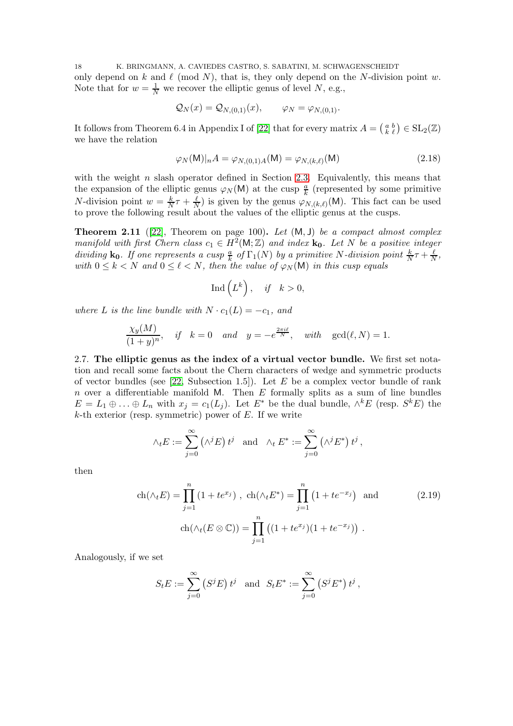18 K. BRINGMANN, A. CAVIEDES CASTRO, S. SABATINI, M. SCHWAGENSCHEIDT only depend on k and  $\ell \pmod{N}$ , that is, they only depend on the N-division point w. Note that for  $w = \frac{1}{N}$  we recover the elliptic genus of level N, e.g.,

$$
\mathcal{Q}_N(x) = \mathcal{Q}_{N,(0,1)}(x), \qquad \varphi_N = \varphi_{N,(0,1)}.
$$

It follows from Theorem 6.4 in Appendix I of [\[22\]](#page-40-1) that for every matrix  $A = \begin{pmatrix} a & b \\ k & \ell \end{pmatrix} \in SL_2(\mathbb{Z})$ we have the relation

<span id="page-17-3"></span>
$$
\varphi_N(\mathsf{M})|_n A = \varphi_{N,(0,1)A}(\mathsf{M}) = \varphi_{N,(k,\ell)}(\mathsf{M})
$$
\n(2.18)

with the weight n slash operator defined in Section [2.3.](#page-10-0) Equivalently, this means that the expansion of the elliptic genus  $\varphi_N(M)$  at the cusp  $\frac{a}{k}$  (represented by some primitive *N*-division point  $w = \frac{k}{N}$  $\frac{k}{N}\tau+\frac{\ell}{N}$  $\frac{\ell}{N}$ ) is given by the genus  $\varphi_{N,(k,\ell)}(\mathsf{M})$ . This fact can be used to prove the following result about the values of the elliptic genus at the cusps.

<span id="page-17-1"></span>**Theorem 2.11** ([\[22\]](#page-40-1), Theorem on page 100). Let  $(M, J)$  be a compact almost complex manifold with first Chern class  $c_1 \in H^2(\mathsf{M}; \mathbb{Z})$  and index  $\mathbf{k}_0$ . Let N be a positive integer dividing  $\mathbf{k_0}$ . If one represents a cusp  $\frac{a}{k}$  of  $\Gamma_1(N)$  by a primitive N-division point  $\frac{k}{N}\tau + \frac{\ell}{N}$  $\frac{\ell}{N}$ , with  $0 \leq k < N$  and  $0 \leq \ell < N$ , then the value of  $\varphi_N(\mathsf{M})$  in this cusp equals

$$
\operatorname{Ind}\left(L^{k}\right), \quad \text{if} \quad k > 0,
$$

where L is the line bundle with  $N \cdot c_1(L) = -c_1$ , and

$$
\frac{\chi_y(M)}{(1+y)^n}, \quad \text{if} \quad k=0 \quad \text{and} \quad y=-e^{\frac{2\pi i \ell}{N}}, \quad \text{with} \quad \gcd(\ell, N)=1.
$$

<span id="page-17-0"></span>2.7. The elliptic genus as the index of a virtual vector bundle. We first set notation and recall some facts about the Chern characters of wedge and symmetric products of vector bundles (see  $[22,$  Subsection 1.5]). Let E be a complex vector bundle of rank n over a differentiable manifold M. Then  $E$  formally splits as a sum of line bundles  $E = L_1 \oplus \ldots \oplus L_n$  with  $x_j = c_1(L_j)$ . Let  $E^*$  be the dual bundle,  $\wedge^k E$  (resp.  $S^k E$ ) the  $k$ -th exterior (resp. symmetric) power of  $E$ . If we write

<span id="page-17-2"></span>
$$
\wedge_t E := \sum_{j=0}^{\infty} (\wedge^j E) t^j \text{ and } \wedge_t E^* := \sum_{j=0}^{\infty} (\wedge^j E^*) t^j,
$$

then

$$
\operatorname{ch}(\wedge_t E) = \prod_{j=1}^n (1 + t e^{x_j}), \ \operatorname{ch}(\wedge_t E^*) = \prod_{j=1}^n (1 + t e^{-x_j}) \ \text{and} \tag{2.19}
$$

$$
\operatorname{ch}(\wedge_t (E \otimes \mathbb{C})) = \prod_{j=1}^n ((1 + t e^{x_j})(1 + t e^{-x_j})).
$$

Analogously, if we set

$$
S_t E := \sum_{j=0}^{\infty} (S^j E) t^j
$$
 and  $S_t E^* := \sum_{j=0}^{\infty} (S^j E^*) t^j$ ,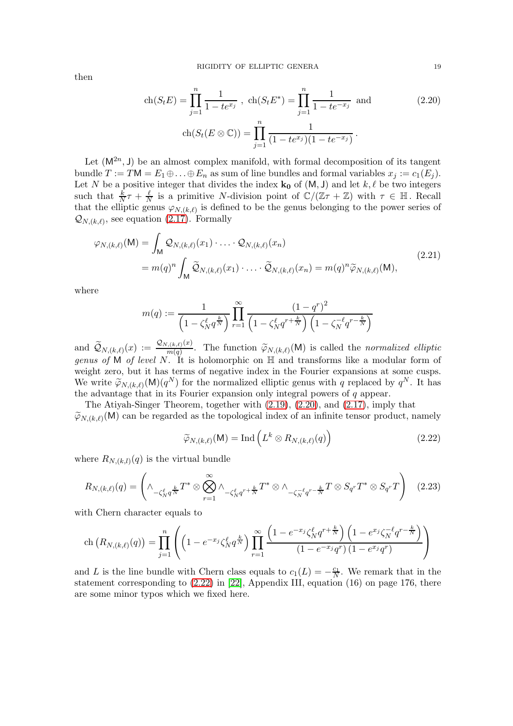then

<span id="page-18-1"></span>
$$
\operatorname{ch}(S_t E) = \prod_{j=1}^n \frac{1}{1 - te^{x_j}} , \ \operatorname{ch}(S_t E^*) = \prod_{j=1}^n \frac{1}{1 - te^{-x_j}} \text{ and } \tag{2.20}
$$
\n
$$
\operatorname{ch}(S_t (E \otimes \mathbb{C})) = \prod_{j=1}^n \frac{1}{(1 - te^{x_j})(1 - te^{-x_j})}.
$$

Let  $(M^{2n}, J)$  be an almost complex manifold, with formal decomposition of its tangent bundle  $T := TM = E_1 \oplus \ldots \oplus E_n$  as sum of line bundles and formal variables  $x_j := c_1(E_j)$ . Let N be a positive integer that divides the index  $\mathbf{k}_0$  of  $(M, J)$  and let  $k, \ell$  be two integers such that  $\frac{k}{N}\tau + \frac{\ell}{N}$  $\frac{\ell}{N}$  is a primitive N-division point of  $\mathbb{C}/(\mathbb{Z}\tau+\mathbb{Z})$  with  $\tau \in \mathbb{H}$ . Recall that the elliptic genus  $\varphi_{N,(k,\ell)}$  is defined to be the genus belonging to the power series of  $\mathcal{Q}_{N,(k,\ell)}$ , see equation [\(2.17\)](#page-16-1). Formally

$$
\varphi_{N,(k,\ell)}(\mathsf{M}) = \int_{\mathsf{M}} \mathcal{Q}_{N,(k,\ell)}(x_1) \cdot \ldots \cdot \mathcal{Q}_{N,(k,\ell)}(x_n)
$$
\n
$$
= m(q)^n \int_{\mathsf{M}} \widetilde{\mathcal{Q}}_{N,(k,\ell)}(x_1) \cdot \ldots \cdot \widetilde{\mathcal{Q}}_{N,(k,\ell)}(x_n) = m(q)^n \widetilde{\varphi}_{N,(k,\ell)}(\mathsf{M}),
$$
\n(2.21)

where

<span id="page-18-3"></span>
$$
m(q) := \frac{1}{\left(1 - \zeta_N^{\ell} q^{\frac{k}{N}}\right)} \prod_{r=1}^{\infty} \frac{\left(1 - q^r\right)^2}{\left(1 - \zeta_N^{\ell} q^{r + \frac{k}{N}}\right) \left(1 - \zeta_N^{-\ell} q^{r - \frac{k}{N}}\right)}
$$

and  $\widetilde{\mathcal{Q}}_{N,(k,\ell)}(x) \,:=\, \frac{\mathcal{Q}_{N,(k,\ell)}(x)}{m(q)}$  $\overline{m(q)}$ . The function  $\widetilde{\varphi}_{N,(k,\ell)}(\mathsf{M})$  is called the normalized elliptic genus of M of level N. It is holomorphic on  $\mathbb H$  and transforms like a modular form of weight zero, but it has terms of negative index in the Fourier expansions at some cusps. We write  $\widetilde{\varphi}_{N,(k,\ell)}(M)(q^N)$  for the normalized elliptic genus with q replaced by  $q^N$ . It has the advantage that in its Fourier expansion only integral powers of  $q$  appear.

The Atiyah-Singer Theorem, together with [\(2.19\)](#page-17-2), [\(2.20\)](#page-18-1), and [\(2.17\)](#page-16-1), imply that  $\widetilde{\varphi}_{N,(k,\ell)}(\mathsf{M})$  can be regarded as the topological index of an infinite tensor product, namely

<span id="page-18-0"></span>
$$
\widetilde{\varphi}_{N,(k,\ell)}(\mathsf{M}) = \mathrm{Ind}\left(L^k \otimes R_{N,(k,\ell)}(q)\right) \tag{2.22}
$$

where  $R_{N,(k,l)}(q)$  is the virtual bundle

<span id="page-18-2"></span>
$$
R_{N,(k,\ell)}(q) = \left(\wedge_{-\zeta_N^{\ell}q^{\frac{k}{N}}}T^* \otimes \bigotimes_{r=1}^{\infty}\wedge_{-\zeta_N^{\ell}q^{r+\frac{k}{N}}}T^* \otimes \wedge_{-\zeta_N^{-\ell}q^{r-\frac{k}{N}}}T \otimes S_{q^r}T^* \otimes S_{q^r}T\right) \quad (2.23)
$$

with Chern character equals to

$$
\text{ch}\left(R_{N,(k,\ell)}(q)\right) = \prod_{j=1}^{n} \left( \left(1 - e^{-x_j} \zeta_N^{\ell} q^{\frac{k}{N}}\right) \prod_{r=1}^{\infty} \frac{\left(1 - e^{-x_j} \zeta_N^{\ell} q^{r + \frac{k}{N}}\right) \left(1 - e^{x_j} \zeta_N^{-\ell} q^{r - \frac{k}{N}}\right)}{\left(1 - e^{-x_j} q^r\right)\left(1 - e^{x_j} q^r\right)} \right)
$$

and L is the line bundle with Chern class equals to  $c_1(L) = -\frac{c_1}{N}$ . We remark that in the statement corresponding to [\(2.22\)](#page-18-0) in [\[22\]](#page-40-1), Appendix III, equation (16) on page 176, there are some minor typos which we fixed here.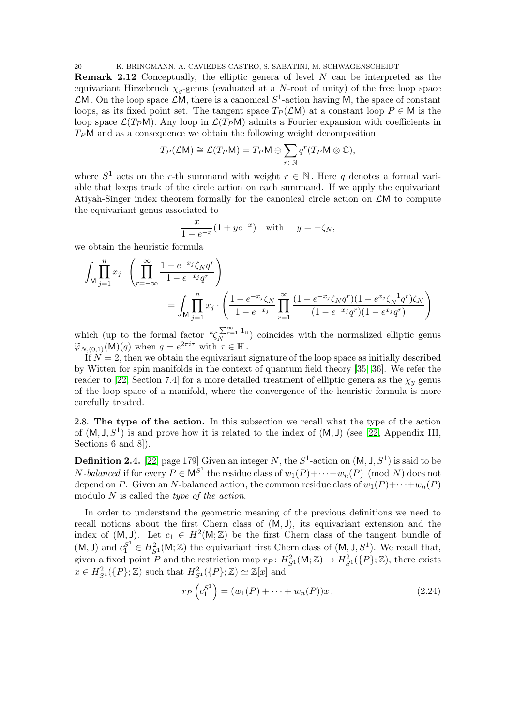20 K. BRINGMANN, A. CAVIEDES CASTRO, S. SABATINI, M. SCHWAGENSCHEIDT

Remark 2.12 Conceptually, the elliptic genera of level N can be interpreted as the equivariant Hirzebruch  $\chi_y$ -genus (evaluated at a N-root of unity) of the free loop space  $\mathcal{L}$ M. On the loop space  $\mathcal{L}$ M, there is a canonical  $S^1$ -action having M, the space of constant loops, as its fixed point set. The tangent space  $T_P(\mathcal{L}M)$  at a constant loop  $P \in M$  is the loop space  $\mathcal{L}(T_P M)$ . Any loop in  $\mathcal{L}(T_P M)$  admits a Fourier expansion with coefficients in  $T_P$ M and as a consequence we obtain the following weight decomposition

$$
T_P(\mathcal{L}M) \cong \mathcal{L}(T_P M) = T_P M \oplus \sum_{r \in \mathbb{N}} q^r(T_P M \otimes \mathbb{C}),
$$

where  $S^1$  acts on the r-th summand with weight  $r \in \mathbb{N}$ . Here q denotes a formal variable that keeps track of the circle action on each summand. If we apply the equivariant Atiyah-Singer index theorem formally for the canonical circle action on  $\mathcal{L}M$  to compute the equivariant genus associated to

$$
\frac{x}{1 - e^{-x}}(1 + ye^{-x}) \quad \text{with} \quad y = -\zeta_N,
$$

we obtain the heuristic formula

$$
\int_{\mathsf{M}} \prod_{j=1}^{n} x_j \cdot \left( \prod_{r=-\infty}^{\infty} \frac{1 - e^{-x_j} \zeta_N q^r}{1 - e^{-x_j} q^r} \right)
$$
\n
$$
= \int_{\mathsf{M}} \prod_{j=1}^{n} x_j \cdot \left( \frac{1 - e^{-x_j} \zeta_N}{1 - e^{-x_j}} \prod_{r=1}^{\infty} \frac{(1 - e^{-x_j} \zeta_N q^r)(1 - e^{x_j} \zeta_N^{-1} q^r) \zeta_N}{(1 - e^{-x_j} q^r)(1 - e^{x_j} q^r)} \right)
$$

which (up to the formal factor  $\sqrt[n]{\sum_{r=1}^{\infty}}$   $\frac{1}{n}$ ) coincides with the normalized elliptic genus  $\widetilde{\varphi}_{N,(0,1)}(\mathsf{M})(q)$  when  $q = e^{2\pi i \tau}$  with  $\tau \in \mathbb{H}$ .

If  $N = 2$ , then we obtain the equivariant signature of the loop space as initially described by Witten for spin manifolds in the context of quantum field theory [\[35,](#page-40-15) [36\]](#page-40-0). We refer the reader to [\[22,](#page-40-1) Section 7.4] for a more detailed treatment of elliptic genera as the  $\chi_y$  genus of the loop space of a manifold, where the convergence of the heuristic formula is more carefully treated.

<span id="page-19-0"></span>2.8. The type of the action. In this subsection we recall what the type of the action of  $(M, J, S^1)$  is and prove how it is related to the index of  $(M, J)$  (see [\[22,](#page-40-1) Appendix III, Sections 6 and 8.

<span id="page-19-1"></span>**Definition 2.4.** [\[22,](#page-40-1) page 179] Given an integer N, the  $S^1$ -action on  $(M, J, S^1)$  is said to be *N*-balanced if for every  $P \in M^{S^1}$  the residue class of  $w_1(P) + \cdots + w_n(P)$  (mod *N*) does not depend on P. Given an N-balanced action, the common residue class of  $w_1(P) + \cdots + w_n(P)$ modulo N is called the type of the action.

In order to understand the geometric meaning of the previous definitions we need to recall notions about the first Chern class of (M, J), its equivariant extension and the index of  $(M, J)$ . Let  $c_1 \in H^2(M; \mathbb{Z})$  be the first Chern class of the tangent bundle of  $(M, J)$  and  $c_1^{S^1} \in H^2_{S^1}(M; \mathbb{Z})$  the equivariant first Chern class of  $(M, J, S^1)$ . We recall that, given a fixed point P and the restriction map  $r_P: H^2_{S^1}(\mathsf{M}; \mathbb{Z}) \to H^2_{S^1}(\{P\}; \mathbb{Z})$ , there exists  $x \in H_{S^1}^2(\lbrace P \rbrace;\mathbb{Z})$  such that  $H_{S^1}^2(\lbrace P \rbrace;\mathbb{Z}) \simeq \mathbb{Z}[x]$  and

<span id="page-19-2"></span>
$$
r_P\left(c_1^{S^1}\right) = (w_1(P) + \dots + w_n(P))x.
$$
 (2.24)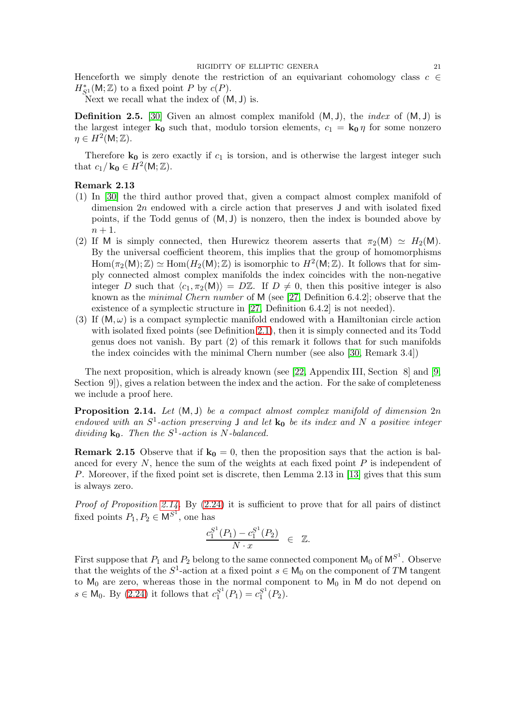Henceforth we simply denote the restriction of an equivariant cohomology class  $c \in \mathcal{L}$  $H_{S^1}^*(\mathsf{M};\mathbb{Z})$  to a fixed point P by  $c(P)$ .

Next we recall what the index of  $(M, J)$  is.

**Definition 2.5.** [\[30\]](#page-40-5) Given an almost complex manifold  $(M, J)$ , the *index* of  $(M, J)$  is the largest integer  $\mathbf{k}_0$  such that, modulo torsion elements,  $c_1 = \mathbf{k}_0 \eta$  for some nonzero  $\eta \in H^2(\mathsf{M};\mathbb{Z}).$ 

Therefore  $\mathbf{k}_0$  is zero exactly if  $c_1$  is torsion, and is otherwise the largest integer such that  $c_1/\mathbf{k_0} \in H^2(\mathsf{M};\mathbb{Z})$ .

# Remark 2.13

- (1) In [\[30\]](#page-40-5) the third author proved that, given a compact almost complex manifold of dimension  $2n$  endowed with a circle action that preserves  $J$  and with isolated fixed points, if the Todd genus of  $(M, J)$  is nonzero, then the index is bounded above by  $n+1$ .
- (2) If M is simply connected, then Hurewicz theorem asserts that  $\pi_2(M) \simeq H_2(M)$ . By the universal coefficient theorem, this implies that the group of homomorphisms  $\text{Hom}(\pi_2(M); \mathbb{Z}) \simeq \text{Hom}(H_2(M); \mathbb{Z})$  is isomorphic to  $H^2(M; \mathbb{Z})$ . It follows that for simply connected almost complex manifolds the index coincides with the non-negative integer D such that  $\langle c_1, \pi_2(M)\rangle = D\mathbb{Z}$ . If  $D \neq 0$ , then this positive integer is also known as the minimal Chern number of M (see [\[27,](#page-40-16) Definition 6.4.2]; observe that the existence of a symplectic structure in [\[27,](#page-40-16) Definition 6.4.2] is not needed).
- (3) If  $(M, \omega)$  is a compact symplectic manifold endowed with a Hamiltonian circle action with isolated fixed points (see Definition [2.1\)](#page-6-3), then it is simply connected and its Todd genus does not vanish. By part (2) of this remark it follows that for such manifolds the index coincides with the minimal Chern number (see also [\[30,](#page-40-5) Remark 3.4])

The next proposition, which is already known (see [\[22,](#page-40-1) Appendix III, Section 8] and [\[9,](#page-39-1) Section 9.), gives a relation between the index and the action. For the sake of completeness we include a proof here.

<span id="page-20-0"></span>**Proposition 2.14.** Let  $(M, J)$  be a compact almost complex manifold of dimension  $2n$ endowed with an  $S^1$ -action preserving J and let  $k_0$  be its index and N a positive integer dividing  $k_0$ . Then the  $S^1$ -action is N-balanced.

**Remark 2.15** Observe that if  $\mathbf{k_0} = 0$ , then the proposition says that the action is balanced for every  $N$ , hence the sum of the weights at each fixed point  $P$  is independent of P. Moreover, if the fixed point set is discrete, then Lemma 2.13 in [\[13\]](#page-39-13) gives that this sum is always zero.

Proof of Proposition [2.14.](#page-20-0) By  $(2.24)$  it is sufficient to prove that for all pairs of distinct fixed points  $P_1, P_2 \in M^{S^1}$ , one has

$$
\frac{c_1^{S^1}(P_1) - c_1^{S^1}(P_2)}{N \cdot x} \in \mathbb{Z}.
$$

First suppose that  $P_1$  and  $P_2$  belong to the same connected component  $\mathsf{M}_0$  of  $\mathsf{M}^{S^1}$ . Observe that the weights of the  $S^1$ -action at a fixed point  $s \in M_0$  on the component of TM tangent to  $M_0$  are zero, whereas those in the normal component to  $M_0$  in M do not depend on  $s \in \mathsf{M}_0$ . By [\(2.24\)](#page-19-2) it follows that  $c_1^{S^1}$  $S_1^{S^1}(P_1) = c_1^{S^1}$  $_{1}^{S^{1}}(P_{2}).$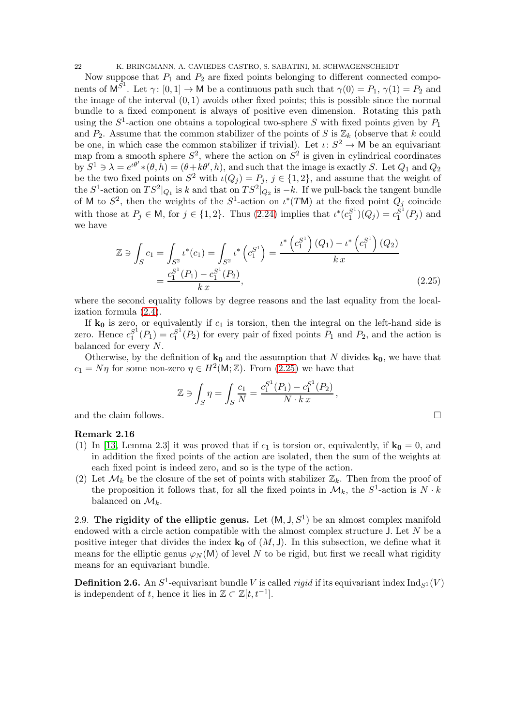22 K. BRINGMANN, A. CAVIEDES CASTRO, S. SABATINI, M. SCHWAGENSCHEIDT

Now suppose that  $P_1$  and  $P_2$  are fixed points belonging to different connected components of  $\mathsf{M}^{S^1}$ . Let  $\gamma: [0,1] \to \mathsf{M}$  be a continuous path such that  $\gamma(0) = P_1$ ,  $\gamma(1) = P_2$  and the image of the interval  $(0, 1)$  avoids other fixed points; this is possible since the normal bundle to a fixed component is always of positive even dimension. Rotating this path using the  $S^1$ -action one obtains a topological two-sphere S with fixed points given by  $P_1$ and  $P_2$ . Assume that the common stabilizer of the points of S is  $\mathbb{Z}_k$  (observe that k could be one, in which case the common stabilizer if trivial). Let  $\iota: S^2 \to M$  be an equivariant map from a smooth sphere  $S^2$ , where the action on  $S^2$  is given in cylindrical coordinates by  $S^1 \ni \lambda = e^{\iota \theta'} * (\theta, h) = (\theta + k\theta', h)$ , and such that the image is exactly S. Let  $Q_1$  and  $Q_2$ be the two fixed points on  $S^2$  with  $\iota(Q_j) = P_j$ ,  $j \in \{1, 2\}$ , and assume that the weight of the  $S^1$ -action on  $TS^2|_{Q_1}$  is k and that on  $TS^2|_{Q_2}$  is  $-k$ . If we pull-back the tangent bundle of M to  $S^2$ , then the weights of the  $S^1$ -action on  $\iota^*(T\mathsf{M})$  at the fixed point  $Q_j$  coincide with those at  $P_j \in \mathsf{M}$ , for  $j \in \{1, 2\}$ . Thus  $(2.24)$  implies that  $\iota^*(c_1^{S^1})$  $\binom{S^1}{1}(Q_j) = c_1^{S^1}$  $_1^{S^1}(P_j)$  and we have

<span id="page-21-1"></span>
$$
\mathbb{Z} \ni \int_{S} c_{1} = \int_{S^{2}} \iota^{*}(c_{1}) = \int_{S^{2}} \iota^{*}\left(c_{1}^{S^{1}}\right) = \frac{\iota^{*}\left(c_{1}^{S^{1}}\right)(Q_{1}) - \iota^{*}\left(c_{1}^{S^{1}}\right)(Q_{2})}{k x} = \frac{c_{1}^{S^{1}}(P_{1}) - c_{1}^{S^{1}}(P_{2})}{k x},
$$
\n(2.25)

where the second equality follows by degree reasons and the last equality from the localization formula [\(2.4\)](#page-8-2).

If  $k_0$  is zero, or equivalently if  $c_1$  is torsion, then the integral on the left-hand side is zero. Hence  $c_1^{S^1}$  $S_1^{1}(P_1) = c_1^{S^1}$  $I_1^{S^1}(P_2)$  for every pair of fixed points  $P_1$  and  $P_2$ , and the action is balanced for every N.

Otherwise, by the definition of  $\mathbf{k}_0$  and the assumption that N divides  $\mathbf{k}_0$ , we have that  $c_1 = N\eta$  for some non-zero  $\eta \in H^2(\mathsf{M}; \mathbb{Z})$ . From [\(2.25\)](#page-21-1) we have that

$$
\mathbb{Z}\ni\int_S\eta=\int_S\frac{c_1}{N}=\frac{c_1^{S^1}(P_1)-c_1^{S^1}(P_2)}{N\cdot k\,x}\,,
$$
 and the claim follows.  $\Box$ 

## Remark 2.16

- (1) In [\[13,](#page-39-13) Lemma 2.3] it was proved that if  $c_1$  is torsion or, equivalently, if  $\mathbf{k_0} = 0$ , and in addition the fixed points of the action are isolated, then the sum of the weights at each fixed point is indeed zero, and so is the type of the action.
- (2) Let  $\mathcal{M}_k$  be the closure of the set of points with stabilizer  $\mathbb{Z}_k$ . Then from the proof of the proposition it follows that, for all the fixed points in  $\mathcal{M}_k$ , the  $S^1$ -action is  $N \cdot k$ balanced on  $\mathcal{M}_k$ .

<span id="page-21-0"></span>2.9. The rigidity of the elliptic genus. Let  $(M, J, S^1)$  be an almost complex manifold endowed with a circle action compatible with the almost complex structure  $J$ . Let  $N$  be a positive integer that divides the index  $\mathbf{k}_0$  of  $(M, J)$ . In this subsection, we define what it means for the elliptic genus  $\varphi_N(M)$  of level N to be rigid, but first we recall what rigidity means for an equivariant bundle.

**Definition 2.6.** An  $S^1$ -equivariant bundle V is called *rigid* if its equivariant index  $\text{Ind}_{S^1}(V)$ is independent of t, hence it lies in  $\mathbb{Z} \subset \mathbb{Z}[t, t^{-1}]$ .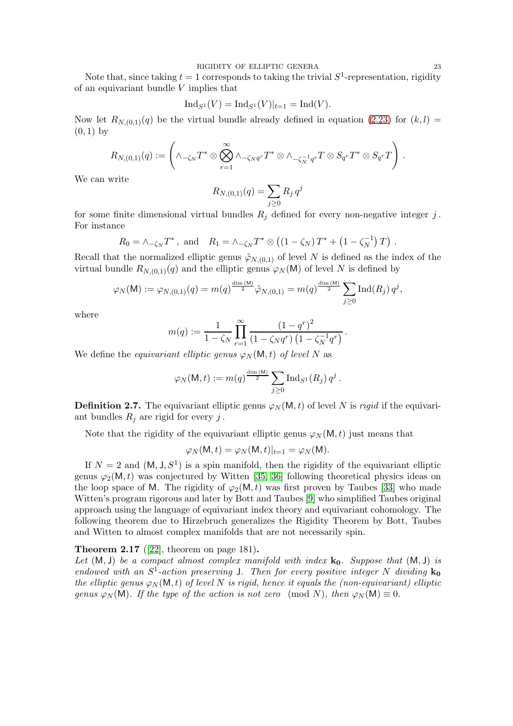Note that, since taking  $t = 1$  corresponds to taking the trivial  $S^1$ -representation, rigidity of an equivariant bundle V implies that

$$
Ind_{S^1}(V) = Ind_{S^1}(V)|_{t=1} = Ind(V).
$$

Now let  $R_{N,(0,1)}(q)$  be the virtual bundle already defined in equation [\(2.23\)](#page-18-2) for  $(k, l)$  =  $(0, 1)$  by

$$
R_{N,(0,1)}(q):=\left(\wedge_{-\zeta_{N}}T^{*}\otimes\bigotimes_{r=1}^{\infty}\wedge_{-\zeta_{N}q^{r}}T^{*}\otimes\wedge_{-\zeta_{N}^{-1}q^{r}}T\otimes S_{q^{r}}T^{*}\otimes S_{q^{r}}T\right)\,.
$$

We can write

$$
R_{N,(0,1)}(q) = \sum_{j\geq 0} R_j q^j
$$

for some finite dimensional virtual bundles  $R_j$  defined for every non-negative integer j. For instance

$$
R_0 = \wedge_{-\zeta_N} T^*
$$
, and  $R_1 = \wedge_{-\zeta_N} T^* \otimes ((1 - \zeta_N) T^* + (1 - \zeta_N^{-1}) T)$ .

Recall that the normalized elliptic genus  $\tilde{\varphi}_{N,(0,1)}$  of level N is defined as the index of the virtual bundle  $R_{N,(0,1)}(q)$  and the elliptic genus  $\varphi_N(\mathsf{M})$  of level N is defined by

$$
\varphi_N(\mathsf{M}) := \varphi_{N,(0,1)}(q) = m(q)^{\frac{\dim(\mathsf{M})}{2}} \tilde{\varphi}_{N,(0,1)} = m(q)^{\frac{\dim(\mathsf{M})}{2}} \sum_{j \geq 0} \mathrm{Ind}(R_j) q^j,
$$

where

$$
m(q) := \frac{1}{1 - \zeta_N} \prod_{r=1}^{\infty} \frac{\left(1 - q^r\right)^2}{\left(1 - \zeta_N q^r\right) \left(1 - \zeta_N^{-1} q^r\right)}.
$$

We define the equivariant elliptic genus  $\varphi_N(\mathsf{M},t)$  of level N as

$$
\varphi_N(\mathsf{M},t) := m(q)^{\frac{\dim(\mathsf{M})}{2}} \sum_{j\geq 0} \operatorname{Ind}_{S^1}(R_j) q^j.
$$

**Definition 2.7.** The equivariant elliptic genus  $\varphi_N(\mathsf{M}, t)$  of level N is rigid if the equivariant bundles  $R_i$  are rigid for every j.

Note that the rigidity of the equivariant elliptic genus  $\varphi_N(\mathsf{M},t)$  just means that

$$
\varphi_N(\mathsf{M},t) = \varphi_N(\mathsf{M},t)|_{t=1} = \varphi_N(\mathsf{M}).
$$

If  $N = 2$  and  $(M, J, S^1)$  is a spin manifold, then the rigidity of the equivariant elliptic genus  $\varphi_2(M,t)$  was conjectured by Witten [\[35,](#page-40-15) [36\]](#page-40-0) following theoretical physics ideas on the loop space of M. The rigidity of  $\varphi_2(M,t)$  was first proven by Taubes [\[33\]](#page-40-3) who made Witten's program rigorous and later by Bott and Taubes [\[9\]](#page-39-1) who simplified Taubes original approach using the language of equivariant index theory and equivariant cohomology. The following theorem due to Hirzebruch generalizes the Rigidity Theorem by Bott, Taubes and Witten to almost complex manifolds that are not necessarily spin.

<span id="page-22-0"></span>**Theorem 2.17** ([\[22\]](#page-40-1), theorem on page 181).

Let  $(M, J)$  be a compact almost complex manifold with index  $k_0$ . Suppose that  $(M, J)$  is endowed with an  $S^1$ -action preserving J. Then for every positive integer N dividing  $\mathbf{k}_0$ the elliptic genus  $\varphi_N(\mathsf{M},t)$  of level N is rigid, hence it equals the (non-equivariant) elliptic genus  $\varphi_N(\mathsf{M})$ . If the type of the action is not zero (mod N), then  $\varphi_N(\mathsf{M}) \equiv 0$ .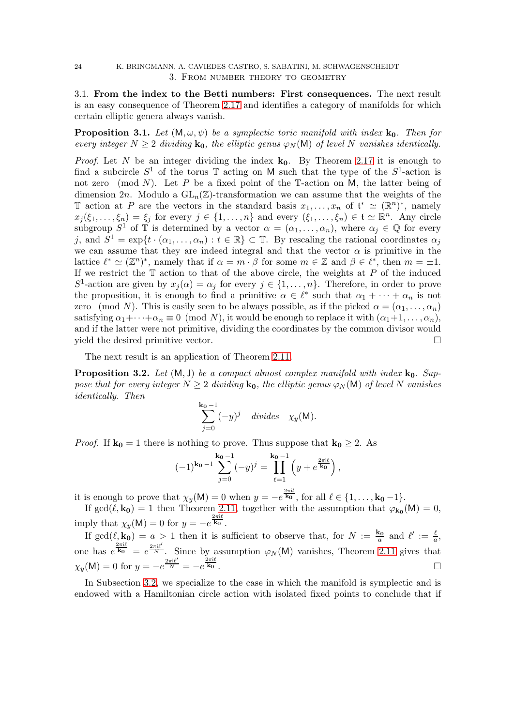# <span id="page-23-1"></span><span id="page-23-0"></span>24 K. BRINGMANN, A. CAVIEDES CASTRO, S. SABATINI, M. SCHWAGENSCHEIDT 3. From number theory to geometry

3.1. From the index to the Betti numbers: First consequences. The next result is an easy consequence of Theorem [2.17](#page-22-0) and identifies a category of manifolds for which certain elliptic genera always vanish.

<span id="page-23-2"></span>**Proposition 3.1.** Let  $(M, \omega, \psi)$  be a symplectic toric manifold with index  $\mathbf{k}_0$ . Then for every integer  $N \geq 2$  dividing  $\mathbf{k}_0$ , the elliptic genus  $\varphi_N(\mathsf{M})$  of level N vanishes identically.

*Proof.* Let N be an integer dividing the index  $k_0$ . By Theorem [2.17](#page-22-0) it is enough to find a subcircle  $S^1$  of the torus  $\mathbb T$  acting on M such that the type of the  $S^1$ -action is not zero (mod N). Let P be a fixed point of the  $\mathbb{T}$ -action on M, the latter being of dimension  $2n$ . Modulo a  $GL_n(\mathbb{Z})$ -transformation we can assume that the weights of the T action at P are the vectors in the standard basis  $x_1, \ldots, x_n$  of  $\mathfrak{t}^* \simeq (\mathbb{R}^n)^*$ , namely  $x_j(\xi_1,\ldots,\xi_n) = \xi_j$  for every  $j \in \{1,\ldots,n\}$  and every  $(\xi_1,\ldots,\xi_n) \in \mathfrak{t} \simeq \mathbb{R}^n$ . Any circle subgroup  $S^1$  of  $\mathbb T$  is determined by a vector  $\alpha = (\alpha_1, \ldots, \alpha_n)$ , where  $\alpha_j \in \mathbb Q$  for every j, and  $S^1 = \exp\{t \cdot (\alpha_1, \dots, \alpha_n) : t \in \mathbb{R}\}\subset \mathbb{T}$ . By rescaling the rational coordinates  $\alpha_j$ we can assume that they are indeed integral and that the vector  $\alpha$  is primitive in the lattice  $\ell^* \simeq (\mathbb{Z}^n)^*$ , namely that if  $\alpha = m \cdot \beta$  for some  $m \in \mathbb{Z}$  and  $\beta \in \ell^*$ , then  $m = \pm 1$ . If we restrict the  $\mathbb T$  action to that of the above circle, the weights at P of the induced  $S^1$ -action are given by  $x_j(\alpha) = \alpha_j$  for every  $j \in \{1, ..., n\}$ . Therefore, in order to prove the proposition, it is enough to find a primitive  $\alpha \in \ell^*$  such that  $\alpha_1 + \cdots + \alpha_n$  is not zero (mod N). This is easily seen to be always possible, as if the picked  $\alpha = (\alpha_1, \ldots, \alpha_n)$ satisfying  $\alpha_1 + \cdots + \alpha_n \equiv 0 \pmod{N}$ , it would be enough to replace it with  $(\alpha_1 + 1, \ldots, \alpha_n)$ , and if the latter were not primitive, dividing the coordinates by the common divisor would yield the desired primitive vector.

The next result is an application of Theorem [2.11.](#page-17-1)

<span id="page-23-3"></span>**Proposition 3.2.** Let  $(M, J)$  be a compact almost complex manifold with index  $\mathbf{k}_0$ . Suppose that for every integer  $N \geq 2$  dividing  $\mathbf{k}_0$ , the elliptic genus  $\varphi_N(\mathsf{M})$  of level N vanishes identically. Then

$$
\sum_{j=0}^{\mathbf{k_0}-1}(-y)^j \quad \text{divides} \quad \chi_y(\mathsf{M}).
$$

*Proof.* If  $k_0 = 1$  there is nothing to prove. Thus suppose that  $k_0 \geq 2$ . As

$$
(-1)^{k_0-1}\sum_{j=0}^{k_0-1}(-y)^j=\prod_{\ell=1}^{k_0-1}\left(y+e^{\frac{2\pi i\ell}{k_0}}\right),
$$

it is enough to prove that  $\chi_y(\mathsf{M}) = 0$  when  $y = -e^{\frac{2\pi i l}{\mathbf{k_0}}}$ , for all  $\ell \in \{1, \ldots, \mathbf{k_0} - 1\}$ .

If  $gcd(\ell, k_0) = 1$  then Theorem [2.11,](#page-17-1) together with the assumption that  $\varphi_{k_0}(M) = 0$ , imply that  $\chi_y(\mathsf{M}) = 0$  for  $y = -e^{\frac{2\pi i \ell}{\mathbf{k_0}}}$ .

If  $gcd(\ell, k_0) = a > 1$  then it is sufficient to observe that, for  $N := \frac{k_0}{a}$  and  $\ell' := \frac{\ell}{a}$ , one has  $e^{\frac{2\pi i \ell}{k_0}} = e^{\frac{2\pi i \ell}{N}}$ . Since by assumption  $\varphi_N(M)$  vanishes, Theorem [2.11](#page-17-1) gives that  $\chi_y(\mathsf{M}) = 0 \text{ for } y = -e^{\frac{2\pi i \ell}{N}} = -e^{\frac{2\pi i \ell}{\mathbf{k_0}}}.$ 

In Subsection [3.2,](#page-26-0) we specialize to the case in which the manifold is symplectic and is endowed with a Hamiltonian circle action with isolated fixed points to conclude that if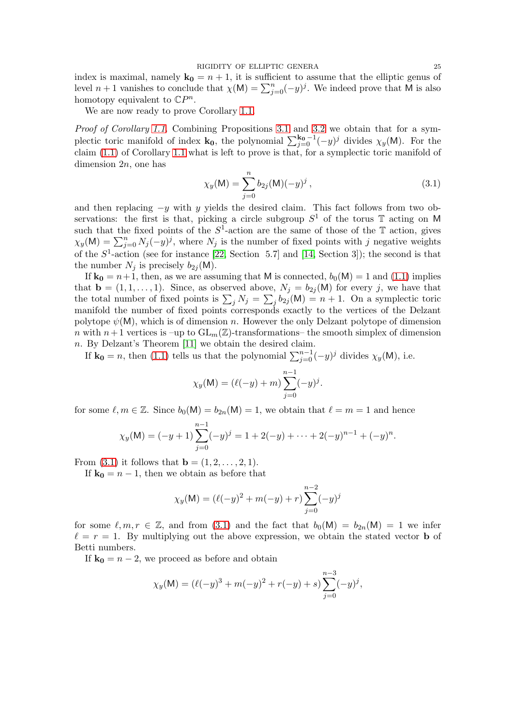RIGIDITY OF ELLIPTIC GENERA 25

index is maximal, namely  $\mathbf{k_0} = n + 1$ , it is sufficient to assume that the elliptic genus of level  $n+1$  vanishes to conclude that  $\chi(M) = \sum_{j=0}^{n} (-y)^{j}$ . We indeed prove that M is also homotopy equivalent to  $\mathbb{C}P^n$ .

We are now ready to prove Corollary [1.1.](#page-2-2)

Proof of Corollary [1.1.](#page-2-2) Combining Propositions [3.1](#page-23-2) and [3.2](#page-23-3) we obtain that for a symplectic toric manifold of index  $\mathbf{k_0}$ , the polynomial  $\sum_{j=0}^{\mathbf{k_0}-1}(-y)^j$  divides  $\chi_y(\mathsf{M})$ . For the claim [\(1.1\)](#page-2-1) of Corollary [1.1](#page-2-2) what is left to prove is that, for a symplectic toric manifold of dimension 2n, one has

<span id="page-24-0"></span>
$$
\chi_y(\mathsf{M}) = \sum_{j=0}^n b_{2j}(\mathsf{M})(-y)^j, \qquad (3.1)
$$

and then replacing  $-y$  with y yields the desired claim. This fact follows from two observations: the first is that, picking a circle subgroup  $S^1$  of the torus T acting on M such that the fixed points of the  $S^1$ -action are the same of those of the T action, gives  $\chi_y(\mathsf{M}) = \sum_{j=0}^n N_j(-y)^j$ , where  $N_j$  is the number of fixed points with j negative weights of the  $S^1$ -action (see for instance [\[22,](#page-40-1) Section 5.7] and [\[14,](#page-39-14) Section 3]); the second is that the number  $N_i$  is precisely  $b_{2i}(\mathsf{M})$ .

If  $\mathbf{k_0} = n+1$ , then, as we are assuming that M is connected,  $b_0(M) = 1$  and [\(1.1\)](#page-2-1) implies that  $\mathbf{b} = (1, 1, \ldots, 1)$ . Since, as observed above,  $N_i = b_{2i}(\mathsf{M})$  for every j, we have that the total number of fixed points is  $\sum_j N_j = \sum_j b_{2j} (M) = n + 1$ . On a symplectic toric manifold the number of fixed points corresponds exactly to the vertices of the Delzant polytope  $\psi(M)$ , which is of dimension n. However the only Delzant polytope of dimension n with  $n+1$  vertices is  $-\text{up to } GL_m(\mathbb{Z})$ -transformations– the smooth simplex of dimension n. By Delzant's Theorem [\[11\]](#page-39-6) we obtain the desired claim.

If  $\mathbf{k_0} = n$ , then [\(1.1\)](#page-2-1) tells us that the polynomial  $\sum_{j=0}^{n-1} (-y)^j$  divides  $\chi_y(\mathsf{M})$ , i.e.

$$
\chi_y(\mathsf{M}) = (\ell(-y) + m) \sum_{j=0}^{n-1} (-y)^j.
$$

for some  $\ell, m \in \mathbb{Z}$ . Since  $b_0(M) = b_{2n}(M) = 1$ , we obtain that  $\ell = m = 1$  and hence

$$
\chi_y(\mathsf{M}) = (-y+1) \sum_{j=0}^{n-1} (-y)^j = 1 + 2(-y) + \dots + 2(-y)^{n-1} + (-y)^n.
$$

From [\(3.1\)](#page-24-0) it follows that  ${\bf b} = (1, 2, ..., 2, 1)$ .

If  $k_0 = n - 1$ , then we obtain as before that

$$
\chi_y(\mathsf{M}) = (\ell(-y)^2 + m(-y) + r) \sum_{j=0}^{n-2} (-y)^j
$$

for some  $\ell, m, r \in \mathbb{Z}$ , and from [\(3.1\)](#page-24-0) and the fact that  $b_0(\mathsf{M}) = b_{2n}(\mathsf{M}) = 1$  we infer  $\ell = r = 1$ . By multiplying out the above expression, we obtain the stated vector **b** of Betti numbers.

If  $\mathbf{k_0} = n - 2$ , we proceed as before and obtain

$$
\chi_y(\mathsf{M}) = (\ell(-y)^3 + m(-y)^2 + r(-y) + s) \sum_{j=0}^{n-3} (-y)^j,
$$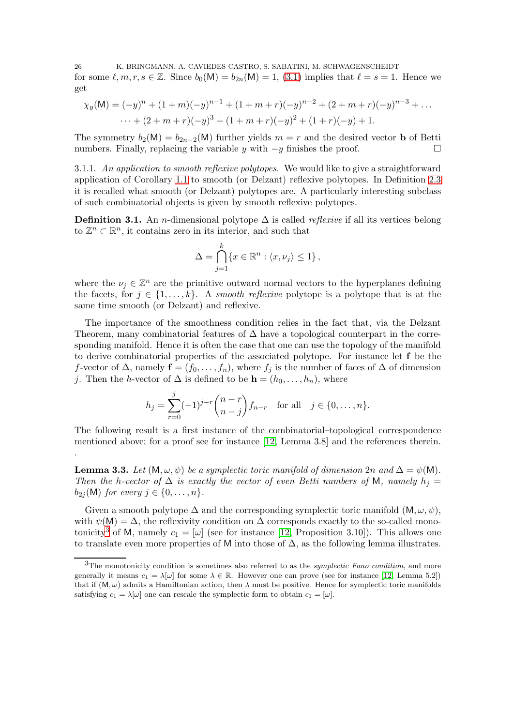26 K. BRINGMANN, A. CAVIEDES CASTRO, S. SABATINI, M. SCHWAGENSCHEIDT for some  $\ell, m, r, s \in \mathbb{Z}$ . Since  $b_0(M) = b_{2n}(M) = 1$ , [\(3.1\)](#page-24-0) implies that  $\ell = s = 1$ . Hence we get

$$
\chi_y(\mathsf{M}) = (-y)^n + (1+m)(-y)^{n-1} + (1+m+r)(-y)^{n-2} + (2+m+r)(-y)^{n-3} + \dots
$$
  
 
$$
\dots + (2+m+r)(-y)^3 + (1+m+r)(-y)^2 + (1+r)(-y) + 1.
$$

The symmetry  $b_2(M) = b_{2n-2}(M)$  further yields  $m = r$  and the desired vector **b** of Betti numbers. Finally, replacing the variable y with  $-y$  finishes the proof.  $□$ 

<span id="page-25-0"></span>3.1.1. An application to smooth reflexive polytopes. We would like to give a straightforward application of Corollary [1.1](#page-2-2) to smooth (or Delzant) reflexive polytopes. In Definition [2.3](#page-7-1) it is recalled what smooth (or Delzant) polytopes are. A particularly interesting subclass of such combinatorial objects is given by smooth reflexive polytopes.

**Definition 3.1.** An *n*-dimensional polytope  $\Delta$  is called *reflexive* if all its vertices belong to  $\mathbb{Z}^n \subset \mathbb{R}^n$ , it contains zero in its interior, and such that

$$
\Delta = \bigcap_{j=1}^{k} \{x \in \mathbb{R}^n : \langle x, \nu_j \rangle \le 1\},\
$$

where the  $\nu_j \in \mathbb{Z}^n$  are the primitive outward normal vectors to the hyperplanes defining the facets, for  $j \in \{1, \ldots, k\}$ . A *smooth reflexive* polytope is a polytope that is at the same time smooth (or Delzant) and reflexive.

The importance of the smoothness condition relies in the fact that, via the Delzant Theorem, many combinatorial features of  $\Delta$  have a topological counterpart in the corresponding manifold. Hence it is often the case that one can use the topology of the manifold to derive combinatorial properties of the associated polytope. For instance let f be the f-vector of  $\Delta$ , namely  $\mathbf{f} = (f_0, \ldots, f_n)$ , where  $f_j$  is the number of faces of  $\Delta$  of dimension j. Then the h-vector of  $\Delta$  is defined to be  $\mathbf{h} = (h_0, \ldots, h_n)$ , where

$$
h_j = \sum_{r=0}^j (-1)^{j-r} \binom{n-r}{n-j} f_{n-r} \text{ for all } j \in \{0, \dots, n\}.
$$

The following result is a first instance of the combinatorial–topological correspondence mentioned above; for a proof see for instance [\[12,](#page-39-3) Lemma 3.8] and the references therein.

.

**Lemma 3.3.** Let  $(M, \omega, \psi)$  be a symplectic toric manifold of dimension 2n and  $\Delta = \psi(M)$ . Then the h-vector of  $\Delta$  is exactly the vector of even Betti numbers of M, namely  $h_i =$  $b_{2i}(\mathsf{M})$  for every  $j \in \{0, \ldots, n\}.$ 

Given a smooth polytope  $\Delta$  and the corresponding symplectic toric manifold  $(M, \omega, \psi)$ , with  $\psi(\mathsf{M}) = \Delta$ , the reflexivity condition on  $\Delta$  corresponds exactly to the so-called mono-tonicity<sup>[3](#page-25-1)</sup> of M, namely  $c_1 = [\omega]$  (see for instance [\[12,](#page-39-3) Proposition 3.10]). This allows one to translate even more properties of M into those of  $\Delta$ , as the following lemma illustrates.

<span id="page-25-1"></span> $3$ The monotonicity condition is sometimes also referred to as the *symplectic Fano condition*, and more generally it means  $c_1 = \lambda[\omega]$  for some  $\lambda \in \mathbb{R}$ . However one can prove (see for instance [\[12,](#page-39-3) Lemma 5.2]) that if  $(M, \omega)$  admits a Hamiltonian action, then  $\lambda$  must be positive. Hence for symplectic toric manifolds satisfying  $c_1 = \lambda[\omega]$  one can rescale the symplectic form to obtain  $c_1 = [\omega]$ .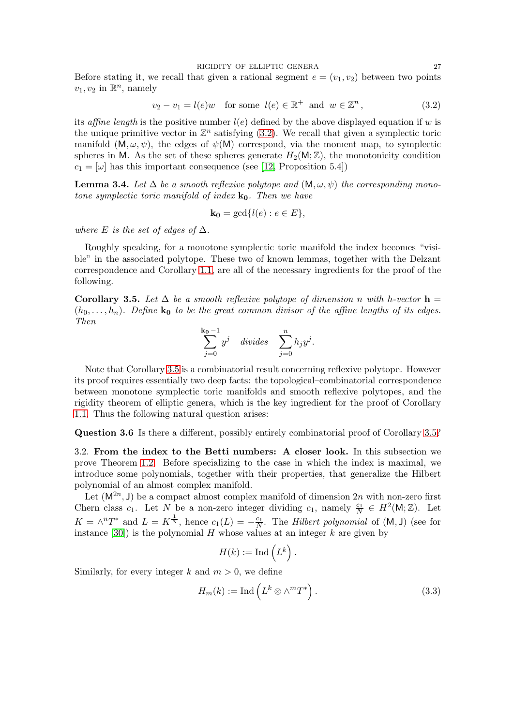RIGIDITY OF ELLIPTIC GENERA 27

Before stating it, we recall that given a rational segment  $e = (v_1, v_2)$  between two points  $v_1, v_2$  in  $\mathbb{R}^n$ , namely

<span id="page-26-3"></span>
$$
v_2 - v_1 = l(e)w \quad \text{for some } l(e) \in \mathbb{R}^+ \text{ and } w \in \mathbb{Z}^n,
$$
 (3.2)

its affine length is the positive number  $l(e)$  defined by the above displayed equation if w is the unique primitive vector in  $\mathbb{Z}^n$  satisfying [\(3.2\)](#page-26-3). We recall that given a symplectic toric manifold  $(M, \omega, \psi)$ , the edges of  $\psi(M)$  correspond, via the moment map, to symplectic spheres in M. As the set of these spheres generate  $H_2(M;\mathbb{Z})$ , the monotonicity condition  $c_1 = [\omega]$  has this important consequence (see [\[12,](#page-39-3) Proposition 5.4])

**Lemma 3.4.** Let  $\Delta$  be a smooth reflexive polytope and  $(M, \omega, \psi)$  the corresponding monotone symplectic toric manifold of index  $\mathbf{k}_0$ . Then we have

$$
\mathbf{k_0} = \gcd\{l(e) : e \in E\},\
$$

where E is the set of edges of  $\Delta$ .

Roughly speaking, for a monotone symplectic toric manifold the index becomes "visible" in the associated polytope. These two of known lemmas, together with the Delzant correspondence and Corollary [1.1,](#page-2-2) are all of the necessary ingredients for the proof of the following.

<span id="page-26-1"></span>Corollary 3.5. Let  $\Delta$  be a smooth reflexive polytope of dimension n with h-vector  $\mathbf{h} =$  $(h_0, \ldots, h_n)$ . Define  $k_0$  to be the great common divisor of the affine lengths of its edges. Then

$$
\sum_{j=0}^{\mathbf{k_0}-1} y^j \quad divides \quad \sum_{j=0}^n h_j y^j.
$$

Note that Corollary [3.5](#page-26-1) is a combinatorial result concerning reflexive polytope. However its proof requires essentially two deep facts: the topological–combinatorial correspondence between monotone symplectic toric manifolds and smooth reflexive polytopes, and the rigidity theorem of elliptic genera, which is the key ingredient for the proof of Corollary [1.1.](#page-2-2) Thus the following natural question arises:

<span id="page-26-0"></span>Question 3.6 Is there a different, possibly entirely combinatorial proof of Corollary [3.5?](#page-26-1)

3.2. From the index to the Betti numbers: A closer look. In this subsection we prove Theorem [1.2.](#page-3-1) Before specializing to the case in which the index is maximal, we introduce some polynomials, together with their properties, that generalize the Hilbert polynomial of an almost complex manifold.

Let  $(M^{2n}, J)$  be a compact almost complex manifold of dimension  $2n$  with non-zero first Chern class c<sub>1</sub>. Let N be a non-zero integer dividing c<sub>1</sub>, namely  $\frac{c_1}{N} \in H^2(\mathsf{M}; \mathbb{Z})$ . Let  $K = \wedge^n T^*$  and  $L = K^{\frac{1}{N}}$ , hence  $c_1(L) = -\frac{c_1}{N}$ . The *Hilbert polynomial* of  $(M, J)$  (see for instance [\[30\]](#page-40-5)) is the polynomial H whose values at an integer  $k$  are given by

$$
H(k) := \text{Ind}\left(L^k\right).
$$

Similarly, for every integer k and  $m > 0$ , we define

<span id="page-26-2"></span>
$$
H_m(k) := \text{Ind}\left(L^k \otimes \wedge^m T^*\right). \tag{3.3}
$$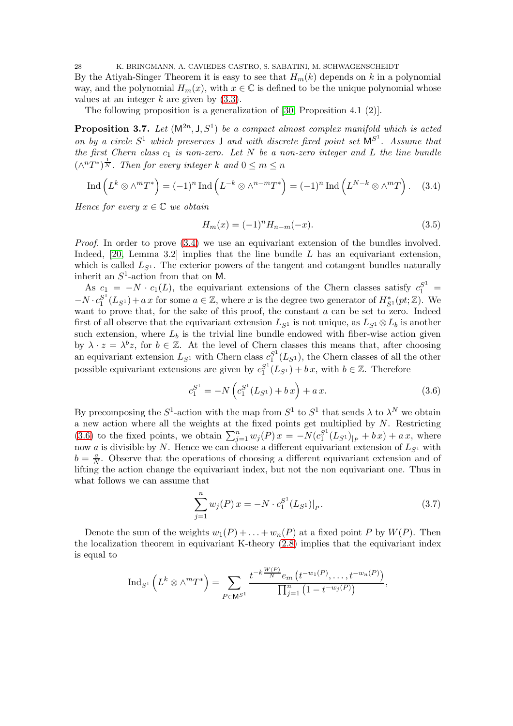28 K. BRINGMANN, A. CAVIEDES CASTRO, S. SABATINI, M. SCHWAGENSCHEIDT By the Atiyah-Singer Theorem it is easy to see that  $H_m(k)$  depends on k in a polynomial way, and the polynomial  $H_m(x)$ , with  $x \in \mathbb{C}$  is defined to be the unique polynomial whose values at an integer  $k$  are given by  $(3.3)$ .

The following proposition is a generalization of [\[30,](#page-40-5) Proposition 4.1 (2)].

<span id="page-27-0"></span>**Proposition 3.7.** Let  $(M^{2n}, J, S^1)$  be a compact almost complex manifold which is acted on by a circle  $S^1$  which preserves **J** and with discrete fixed point set  $M^{S^1}$ . Assume that the first Chern class  $c_1$  is non-zero. Let N be a non-zero integer and L the line bundle  $(\wedge^n T^*)^{\frac{1}{N}}$ . Then for every integer k and  $0 \leq m \leq n$ 

<span id="page-27-1"></span>
$$
\operatorname{Ind}\left(L^k \otimes \wedge^m T^*\right) = (-1)^n \operatorname{Ind}\left(L^{-k} \otimes \wedge^{n-m} T^*\right) = (-1)^n \operatorname{Ind}\left(L^{N-k} \otimes \wedge^m T\right). \tag{3.4}
$$

Hence for every  $x \in \mathbb{C}$  we obtain

<span id="page-27-3"></span>
$$
H_m(x) = (-1)^n H_{n-m}(-x).
$$
\n(3.5)

Proof. In order to prove  $(3.4)$  we use an equivariant extension of the bundles involved. Indeed,  $[20, \text{ Lemma } 3.2]$  implies that the line bundle L has an equivariant extension, which is called  $L_{S^1}$ . The exterior powers of the tangent and cotangent bundles naturally inherit an  $S^1$ -action from that on M.

As  $c_1 = -N \cdot c_1(L)$ , the equivariant extensions of the Chern classes satisfy  $c_1^{S^1}$  =  $-N \cdot c_1^{S^1}$  $S^1(L_{S^1}) + a x$  for some  $a \in \mathbb{Z}$ , where x is the degree two generator of  $H_{S^1}^*(pt; \mathbb{Z})$ . We want to prove that, for the sake of this proof, the constant  $a$  can be set to zero. Indeed first of all observe that the equivariant extension  $L_{S^1}$  is not unique, as  $L_{S^1} \otimes L_b$  is another such extension, where  $L_b$  is the trivial line bundle endowed with fiber-wise action given by  $\lambda \cdot z = \lambda^b z$ , for  $b \in \mathbb{Z}$ . At the level of Chern classes this means that, after choosing an equivariant extension  $L_{S^1}$  with Chern class  $c_1^{S^1}$  $_{1}^{S^{1}}(L_{S^{1}})$ , the Chern classes of all the other possible equivariant extensions are given by  $c_1^{S^1}$  $_{1}^{S^{1}}(L_{S^{1}})+b\,x$ , with  $b\in\mathbb{Z}$ . Therefore

<span id="page-27-2"></span>
$$
c_1^{S^1} = -N\left(c_1^{S^1}(L_{S^1}) + bx\right) + ax.\tag{3.6}
$$

By precomposing the  $S^1$ -action with the map from  $S^1$  to  $S^1$  that sends  $\lambda$  to  $\lambda^N$  we obtain a new action where all the weights at the fixed points get multiplied by  $N$ . Restricting [\(3.6\)](#page-27-2) to the fixed points, we obtain  $\sum_{j=1}^{n} w_j(P)x = -N(c_1^{S^1})$  $\binom{S^1}{1}(L_{S^1})_{|P} + bx + ax$ , where now a is divisible by N. Hence we can choose a different equivariant extension of  $L_{S^1}$  with  $b = \frac{a}{N}$  $\frac{a}{N}$ . Observe that the operations of choosing a different equivariant extension and of lifting the action change the equivariant index, but not the non equivariant one. Thus in what follows we can assume that

<span id="page-27-4"></span>
$$
\sum_{j=1}^{n} w_j(P) x = -N \cdot c_1^{S^1}(L_{S^1})|_P.
$$
\n(3.7)

Denote the sum of the weights  $w_1(P) + \ldots + w_n(P)$  at a fixed point P by  $W(P)$ . Then the localization theorem in equivariant K-theory [\(2.8\)](#page-9-0) implies that the equivariant index is equal to

$$
\mathrm{Ind}_{S^1}\left(L^k \otimes \wedge^m T^*\right) = \sum_{P \in \mathsf{M}^{S^1}} \frac{t^{-k\frac{W(P)}{N}} e_m\left(t^{-w_1(P)}, \dots, t^{-w_n(P)}\right)}{\prod_{j=1}^n \left(1 - t^{-w_j(P)}\right)},
$$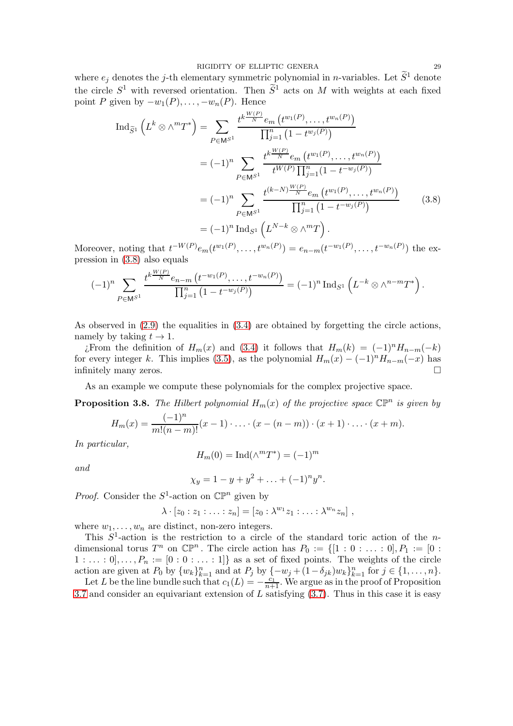RIGIDITY OF ELLIPTIC GENERA 29

where  $e_j$  denotes the j-th elementary symmetric polynomial in *n*-variables. Let  $\widetilde{S}^1$  denote the circle  $S^1$  with reversed orientation. Then  $\tilde{S}^1$  acts on M with weights at each fixed point P given by  $-w_1(P), \ldots, -w_n(P)$ . Hence

$$
\operatorname{Ind}_{\widetilde{S}^{1}}\left(L^{k}\otimes\wedge^{m}T^{*}\right) = \sum_{P\in\mathsf{M}^{S^{1}}} \frac{t^{k\frac{W(P)}{N}}e_{m}\left(t^{w_{1}(P)},\ldots,t^{w_{n}(P)}\right)}{\prod_{j=1}^{n}\left(1-t^{w_{j}(P)}\right)}
$$
\n
$$
= (-1)^{n} \sum_{P\in\mathsf{M}^{S^{1}}} \frac{t^{k\frac{W(P)}{N}}e_{m}\left(t^{w_{1}(P)},\ldots,t^{w_{n}(P)}\right)}{t^{W(P)}\prod_{j=1}^{n}\left(1-t^{-w_{j}(P)}\right)}
$$
\n
$$
= (-1)^{n} \sum_{P\in\mathsf{M}^{S^{1}}} \frac{t^{(k-N)\frac{W(P)}{N}}e_{m}\left(t^{w_{1}(P)},\ldots,t^{w_{n}(P)}\right)}{\prod_{j=1}^{n}\left(1-t^{-w_{j}(P)}\right)} \qquad (3.8)
$$
\n
$$
= (-1)^{n} \operatorname{Ind}_{S^{1}}\left(L^{N-k}\otimes\wedge^{m}T\right).
$$

Moreover, noting that  $t^{-W(P)}e_m(t^{w_1(P)},..., t^{w_n(P)}) = e_{n-m}(t^{-w_1(P)},..., t^{-w_n(P)})$  the expression in [\(3.8\)](#page-28-1) also equals

$$
(-1)^n \sum_{P \in \mathsf{M}^{S^1}} \frac{t^{k \frac{W(P)}{N}} e_{n-m} (t^{-w_1(P)}, \dots, t^{-w_n(P)})}{\prod_{j=1}^n (1 - t^{-w_j(P)})} = (-1)^n \operatorname{Ind}_{S^1} \left( L^{-k} \otimes \wedge^{n-m} T^* \right).
$$

As observed in  $(2.9)$  the equalities in  $(3.4)$  are obtained by forgetting the circle actions, namely by taking  $t \to 1$ .

*i*. From the definition of  $H_m(x)$  and [\(3.4\)](#page-27-1) it follows that  $H_m(k) = (-1)^n H_{n-m}(-k)$ for every integer k. This implies [\(3.5\)](#page-27-3), as the polynomial  $H_m(x) - (-1)^n H_{n-m}(-x)$  has infinitely many zeros.

As an example we compute these polynomials for the complex projective space.

<span id="page-28-0"></span>**Proposition 3.8.** The Hilbert polynomial  $H_m(x)$  of the projective space  $\mathbb{CP}^n$  is given by

$$
H_m(x) = \frac{(-1)^n}{m!(n-m)!}(x-1)\cdot \ldots \cdot (x-(n-m)) \cdot (x+1) \cdot \ldots \cdot (x+m).
$$

In particular,

$$
H_m(0) = \operatorname{Ind}(\wedge^m T^*) = (-1)^m
$$

and

$$
\chi_y = 1 - y + y^2 + \ldots + (-1)^n y^n.
$$

*Proof.* Consider the  $S^1$ -action on  $\mathbb{CP}^n$  given by

$$
\lambda \cdot [z_0 : z_1 : \ldots : z_n] = [z_0 : \lambda^{w_1} z_1 : \ldots : \lambda^{w_n} z_n],
$$

where  $w_1, \ldots, w_n$  are distinct, non-zero integers.

This  $S^1$ -action is the restriction to a circle of the standard toric action of the ndimensional torus  $T^n$  on  $\mathbb{CP}^n$ . The circle action has  $P_0 := \{[1:0:\ldots:0], P_1 := [0:$  $1 : \ldots : 0], \ldots, P_n := [0 : 0 : \ldots : 1]$  as a set of fixed points. The weights of the circle action are given at  $P_0$  by  $\{w_k\}_{k=1}^n$  and at  $P_j$  by  $\{-w_j+(1-\delta_{jk})w_k\}_{k=1}^n$  for  $j \in \{1,\ldots,n\}$ .

Let L be the line bundle such that  $c_1(L) = -\frac{c_1}{n+1}$ . We argue as in the proof of Proposition [3.7](#page-27-0) and consider an equivariant extension of  $L$  satisfying  $(3.7)$ . Thus in this case it is easy

<span id="page-28-1"></span>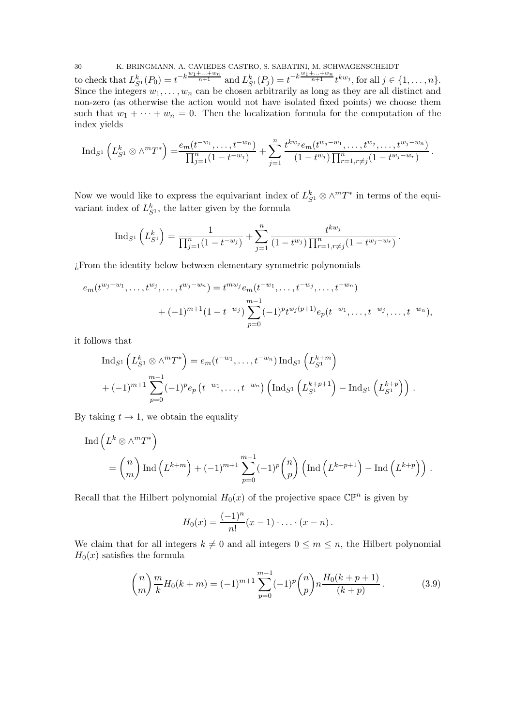30 K. BRINGMANN, A. CAVIEDES CASTRO, S. SABATINI, M. SCHWAGENSCHEIDT to check that  $L_{S_1}^k(P_0) = t^{-k\frac{w_1 + ... + w_n}{n+1}}$  and  $L_{S_1}^k(P_j) = t^{-k\frac{w_1 + ... + w_n}{n+1}} t^{kw_j}$ , for all  $j \in \{1, ..., n\}$ . Since the integers  $w_1, \ldots, w_n$  can be chosen arbitrarily as long as they are all distinct and non-zero (as otherwise the action would not have isolated fixed points) we choose them such that  $w_1 + \cdots + w_n = 0$ . Then the localization formula for the computation of the index yields

$$
\mathrm{Ind}_{S^1}\left(L_{S^1}^k \otimes \wedge^m T^*\right) = \frac{e_m(t^{-w_1}, \dots, t^{-w_n})}{\prod_{j=1}^n (1 - t^{-w_j})} + \sum_{j=1}^n \frac{t^{kw_j} e_m(t^{w_j - w_1}, \dots, t^{w_j}, \dots, t^{w_j - w_n})}{(1 - t^{w_j}) \prod_{r=1, r \neq j}^n (1 - t^{w_j - w_r})}.
$$

Now we would like to express the equivariant index of  $L_{S^1}^k \otimes \wedge^m T^*$  in terms of the equivariant index of  $L_{S^1}^k$ , the latter given by the formula

$$
\mathrm{Ind}_{S^1}\left(L_{S^1}^k\right) = \frac{1}{\prod_{j=1}^n (1-t^{-w_j})} + \sum_{j=1}^n \frac{t^{kw_j}}{(1-t^{w_j})\prod_{r=1,r\neq j}^n (1-t^{w_j-w_r})}.
$$

¿From the identity below between elementary symmetric polynomials

$$
e_m(t^{w_j-w_1},\ldots,t^{w_j},\ldots,t^{w_j-w_n}) = t^{mw_j}e_m(t^{-w_1},\ldots,t^{-w_j},\ldots,t^{-w_n})
$$
  
+  $(-1)^{m+1}(1-t^{-w_j})\sum_{p=0}^{m-1}(-1)^pt^{w_j(p+1)}e_p(t^{-w_1},\ldots,t^{-w_j},\ldots,t^{-w_n}),$ 

it follows that

$$
\operatorname{Ind}_{S^1} \left( L_{S^1}^k \otimes \wedge^m T^* \right) = e_m(t^{-w_1}, \dots, t^{-w_n}) \operatorname{Ind}_{S^1} \left( L_{S^1}^{k+m} \right)
$$
  
+  $(-1)^{m+1} \sum_{p=0}^{m-1} (-1)^p e_p \left( t^{-w_1}, \dots, t^{-w_n} \right) \left( \operatorname{Ind}_{S^1} \left( L_{S^1}^{k+p+1} \right) - \operatorname{Ind}_{S^1} \left( L_{S^1}^{k+p} \right) \right).$ 

By taking  $t \to 1$ , we obtain the equality

$$
\operatorname{Ind}\left(L^k \otimes \wedge^m T^*\right)
$$
  
=  $\binom{n}{m} \operatorname{Ind}\left(L^{k+m}\right) + (-1)^{m+1} \sum_{p=0}^{m-1} (-1)^p \binom{n}{p} \left(\operatorname{Ind}\left(L^{k+p+1}\right) - \operatorname{Ind}\left(L^{k+p}\right)\right).$ 

Recall that the Hilbert polynomial  $H_0(x)$  of the projective space  $\mathbb{CP}^n$  is given by

$$
H_0(x) = \frac{(-1)^n}{n!}(x-1)\cdot \ldots \cdot (x-n).
$$

We claim that for all integers  $k \neq 0$  and all integers  $0 \leq m \leq n$ , the Hilbert polynomial  $H_0(x)$  satisfies the formula

<span id="page-29-0"></span>
$$
\binom{n}{m} \frac{m}{k} H_0(k+m) = (-1)^{m+1} \sum_{p=0}^{m-1} (-1)^p \binom{n}{p} n \frac{H_0(k+p+1)}{(k+p)}.
$$
 (3.9)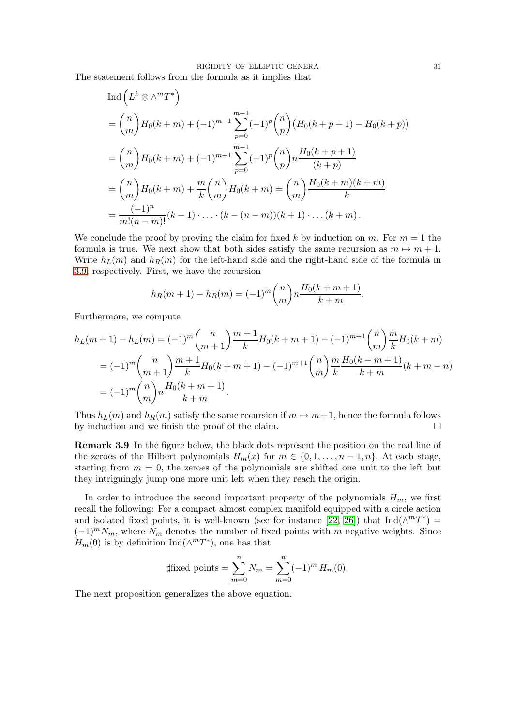#### RIGIDITY OF ELLIPTIC GENERA 31

The statement follows from the formula as it implies that

$$
\begin{split} \text{Ind}\left(L^{k} \otimes \wedge^{m} T^{*}\right) \\ &= \binom{n}{m} H_{0}(k+m) + (-1)^{m+1} \sum_{p=0}^{m-1} (-1)^{p} \binom{n}{p} \left(H_{0}(k+p+1) - H_{0}(k+p)\right) \\ &= \binom{n}{m} H_{0}(k+m) + (-1)^{m+1} \sum_{p=0}^{m-1} (-1)^{p} \binom{n}{p} n \frac{H_{0}(k+p+1)}{(k+p)} \\ &= \binom{n}{m} H_{0}(k+m) + \frac{m}{k} \binom{n}{m} H_{0}(k+m) = \binom{n}{m} \frac{H_{0}(k+m)(k+m)}{k} \\ &= \frac{(-1)^{n}}{m!(n-m)!} (k-1) \cdot \ldots \cdot (k-(n-m))(k+1) \cdot \ldots (k+m) \,. \end{split}
$$

We conclude the proof by proving the claim for fixed k by induction on m. For  $m = 1$  the formula is true. We next show that both sides satisfy the same recursion as  $m \mapsto m + 1$ . Write  $h_L(m)$  and  $h_R(m)$  for the left-hand side and the right-hand side of the formula in [3.9,](#page-29-0) respectively. First, we have the recursion

$$
h_R(m+1) - h_R(m) = (-1)^m \binom{n}{m} n \frac{H_0(k+m+1)}{k+m}.
$$

Furthermore, we compute

$$
h_L(m+1) - h_L(m) = (-1)^m \binom{n}{m+1} \frac{m+1}{k} H_0(k+m+1) - (-1)^{m+1} \binom{n}{m} \frac{m}{k} H_0(k+m)
$$
  
=  $(-1)^m \binom{n}{m+1} \frac{m+1}{k} H_0(k+m+1) - (-1)^{m+1} \binom{n}{m} \frac{m}{k} \frac{H_0(k+m+1)}{k+m} (k+m-n)$   
=  $(-1)^m \binom{n}{m} n \frac{H_0(k+m+1)}{k+m}.$ 

Thus  $h_L(m)$  and  $h_R(m)$  satisfy the same recursion if  $m \mapsto m+1$ , hence the formula follows by induction and we finish the proof of the claim.

Remark 3.9 In the figure below, the black dots represent the position on the real line of the zeroes of the Hilbert polynomials  $H_m(x)$  for  $m \in \{0, 1, \ldots, n-1, n\}$ . At each stage, starting from  $m = 0$ , the zeroes of the polynomials are shifted one unit to the left but they intriguingly jump one more unit left when they reach the origin.

In order to introduce the second important property of the polynomials  $H_m$ , we first recall the following: For a compact almost complex manifold equipped with a circle action and isolated fixed points, it is well-known (see for instance [\[22,](#page-40-1) [26\]](#page-40-17)) that  $\text{Ind}(\wedge^m T^*)$  =  $(-1)^m N_m$ , where  $N_m$  denotes the number of fixed points with m negative weights. Since  $H_m(0)$  is by definition Ind( $\wedge^m T^*$ ), one has that

$$
\text{ffixed points} = \sum_{m=0}^{n} N_m = \sum_{m=0}^{n} (-1)^m H_m(0).
$$

The next proposition generalizes the above equation.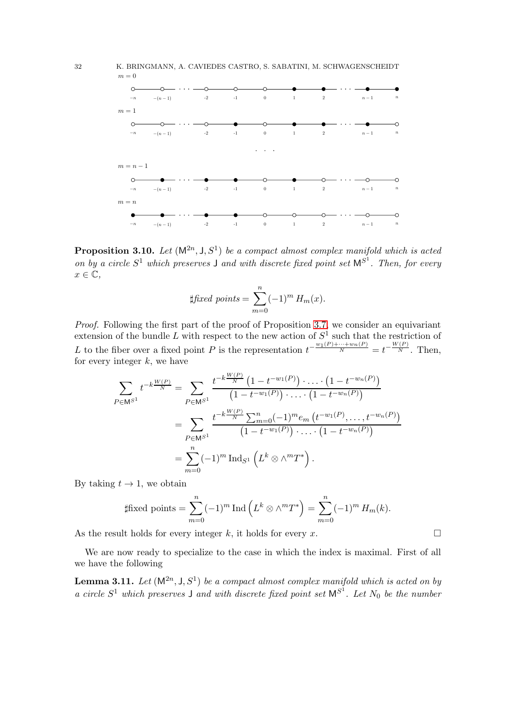



<span id="page-31-0"></span>**Proposition 3.10.** Let  $(M^{2n}, J, S^1)$  be a compact almost complex manifold which is acted on by a circle  $S^1$  which preserves **J** and with discrete fixed point set  $M^{S^1}$ . Then, for every  $x \in \mathbb{C}$ ,

$$
\text{#fixed points} = \sum_{m=0}^{n} (-1)^m H_m(x).
$$

Proof. Following the first part of the proof of Proposition [3.7,](#page-27-0) we consider an equivariant extension of the bundle L with respect to the new action of  $S^1$  such that the restriction of L to the fiber over a fixed point P is the representation  $t^{-\frac{w_1(P)+\cdots+w_n(P)}{N}}=t^{-\frac{W(P)}{N}}$ . Then, for every integer  $k$ , we have

$$
\sum_{P \in \mathbb{M}^{S^1}} t^{-k \frac{W(P)}{N}} = \sum_{P \in \mathbb{M}^{S^1}} \frac{t^{-k \frac{W(P)}{N}} \left(1 - t^{-w_1(P)}\right) \cdot \ldots \cdot \left(1 - t^{-w_n(P)}\right)}{\left(1 - t^{-w_1(P)}\right) \cdot \ldots \cdot \left(1 - t^{-w_n(P)}\right)}
$$
\n
$$
= \sum_{P \in \mathbb{M}^{S^1}} \frac{t^{-k \frac{W(P)}{N}} \sum_{m=0}^n (-1)^m e_m \left(t^{-w_1(P)}, \ldots, t^{-w_n(P)}\right)}{\left(1 - t^{-w_1(P)}\right) \cdot \ldots \cdot \left(1 - t^{-w_n(P)}\right)}
$$
\n
$$
= \sum_{m=0}^n (-1)^m \operatorname{Ind}_{S^1} \left(L^k \otimes \wedge^m T^*\right).
$$

By taking  $t \to 1$ , we obtain

$$
\text{#fixed points} = \sum_{m=0}^{n} (-1)^m \operatorname{Ind} \left( L^k \otimes \wedge^m T^* \right) = \sum_{m=0}^{n} (-1)^m H_m(k).
$$

As the result holds for every integer k, it holds for every x.  $\square$ 

We are now ready to specialize to the case in which the index is maximal. First of all we have the following

<span id="page-31-1"></span>**Lemma 3.11.** Let  $(M^{2n}, J, S^1)$  be a compact almost complex manifold which is acted on by a circle  $S^1$  which preserves **J** and with discrete fixed point set  $M^{S^1}$ . Let  $N_0$  be the number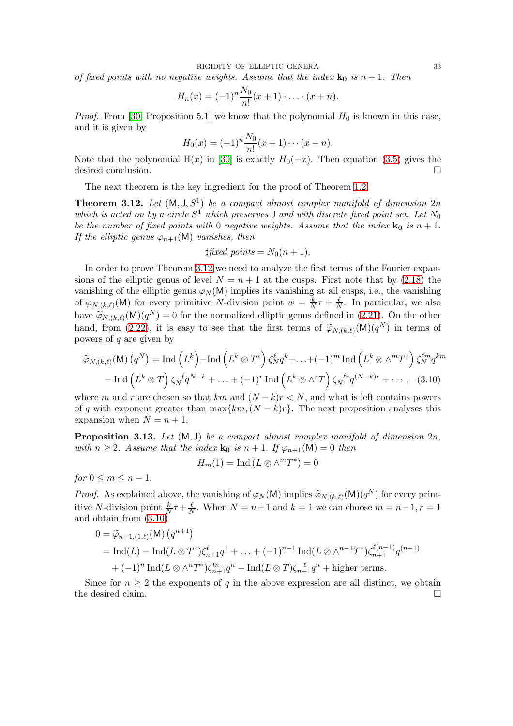of fixed points with no negative weights. Assume that the index  $\mathbf{k}_0$  is  $n+1$ . Then

$$
H_n(x) = (-1)^n \frac{N_0}{n!} (x+1) \cdot \ldots \cdot (x+n).
$$

*Proof.* From [\[30,](#page-40-5) Proposition 5.1] we know that the polynomial  $H_0$  is known in this case, and it is given by

$$
H_0(x) = (-1)^n \frac{N_0}{n!} (x - 1) \cdots (x - n).
$$

Note that the polynomial H(x) in [\[30\]](#page-40-5) is exactly  $H_0(-x)$ . Then equation [\(3.5\)](#page-27-3) gives the desired conclusion.

The next theorem is the key ingredient for the proof of Theorem [1.2.](#page-3-1)

<span id="page-32-0"></span>**Theorem 3.12.** Let  $(M, J, S^1)$  be a compact almost complex manifold of dimension  $2n$ which is acted on by a circle  $S^1$  which preserves I and with discrete fixed point set. Let  $N_0$ be the number of fixed points with 0 negative weights. Assume that the index  $\mathbf{k}_0$  is  $n + 1$ . If the elliptic genus  $\varphi_{n+1}(\mathsf{M})$  vanishes, then

$$
\sharp \text{fixed points} = N_0(n+1).
$$

In order to prove Theorem [3.12](#page-32-0) we need to analyze the first terms of the Fourier expansions of the elliptic genus of level  $N = n + 1$  at the cusps. First note that by [\(2.18\)](#page-17-3) the vanishing of the elliptic genus  $\varphi_N(M)$  implies its vanishing at all cusps, i.e., the vanishing of  $\varphi_{N,(k,\ell)}(\mathsf{M})$  for every primitive N-division point  $w=\frac{k}{N}$  $\frac{k}{N}\tau+\frac{\ell}{N}$  $\frac{\ell}{N}$ . In particular, we also have  $\widetilde{\varphi}_{N,(k,\ell)}(\mathsf{M})(q^N) = 0$  for the normalized elliptic genus defined in [\(2.21\)](#page-18-3). On the other hand, from [\(2.22\)](#page-18-0), it is easy to see that the first terms of  $\tilde{\varphi}_{N,(k,\ell)}(\mathsf{M})(q^N)$  in terms of powers of  $q$  are given by

$$
\widetilde{\varphi}_{N,(k,\ell)}(\mathsf{M})\left(q^N\right) = \mathrm{Ind}\left(L^k\right) - \mathrm{Ind}\left(L^k \otimes T^*\right) \zeta_N^{\ell} q^k + \ldots + (-1)^m \mathrm{Ind}\left(L^k \otimes \wedge^m T^*\right) \zeta_N^{\ell m} q^{km}
$$

$$
- \mathrm{Ind}\left(L^k \otimes T\right) \zeta_N^{-\ell} q^{N-k} + \ldots + (-1)^r \mathrm{Ind}\left(L^k \otimes \wedge^r T\right) \zeta_N^{-\ell r} q^{(N-k)r} + \ldots, \quad (3.10)
$$

where m and r are chosen so that km and  $(N-k)r < N$ , and what is left contains powers of q with exponent greater than  $\max\{km,(N-k)r\}$ . The next proposition analyses this expansion when  $N = n + 1$ .

<span id="page-32-2"></span>**Proposition 3.13.** Let  $(M, J)$  be a compact almost complex manifold of dimension  $2n$ , with  $n \geq 2$ . Assume that the index  $\mathbf{k}_0$  is  $n+1$ . If  $\varphi_{n+1}(\mathsf{M})=0$  then

<span id="page-32-1"></span>
$$
H_m(1) = \text{Ind}\left(L \otimes \wedge^m T^*\right) = 0
$$

for  $0 \leq m \leq n-1$ .

*Proof.* As explained above, the vanishing of  $\varphi_N(M)$  implies  $\widetilde{\varphi}_{N,(k,\ell)}(M)(q^N)$  for every primitive N-division point  $\frac{k}{N}\tau + \frac{\ell}{N}$ . When  $N = n+1$  and  $k = 1$  we can choose  $m = n-1, r = 1$ and obtain from [\(3.10\)](#page-32-1)

$$
0 = \widetilde{\varphi}_{n+1,(1,\ell)}(\mathsf{M}) (q^{n+1})
$$
  
= Ind(L) - Ind(L \otimes T^\*)\zeta\_{n+1}^{\ell}q^{1} + ... + (-1)^{n-1} Ind(L \otimes \wedge^{n-1} T^\*)\zeta\_{n+1}^{\ell(n-1)}q^{(n-1)}  
+ (-1)^{n} Ind(L \otimes \wedge^{n} T^\*)\zeta\_{n+1}^{ln}q^{n} - Ind(L \otimes T)\zeta\_{n+1}^{-\ell}q^{n} + \text{higher terms.}

Since for  $n \geq 2$  the exponents of q in the above expression are all distinct, we obtain the desired claim.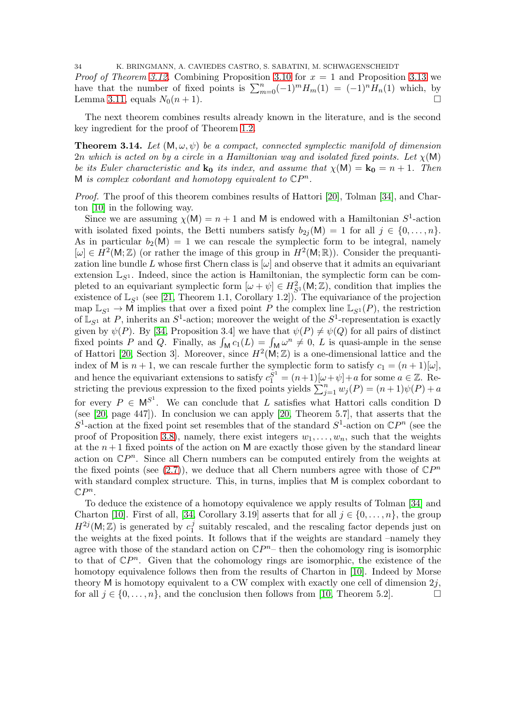34 K. BRINGMANN, A. CAVIEDES CASTRO, S. SABATINI, M. SCHWAGENSCHEIDT *Proof of Theorem [3.12.](#page-32-0)* Combining Proposition [3.10](#page-31-0) for  $x = 1$  and Proposition [3.13](#page-32-2) we

have that the number of fixed points is  $\sum_{m=0}^{n}(-1)^{m}H_{m}(1) = (-1)^{n}H_{n}(1)$  which, by Lemma [3.11,](#page-31-1) equals  $N_0(n + 1)$ .

The next theorem combines results already known in the literature, and is the second key ingredient for the proof of Theorem [1.2.](#page-3-1)

<span id="page-33-0"></span>**Theorem 3.14.** Let  $(M, \omega, \psi)$  be a compact, connected symplectic manifold of dimension 2n which is acted on by a circle in a Hamiltonian way and isolated fixed points. Let  $\chi(M)$ be its Euler characteristic and  $\mathbf{k}_0$  its index, and assume that  $\chi(\mathsf{M}) = \mathbf{k}_0 = n + 1$ . Then M is complex cobordant and homotopy equivalent to  $\mathbb{C}P^n$ .

Proof. The proof of this theorem combines results of Hattori [\[20\]](#page-40-6), Tolman [\[34\]](#page-40-7), and Charton [\[10\]](#page-39-4) in the following way.

Since we are assuming  $\chi(M) = n + 1$  and M is endowed with a Hamiltonian  $S^1$ -action with isolated fixed points, the Betti numbers satisfy  $b_{2i}(\mathsf{M}) = 1$  for all  $j \in \{0, \ldots, n\}$ . As in particular  $b_2(M) = 1$  we can rescale the symplectic form to be integral, namely  $[\omega] \in H^2(\mathsf{M}; \mathbb{Z})$  (or rather the image of this group in  $H^2(\mathsf{M}; \mathbb{R})$ ). Consider the prequantization line bundle L whose first Chern class is  $[\omega]$  and observe that it admits an equivariant extension  $\mathbb{L}_{S^1}$ . Indeed, since the action is Hamiltonian, the symplectic form can be completed to an equivariant symplectic form  $[\omega + \psi] \in H_{S^1}^2(\mathsf{M}; \mathbb{Z})$ , condition that implies the existence of  $\mathbb{L}_{S^1}$  (see [\[21,](#page-40-18) Theorem 1.1, Corollary 1.2]). The equivariance of the projection map  $\mathbb{L}_{S^1} \to \mathbb{M}$  implies that over a fixed point P the complex line  $\mathbb{L}_{S^1}(P)$ , the restriction of  $\mathbb{L}_{S^1}$  at P, inherits an  $S^1$ -action; moreover the weight of the  $S^1$ -representation is exactly given by  $\psi(P)$ . By [\[34,](#page-40-7) Proposition 3.4] we have that  $\psi(P) \neq \psi(Q)$  for all pairs of distinct fixed points P and Q. Finally, as  $\int_M c_1(L) = \int_M \omega^n \neq 0$ , L is quasi-ample in the sense of Hattori [\[20,](#page-40-6) Section 3]. Moreover, since  $H^2(M;\mathbb{Z})$  is a one-dimensional lattice and the index of M is  $n + 1$ , we can rescale further the symplectic form to satisfy  $c_1 = (n + 1)[\omega]$ , and hence the equivariant extensions to satisfy  $c_1^{S^1} = (n+1)[\omega + \psi] + a$  for some  $a \in \mathbb{Z}$ . Restricting the previous expression to the fixed points yields  $\sum_{j=1}^{n} w_j(P) = (n+1)\psi(P) + a$ for every  $P \in M^{S^1}$ . We can conclude that L satisfies what Hattori calls condition D (see [\[20,](#page-40-6) page 447]). In conclusion we can apply [\[20,](#page-40-6) Theorem 5.7], that asserts that the  $S^1$ -action at the fixed point set resembles that of the standard  $S^1$ -action on  $\mathbb{C}P^n$  (see the proof of Proposition [3.8\)](#page-28-0), namely, there exist integers  $w_1, \ldots, w_n$ , such that the weights at the  $n+1$  fixed points of the action on M are exactly those given by the standard linear action on  $\mathbb{C}P^n$ . Since all Chern numbers can be computed entirely from the weights at the fixed points (see  $(2.7)$ ), we deduce that all Chern numbers agree with those of  $\mathbb{C}P^n$ with standard complex structure. This, in turns, implies that M is complex cobordant to  $\mathbb{C}P^n$ .

To deduce the existence of a homotopy equivalence we apply results of Tolman [\[34\]](#page-40-7) and Charton [\[10\]](#page-39-4). First of all, [\[34,](#page-40-7) Corollary 3.19] asserts that for all  $j \in \{0, \ldots, n\}$ , the group  $H^{2j}(M;\mathbb{Z})$  is generated by  $c_1^j$  $\frac{1}{1}$  suitably rescaled, and the rescaling factor depends just on the weights at the fixed points. It follows that if the weights are standard –namely they agree with those of the standard action on  $\mathbb{C}P^{n-}$  then the cohomology ring is isomorphic to that of  $\mathbb{C}P^n$ . Given that the cohomology rings are isomorphic, the existence of the homotopy equivalence follows then from the results of Charton in [\[10\]](#page-39-4). Indeed by Morse theory M is homotopy equivalent to a CW complex with exactly one cell of dimension  $2i$ , for all  $j \in \{0, \ldots, n\}$ , and the conclusion then follows from [\[10,](#page-39-4) Theorem 5.2].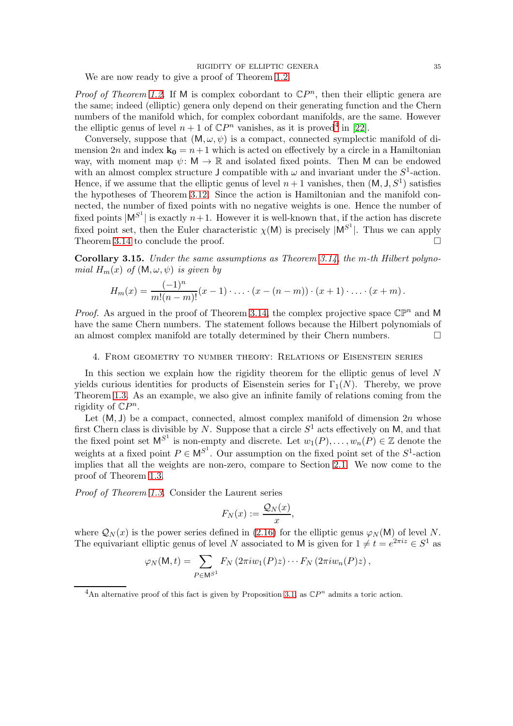We are now ready to give a proof of Theorem [1.2.](#page-3-1)

*Proof of Theorem [1.2.](#page-3-1)* If M is complex cobordant to  $\mathbb{C}P^n$ , then their elliptic genera are the same; indeed (elliptic) genera only depend on their generating function and the Chern numbers of the manifold which, for complex cobordant manifolds, are the same. However the elliptic genus of level  $n+1$  of  $\mathbb{C}P^n$  vanishes, as it is proved<sup>[4](#page-34-1)</sup> in [\[22\]](#page-40-1).

Conversely, suppose that  $(M, \omega, \psi)$  is a compact, connected symplectic manifold of dimension 2n and index  $\mathbf{k}_0 = n+1$  which is acted on effectively by a circle in a Hamiltonian way, with moment map  $\psi: M \to \mathbb{R}$  and isolated fixed points. Then M can be endowed with an almost complex structure J compatible with  $\omega$  and invariant under the  $S^1$ -action. Hence, if we assume that the elliptic genus of level  $n+1$  vanishes, then  $(M, J, S<sup>1</sup>)$  satisfies the hypotheses of Theorem [3.12.](#page-32-0) Since the action is Hamiltonian and the manifold connected, the number of fixed points with no negative weights is one. Hence the number of fixed points  $|M^{S^1}|$  is exactly  $n+1$ . However it is well-known that, if the action has discrete fixed point set, then the Euler characteristic  $\chi(M)$  is precisely  $|M^{S^1}|$ . Thus we can apply Theorem [3.14](#page-33-0) to conclude the proof.

Corollary 3.15. Under the same assumptions as Theorem [3.14,](#page-33-0) the m-th Hilbert polynomial  $H_m(x)$  of  $(M, \omega, \psi)$  is given by

$$
H_m(x) = \frac{(-1)^n}{m!(n-m)!}(x-1)\cdot \ldots \cdot (x-(n-m))\cdot (x+1)\cdot \ldots \cdot (x+m).
$$

*Proof.* As argued in the proof of Theorem [3.14,](#page-33-0) the complex projective space  $\mathbb{CP}^n$  and M have the same Chern numbers. The statement follows because the Hilbert polynomials of an almost complex manifold are totally determined by their Chern numbers.  $\Box$ 

## <span id="page-34-0"></span>4. From geometry to number theory: Relations of Eisenstein series

In this section we explain how the rigidity theorem for the elliptic genus of level  $N$ yields curious identities for products of Eisenstein series for  $\Gamma_1(N)$ . Thereby, we prove Theorem [1.3.](#page-4-1) As an example, we also give an infinite family of relations coming from the rigidity of  $\mathbb{C}P^n$ .

Let  $(M, J)$  be a compact, connected, almost complex manifold of dimension 2n whose first Chern class is divisible by N. Suppose that a circle  $S^1$  acts effectively on M, and that the fixed point set  $M^{S^1}$  is non-empty and discrete. Let  $w_1(P), \ldots, w_n(P) \in \mathbb{Z}$  denote the weights at a fixed point  $P \in M^{S^1}$ . Our assumption on the fixed point set of the  $S^1$ -action implies that all the weights are non-zero, compare to Section [2.1.](#page-6-1) We now come to the proof of Theorem [1.3.](#page-4-1)

Proof of Theorem [1.3.](#page-4-1) Consider the Laurent series

$$
F_N(x) := \frac{\mathcal{Q}_N(x)}{x},
$$

where  $\mathcal{Q}_N(x)$  is the power series defined in [\(2.16\)](#page-14-4) for the elliptic genus  $\varphi_N(\mathsf{M})$  of level N. The equivariant elliptic genus of level N associated to M is given for  $1 \neq t = e^{2\pi i z} \in S^1$  as

$$
\varphi_N(\mathsf{M},t)=\sum_{P\in\mathsf{M}^{S^1}}F_N\left(2\pi i w_1(P)z\right)\cdots F_N\left(2\pi i w_n(P)z\right),
$$

<span id="page-34-1"></span><sup>&</sup>lt;sup>4</sup>An alternative proof of this fact is given by Proposition [3.1,](#page-23-2) as  $\mathbb{C}P^n$  admits a toric action.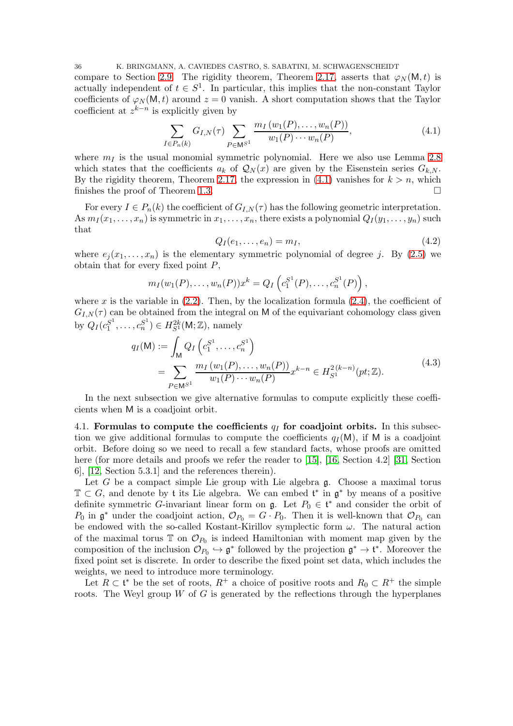36 K. BRINGMANN, A. CAVIEDES CASTRO, S. SABATINI, M. SCHWAGENSCHEIDT

compare to Section [2.9.](#page-21-0) The rigidity theorem, Theorem [2.17,](#page-22-0) asserts that  $\varphi_N(\mathsf{M},t)$  is actually independent of  $t \in S^1$ . In particular, this implies that the non-constant Taylor coefficients of  $\varphi_N(M, t)$  around  $z = 0$  vanish. A short computation shows that the Taylor coefficient at  $z^{k-n}$  is explicitly given by

$$
\sum_{I \in P_n(k)} G_{I,N}(\tau) \sum_{P \in \mathsf{M}^{S^1}} \frac{m_I(w_1(P), \dots, w_n(P))}{w_1(P) \cdots w_n(P)},\tag{4.1}
$$

where  $m<sub>I</sub>$  is the usual monomial symmetric polynomial. Here we also use Lemma [2.8](#page-14-5) which states that the coefficients  $a_k$  of  $\mathcal{Q}_N(x)$  are given by the Eisenstein series  $G_{k,N}$ . By the rigidity theorem, Theorem [2.17,](#page-22-0) the expression in [\(4.1\)](#page-35-1) vanishes for  $k > n$ , which finishes the proof of Theorem [1.3.](#page-4-1)

For every  $I \in P_n(k)$  the coefficient of  $G_{I,N}(\tau)$  has the following geometric interpretation. As  $m_I(x_1, \ldots, x_n)$  is symmetric in  $x_1, \ldots, x_n$ , there exists a polynomial  $Q_I(y_1, \ldots, y_n)$  such that

<span id="page-35-2"></span><span id="page-35-1"></span>
$$
Q_I(e_1,\ldots,e_n)=m_I,\t\t(4.2)
$$

where  $e_i(x_1, \ldots, x_n)$  is the elementary symmetric polynomial of degree j. By [\(2.5\)](#page-9-3) we obtain that for every fixed point  $P$ ,

$$
m_I(w_1(P),..., w_n(P))x^k = Q_I\left(c_1^{S^1}(P),..., c_n^{S^1}(P)\right),
$$

where x is the variable in  $(2.2)$ . Then, by the localization formula  $(2.4)$ , the coefficient of  $G_{I,N}(\tau)$  can be obtained from the integral on M of the equivariant cohomology class given by  $Q_I (c_1^{S^1})$  $j_1^{S^1}, \ldots, c_n^{S^1}) \in H^{2k}_{S^1}(\mathsf{M}; \mathbb{Z}),$  namely

$$
q_I(M) := \int_M Q_I \left( c_1^{S^1}, \dots, c_n^{S^1} \right)
$$
  
= 
$$
\sum_{P \in M^{S^1}} \frac{m_I \left( w_1(P), \dots, w_n(P) \right)}{w_1(P) \cdots w_n(P)} x^{k-n} \in H_{S^1}^{2(k-n)}(pt; \mathbb{Z}).
$$
 (4.3)

<span id="page-35-3"></span>In the next subsection we give alternative formulas to compute explicitly these coefficients when M is a coadjoint orbit.

<span id="page-35-0"></span>4.1. Formulas to compute the coefficients  $q_I$  for coadjoint orbits. In this subsection we give additional formulas to compute the coefficients  $q_I(M)$ , if M is a coadjoint orbit. Before doing so we need to recall a few standard facts, whose proofs are omitted here (for more details and proofs we refer the reader to [\[15\]](#page-39-15), [\[16,](#page-39-16) Section 4.2] [\[31,](#page-40-19) Section 6], [\[12,](#page-39-3) Section 5.3.1] and the references therein).

Let G be a compact simple Lie group with Lie algebra  $\mathfrak{g}$ . Choose a maximal torus  $\mathbb{T} \subset G$ , and denote by t its Lie algebra. We can embed  $\mathfrak{t}^*$  in  $\mathfrak{g}^*$  by means of a positive definite symmetric G-invariant linear form on  $\mathfrak{g}$ . Let  $P_0 \in \mathfrak{t}^*$  and consider the orbit of  $P_0$  in  $\mathfrak{g}^*$  under the coadjoint action,  $\mathcal{O}_{P_0} = G \cdot P_0$ . Then it is well-known that  $\mathcal{O}_{P_0}$  can be endowed with the so-called Kostant-Kirillov symplectic form  $\omega$ . The natural action of the maximal torus  $\mathbb{T}$  on  $\mathcal{O}_{P_0}$  is indeed Hamiltonian with moment map given by the composition of the inclusion  $\mathcal{O}_{P_0} \hookrightarrow \mathfrak{g}^*$  followed by the projection  $\mathfrak{g}^* \to \mathfrak{t}^*$ . Moreover the fixed point set is discrete. In order to describe the fixed point set data, which includes the weights, we need to introduce more terminology.

Let  $R \subset \mathfrak{t}^*$  be the set of roots,  $R^+$  a choice of positive roots and  $R_0 \subset R^+$  the simple roots. The Weyl group  $W$  of  $G$  is generated by the reflections through the hyperplanes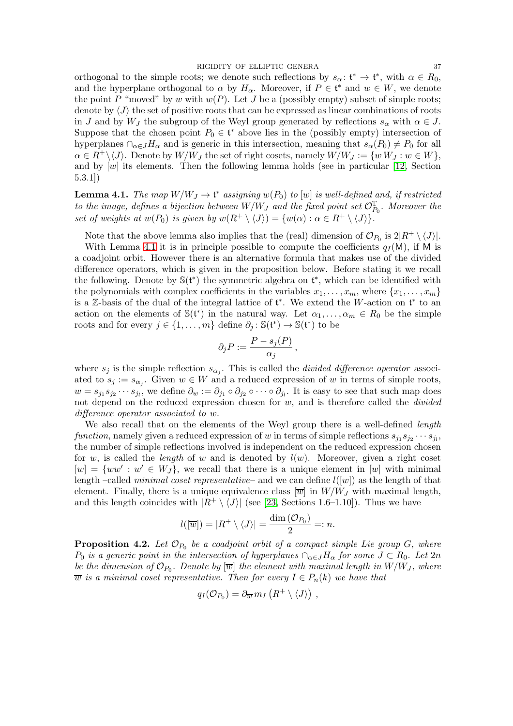orthogonal to the simple roots; we denote such reflections by  $s_{\alpha} : \mathfrak{t}^* \to \mathfrak{t}^*$ , with  $\alpha \in R_0$ , and the hyperplane orthogonal to  $\alpha$  by  $H_{\alpha}$ . Moreover, if  $P \in \mathfrak{t}^*$  and  $w \in W$ , we denote the point P "moved" by w with  $w(P)$ . Let J be a (possibly empty) subset of simple roots; denote by  $\langle J \rangle$  the set of positive roots that can be expressed as linear combinations of roots in J and by  $W_J$  the subgroup of the Weyl group generated by reflections  $s_\alpha$  with  $\alpha \in J$ . Suppose that the chosen point  $P_0 \in \mathfrak{t}^*$  above lies in the (possibly empty) intersection of hyperplanes  $\cap_{\alpha \in J} H_{\alpha}$  and is generic in this intersection, meaning that  $s_{\alpha}(P_0) \neq P_0$  for all  $\alpha \in R^+\backslash \langle J \rangle$ . Denote by  $W/W_J$  the set of right cosets, namely  $W/W_J := \{w W_J : w \in W\},$ and by  $[w]$  its elements. Then the following lemma holds (see in particular [\[12,](#page-39-3) Section 5.3.1])

<span id="page-36-1"></span>**Lemma 4.1.** The map  $W/W_J \to \mathfrak{t}^*$  assigning  $w(P_0)$  to  $[w]$  is well-defined and, if restricted to the image, defines a bijection between  $W/W_J$  and the fixed point set  $\mathcal{O}^{\mathbb{T}}_{P_0}.$  Moreover the set of weights at  $w(P_0)$  is given by  $w(R^+ \setminus \langle J \rangle) = \{w(\alpha) : \alpha \in R^+ \setminus \langle J \rangle\}.$ 

Note that the above lemma also implies that the (real) dimension of  $\mathcal{O}_{P_0}$  is  $2|R^+ \setminus \langle J \rangle|$ .

With Lemma [4.1](#page-36-1) it is in principle possible to compute the coefficients  $q_I(M)$ , if M is a coadjoint orbit. However there is an alternative formula that makes use of the divided difference operators, which is given in the proposition below. Before stating it we recall the following. Denote by  $\mathbb{S}(\mathfrak{t}^*)$  the symmetric algebra on  $\mathfrak{t}^*$ , which can be identified with the polynomials with complex coefficients in the variables  $x_1, \ldots, x_m$ , where  $\{x_1, \ldots, x_m\}$ is a Z-basis of the dual of the integral lattice of  $\mathfrak{t}^*$ . We extend the W-action on  $\mathfrak{t}^*$  to an action on the elements of  $\mathbb{S}(\mathfrak{t}^*)$  in the natural way. Let  $\alpha_1, \ldots, \alpha_m \in R_0$  be the simple roots and for every  $j \in \{1, ..., m\}$  define  $\partial_j : \mathbb{S}(\mathfrak{t}^*) \to \mathbb{S}(\mathfrak{t}^*)$  to be

$$
\partial_j P := \frac{P - s_j(P)}{\alpha_j} \,,
$$

where  $s_j$  is the simple reflection  $s_{\alpha_j}$ . This is called the *divided difference operator* associated to  $s_j := s_{\alpha_j}$ . Given  $w \in W$  and a reduced expression of w in terms of simple roots,  $w = s_{j_1} s_{j_2} \cdots s_{j_l}$ , we define  $\partial_w := \partial_{j_1} \circ \partial_{j_2} \circ \cdots \circ \partial_{j_l}$ . It is easy to see that such map does not depend on the reduced expression chosen for  $w$ , and is therefore called the *divided* difference operator associated to w.

We also recall that on the elements of the Weyl group there is a well-defined *length* function, namely given a reduced expression of w in terms of simple reflections  $s_{j_1} s_{j_2} \cdots s_{j_l}$ , the number of simple reflections involved is independent on the reduced expression chosen for w, is called the *length* of w and is denoted by  $l(w)$ . Moreover, given a right coset  $[w] = \{ww' : w' \in W_J\}$ , we recall that there is a unique element in [w] with minimal length –called *minimal coset representative*– and we can define  $l([w])$  as the length of that element. Finally, there is a unique equivalence class  $\overline{w}$  in  $W/W_J$  with maximal length, and this length coincides with  $|R^+ \setminus \langle J \rangle|$  (see [\[23,](#page-40-20) Sections 1.6–1.10]). Thus we have

$$
l([\overline{w}]) = |R^+ \setminus \langle J \rangle| = \frac{\dim (\mathcal{O}_{P_0})}{2} =: n.
$$

<span id="page-36-0"></span>**Proposition 4.2.** Let  $\mathcal{O}_{P_0}$  be a coadjoint orbit of a compact simple Lie group G, where  $P_0$  is a generic point in the intersection of hyperplanes  $\cap_{\alpha \in J} H_\alpha$  for some  $J \subset R_0$ . Let  $2n$ be the dimension of  $\mathcal{O}_{P_0}$ . Denote by  $[\overline{w}]$  the element with maximal length in  $W/W_J,$  where  $\overline{w}$  is a minimal coset representative. Then for every  $I \in P_n(k)$  we have that

$$
q_I(\mathcal{O}_{P_0}) = \partial_{\overline{w}} m_I (R^+ \setminus \langle J \rangle) ,
$$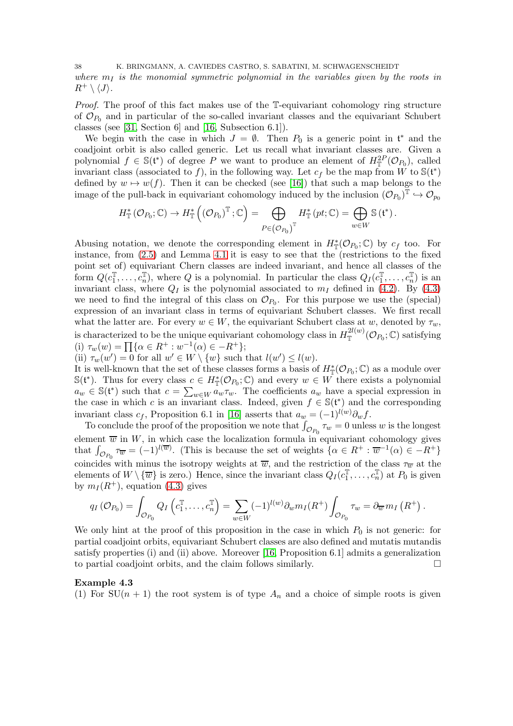38 K. BRINGMANN, A. CAVIEDES CASTRO, S. SABATINI, M. SCHWAGENSCHEIDT where  $m<sub>I</sub>$  is the monomial symmetric polynomial in the variables given by the roots in  $R^+ \setminus \langle J \rangle$ .

Proof. The proof of this fact makes use of the T-equivariant cohomology ring structure of  $\mathcal{O}_{P_0}$  and in particular of the so-called invariant classes and the equivariant Schubert classes (see [\[31,](#page-40-19) Section 6] and [\[16,](#page-39-16) Subsection 6.1]).

We begin with the case in which  $J = \emptyset$ . Then  $P_0$  is a generic point in  $\mathfrak{t}^*$  and the coadjoint orbit is also called generic. Let us recall what invariant classes are. Given a polynomial  $f \in \mathbb{S}(\mathfrak{t}^*)$  of degree P we want to produce an element of  $H^{2P}_{\mathbb{T}}(\mathcal{O}_{P_0})$ , called invariant class (associated to f), in the following way. Let  $c_f$  be the map from W to  $\mathcal{S}(t^*)$ defined by  $w \mapsto w(f)$ . Then it can be checked (see [\[16\]](#page-39-16)) that such a map belongs to the image of the pull-back in equivariant cohomology induced by the inclusion  $(\mathcal{O}_{P_0})^{\mathbb{T}} \hookrightarrow \mathcal{O}_{p_0}$ 

$$
H_{\mathbb{T}}^*(\mathcal{O}_{P_0};\mathbb{C}) \to H_{\mathbb{T}}^*\left(\left(\mathcal{O}_{P_0}\right)^{\mathbb{T}};\mathbb{C}\right) = \bigoplus_{P \in \left(\mathcal{O}_{P_0}\right)^{\mathbb{T}}} H_{\mathbb{T}}^*(pt;\mathbb{C}) = \bigoplus_{w \in W} \mathbb{S}\left(\mathfrak{t}^*\right).
$$

Abusing notation, we denote the corresponding element in  $H^*_{\mathbb{T}}(\mathcal{O}_{P_0};\mathbb{C})$  by  $c_f$  too. For instance, from [\(2.5\)](#page-9-3) and Lemma [4.1](#page-36-1) it is easy to see that the (restrictions to the fixed point set of) equivariant Chern classes are indeed invariant, and hence all classes of the form  $Q(c_1^{\mathbb{T}}, \ldots, c_n^{\mathbb{T}})$ , where Q is a polynomial. In particular the class  $Q_I(c_1^{\mathbb{T}}, \ldots, c_n^{\mathbb{T}})$  is an invariant class, where  $Q_I$  is the polynomial associated to  $m_I$  defined in [\(4.2\)](#page-35-2). By [\(4.3\)](#page-35-3) we need to find the integral of this class on  $\mathcal{O}_{P_0}$ . For this purpose we use the (special) expression of an invariant class in terms of equivariant Schubert classes. We first recall what the latter are. For every  $w \in W$ , the equivariant Schubert class at w, denoted by  $\tau_w$ , is characterized to be the unique equivariant cohomology class in  $H^{2l(w)}_{\mathbb{T}}$  $\mathbb{T}^{2\iota(w)}(\mathcal{O}_{P_0};\mathbb{C})$  satisfying (i)  $\tau_w(w) = \prod {\alpha \in R^+ : w^{-1}(\alpha) \in -R^+};$ 

(ii)  $\tau_w(w') = 0$  for all  $w' \in W \setminus \{w\}$  such that  $l(w') \leq l(w)$ .

It is well-known that the set of these classes forms a basis of  $H^*_{\mathbb{T}}(\mathcal{O}_{P_0};\mathbb{C})$  as a module over  $\mathbb{S}(\mathfrak{t}^*)$ . Thus for every class  $c \in H^*_{\mathbb{T}}(\mathcal{O}_{P_0};\mathbb{C})$  and every  $w \in W$  there exists a polynomial  $a_w \in \mathbb{S}(\mathfrak{t}^*)$  such that  $c = \sum_{w \in W} a_w \tau_w$ . The coefficients  $a_w$  have a special expression in the case in which c is an invariant class. Indeed, given  $f \in \mathbb{S}(\mathfrak{t}^*)$  and the corresponding invariant class  $c_f$ , Proposition 6.1 in [\[16\]](#page-39-16) asserts that  $a_w = (-1)^{l(w)} \partial_w f$ .

To conclude the proof of the proposition we note that  $\int_{\mathcal{O}_{P_0}} \tau_w = 0$  unless w is the longest element  $\overline{w}$  in W, in which case the localization formula in equivariant cohomology gives that  $\int_{\mathcal{O}_{P_0}} \tau_{\overline{w}} = (-1)^{l(\overline{w})}$ . (This is because the set of weights  $\{\alpha \in R^+ : \overline{w}^{-1}(\alpha) \in -R^+\}$ coincides with minus the isotropy weights at  $\overline{w}$ , and the restriction of the class  $\tau_{\overline{w}}$  at the elements of  $W \setminus {\overline{w}}$  is zero.) Hence, since the invariant class  $Q_I(c_1^{\mathbb{T}}, \ldots, c_n^{\mathbb{T}})$  at  $P_0$  is given by  $m_I(R^+)$ , equation [\(4.3\)](#page-35-3) gives

$$
q_I(\mathcal{O}_{P_0}) = \int_{\mathcal{O}_{P_0}} Q_I\left(c_1^{\mathbb{T}}, \ldots, c_n^{\mathbb{T}}\right) = \sum_{w \in W} (-1)^{l(w)} \partial_w m_I(R^+) \int_{\mathcal{O}_{P_0}} \tau_w = \partial_{\overline{w}} m_I(R^+).
$$

We only hint at the proof of this proposition in the case in which  $P_0$  is not generic: for partial coadjoint orbits, equivariant Schubert classes are also defined and mutatis mutandis satisfy properties (i) and (ii) above. Moreover [\[16,](#page-39-16) Proposition 6.1] admits a generalization to partial coadjoint orbits, and the claim follows similarly.

# <span id="page-37-0"></span>Example 4.3

(1) For  $SU(n + 1)$  the root system is of type  $A_n$  and a choice of simple roots is given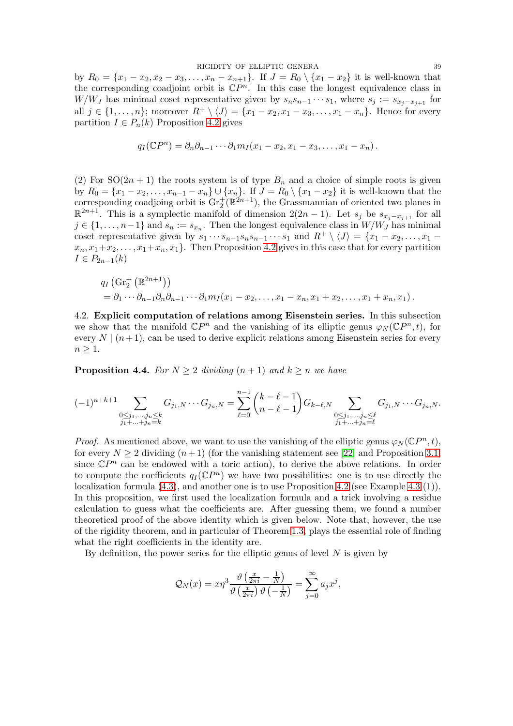RIGIDITY OF ELLIPTIC GENERA 39 by  $R_0 = \{x_1 - x_2, x_2 - x_3, \ldots, x_n - x_{n+1}\}.$  If  $J = R_0 \setminus \{x_1 - x_2\}$  it is well-known that the corresponding coadjoint orbit is  $\mathbb{C}P^n$ . In this case the longest equivalence class in W/WJ has minimal coset representative given by  $s_n s_{n-1} \cdots s_1$ , where  $s_j := s_{x_j-x_{j+1}}$  for all  $j \in \{1, \ldots, n\}$ ; moreover  $R^+ \setminus \langle J \rangle = \{x_1 - x_2, x_1 - x_3, \ldots, x_1 - x_n\}$ . Hence for every partition  $I \in P_n(k)$  Proposition [4.2](#page-36-0) gives

$$
q_I(\mathbb{C}P^n) = \partial_n \partial_{n-1} \cdots \partial_1 m_I(x_1 - x_2, x_1 - x_3, \ldots, x_1 - x_n).
$$

(2) For  $SO(2n + 1)$  the roots system is of type  $B_n$  and a choice of simple roots is given by  $R_0 = \{x_1 - x_2, \ldots, x_{n-1} - x_n\} \cup \{x_n\}.$  If  $J = R_0 \setminus \{x_1 - x_2\}$  it is well-known that the corresponding coadjoing orbit is  $\text{Gr}_2^+(\mathbb{R}^{2n+1})$ , the Grassmannian of oriented two planes in  $\mathbb{R}^{2n+1}$ . This is a symplectic manifold of dimension  $2(2n-1)$ . Let  $s_j$  be  $s_{x_j-x_{j+1}}$  for all  $j \in \{1, \ldots, n-1\}$  and  $s_n := s_{x_n}$ . Then the longest equivalence class in  $W/W_J$  has minimal coset representative given by  $s_1 \cdots s_{n-1} s_n s_{n-1} \cdots s_1$  and  $R^+ \setminus \langle J \rangle = \{x_1 - x_2, \ldots, x_1$  $x_n, x_1+x_2, \ldots, x_1+x_n, x_1$ . Then Proposition [4.2](#page-36-0) gives in this case that for every partition  $I \in P_{2n-1}(k)$ 

$$
q_I\left(\mathrm{Gr}_2^+\left(\mathbb{R}^{2n+1}\right)\right) = \partial_1 \cdots \partial_{n-1} \partial_n \partial_{n-1} \cdots \partial_1 m_I(x_1 - x_2, \ldots, x_1 - x_n, x_1 + x_2, \ldots, x_1 + x_n, x_1).
$$

<span id="page-38-0"></span>4.2. Explicit computation of relations among Eisenstein series. In this subsection we show that the manifold  $\mathbb{C}P^n$  and the vanishing of its elliptic genus  $\varphi_N(\mathbb{C}P^n,t)$ , for every  $N \mid (n+1)$ , can be used to derive explicit relations among Eisenstein series for every  $n \geq 1$ .

<span id="page-38-1"></span>**Proposition 4.4.** For  $N \geq 2$  dividing  $(n + 1)$  and  $k \geq n$  we have

$$
(-1)^{n+k+1} \sum_{\substack{0 \le j_1, \dots, j_n \le k \\ j_1 + \dots + j_n = k}} G_{j_1, N} \cdots G_{j_n, N} = \sum_{\ell=0}^{n-1} {k-\ell-1 \choose n-\ell-1} G_{k-\ell, N} \sum_{\substack{0 \le j_1, \dots, j_n \le \ell \\ j_1 + \dots + j_n = \ell}} G_{j_1, N} \cdots G_{j_n, N}.
$$

*Proof.* As mentioned above, we want to use the vanishing of the elliptic genus  $\varphi_N(\mathbb{C}P^n,t)$ , for every  $N \ge 2$  dividing  $(n+1)$  (for the vanishing statement see [\[22\]](#page-40-1) and Proposition [3.1,](#page-23-2) since  $\mathbb{C}P^n$  can be endowed with a toric action), to derive the above relations. In order to compute the coefficients  $q_I(\mathbb{C}P^n)$  we have two possibilities: one is to use directly the localization formula  $(4.3)$ , and another one is to use Proposition  $4.2$  (see Example  $4.3$  (1)). In this proposition, we first used the localization formula and a trick involving a residue calculation to guess what the coefficients are. After guessing them, we found a number theoretical proof of the above identity which is given below. Note that, however, the use of the rigidity theorem, and in particular of Theorem [1.3,](#page-4-1) plays the essential role of finding what the right coefficients in the identity are.

By definition, the power series for the elliptic genus of level  $N$  is given by

$$
Q_N(x) = x\eta^3 \frac{\vartheta\left(\frac{x}{2\pi i} - \frac{1}{N}\right)}{\vartheta\left(\frac{x}{2\pi i}\right)\vartheta\left(-\frac{1}{N}\right)} = \sum_{j=0}^{\infty} a_j x^j,
$$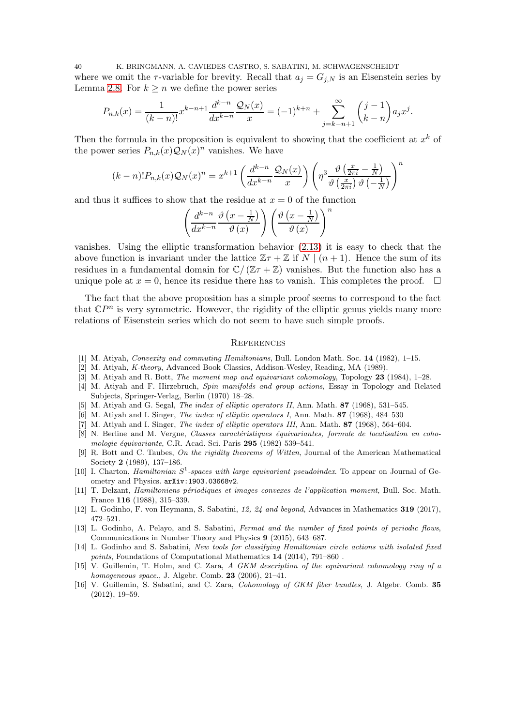40 K. BRINGMANN, A. CAVIEDES CASTRO, S. SABATINI, M. SCHWAGENSCHEIDT where we omit the  $\tau$ -variable for brevity. Recall that  $a_j = G_{j,N}$  is an Eisenstein series by Lemma [2.8.](#page-14-5) For  $k \geq n$  we define the power series

$$
P_{n,k}(x) = \frac{1}{(k-n)!} x^{k-n+1} \frac{d^{k-n}}{dx^{k-n}} \frac{\mathcal{Q}_N(x)}{x} = (-1)^{k+n} + \sum_{j=k-n+1}^{\infty} \binom{j-1}{k-n} a_j x^j.
$$

Then the formula in the proposition is equivalent to showing that the coefficient at  $x^k$  of the power series  $P_{n,k}(x) \mathcal{Q}_N(x)^n$  vanishes. We have

$$
(k-n)!P_{n,k}(x)\mathcal{Q}_N(x)^n = x^{k+1}\left(\frac{d^{k-n}}{dx^{k-n}}\frac{\mathcal{Q}_N(x)}{x}\right)\left(\eta^3\frac{\vartheta\left(\frac{x}{2\pi i} - \frac{1}{N}\right)}{\vartheta\left(\frac{x}{2\pi i}\right)\vartheta\left(-\frac{1}{N}\right)}\right)^n
$$

and thus it suffices to show that the residue at  $x = 0$  of the function

$$
\left(\frac{d^{k-n}}{dx^{k-n}}\frac{\vartheta\left(x-\frac{1}{N}\right)}{\vartheta\left(x\right)}\right)\left(\frac{\vartheta\left(x-\frac{1}{N}\right)}{\vartheta\left(x\right)}\right)^n
$$

vanishes. Using the elliptic transformation behavior [\(2.13\)](#page-14-3) it is easy to check that the above function is invariant under the lattice  $\mathbb{Z} \tau + \mathbb{Z}$  if  $N \mid (n+1)$ . Hence the sum of its residues in a fundamental domain for  $\mathbb{C}/(\mathbb{Z}\tau+\mathbb{Z})$  vanishes. But the function also has a unique pole at  $x = 0$ , hence its residue there has to vanish. This completes the proof.  $\Box$ 

The fact that the above proposition has a simple proof seems to correspond to the fact that  $\mathbb{C}P^n$  is very symmetric. However, the rigidity of the elliptic genus yields many more relations of Eisenstein series which do not seem to have such simple proofs.

## <span id="page-39-0"></span>**REFERENCES**

- <span id="page-39-9"></span><span id="page-39-5"></span>[1] M. Atiyah, *Convexity and commuting Hamiltonians*, Bull. London Math. Soc. 14 (1982), 1–15.
- <span id="page-39-7"></span>[2] M. Atiyah, K-theory, Advanced Book Classics, Addison-Wesley, Reading, MA (1989).
- <span id="page-39-2"></span>[3] M. Atiyah and R. Bott, *The moment map and equivariant cohomology*, Topology 23 (1984), 1–28.
- [4] M. Atiyah and F. Hirzebruch, Spin manifolds and group actions, Essay in Topology and Related Subjects, Springer-Verlag, Berlin (1970) 18–28.
- <span id="page-39-11"></span><span id="page-39-10"></span>[5] M. Atiyah and G. Segal, *The index of elliptic operators II*, Ann. Math. **87** (1968), 531–545.
- <span id="page-39-12"></span>[6] M. Atiyah and I. Singer, *The index of elliptic operators I*, Ann. Math. 87 (1968), 484–530
- <span id="page-39-8"></span>[7] M. Atiyah and I. Singer, *The index of elliptic operators III*, Ann. Math. **87** (1968), 564–604.
- [8] N. Berline and M. Vergne, Classes caractéristiques équivariantes, formule de localisation en cohomologie équivariante, C.R. Acad. Sci. Paris 295 (1982) 539-541.
- <span id="page-39-1"></span>[9] R. Bott and C. Taubes, On the rigidity theorems of Witten, Journal of the American Mathematical Society 2 (1989), 137–186.
- <span id="page-39-4"></span>[10] I. Charton, *Hamiltonian*  $S^1$ -spaces with large equivariant pseudoindex. To appear on Journal of Geometry and Physics. arXiv:1903.03668v2.
- <span id="page-39-6"></span>[11] T. Delzant, Hamiltoniens périodiques et images convexes de l'application moment, Bull. Soc. Math. France 116 (1988), 315–339.
- <span id="page-39-3"></span>[12] L. Godinho, F. von Heymann, S. Sabatini, 12, 24 and beyond, Advances in Mathematics 319 (2017), 472–521.
- <span id="page-39-13"></span>[13] L. Godinho, A. Pelayo, and S. Sabatini, Fermat and the number of fixed points of periodic flows, Communications in Number Theory and Physics 9 (2015), 643–687.
- <span id="page-39-14"></span>[14] L. Godinho and S. Sabatini, New tools for classifying Hamiltonian circle actions with isolated fixed points, Foundations of Computational Mathematics 14 (2014), 791–860 .
- <span id="page-39-15"></span>[15] V. Guillemin, T. Holm, and C. Zara, A GKM description of the equivariant cohomology ring of a homogeneous space., J. Algebr. Comb. 23 (2006), 21–41.
- <span id="page-39-16"></span>[16] V. Guillemin, S. Sabatini, and C. Zara, Cohomology of GKM fiber bundles, J. Algebr. Comb. 35 (2012), 19–59.